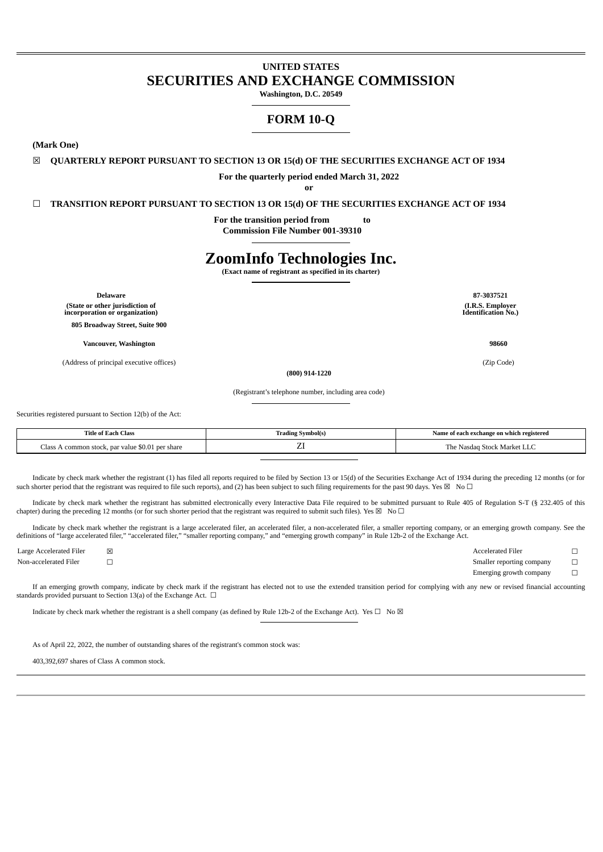# **UNITED STATES SECURITIES AND EXCHANGE COMMISSION**

**Washington, D.C. 20549**

# **FORM 10-Q**

**(Mark One)**

☒ **QUARTERLY REPORT PURSUANT TO SECTION 13 OR 15(d) OF THE SECURITIES EXCHANGE ACT OF 1934**

**For the quarterly period ended March 31, 2022**

**or**

☐ **TRANSITION REPORT PURSUANT TO SECTION 13 OR 15(d) OF THE SECURITIES EXCHANGE ACT OF 1934**

**For the transition period from to Commission File Number 001-39310**

# **ZoomInfo Technologies Inc.**

**(Exact name of registrant as specified in its charter)**

**Delaware 87-3037521 (State or other jurisdiction of incorporation or organization)**

**805 Broadway Street, Suite 900**

**Vancouver, Washington 98660**

(Address of principal executive offices) (Zip Code)

**(I.R.S. Employer Identification No.)**

**(800) 914-1220**

(Registrant's telephone number, including area code)

Securities registered pursuant to Section 12(b) of the Act:

| Title of Each Class                                            | -<br>Irading Symbol(s) | Name of each exchange on which registered         |
|----------------------------------------------------------------|------------------------|---------------------------------------------------|
| Class<br><sup>4</sup> common stock, par value \$0.01 per share | --                     | . Stock Market<br>Noodog<br>-Nasc<br>بابلط<br>___ |

Indicate by check mark whether the registrant (1) has filed all reports required to be filed by Section 13 or 15(d) of the Securities Exchange Act of 1934 during the preceding 12 months (or for such shorter period that the registrant was required to file such reports), and (2) has been subject to such filing requirements for the past 90 days. Yes  $\boxtimes$  No  $\Box$ 

Indicate by check mark whether the registrant has submitted electronically every Interactive Data File required to be submitted pursuant to Rule 405 of Regulation S-T (§ 232.405 of this chapter) during the preceding 12 months (or for such shorter period that the registrant was required to submit such files). Yes  $\boxtimes$  No  $\Box$ 

Indicate by check mark whether the registrant is a large accelerated filer, an accelerated filer, a non-accelerated filer, a smaller reporting company, or an emerging growth company. See the definitions of "large accelerated filer," "accelerated filer," "smaller reporting company," and "emerging growth company" in Rule 12b-2 of the Exchange Act.

| Large Accelerated Filer | ΙX<br>⋍ |  | Accelerated Filer         |  |
|-------------------------|---------|--|---------------------------|--|
| Non-accelerated Filer   |         |  | Smaller reporting company |  |
|                         |         |  | Emerging growth company   |  |

If an emerging growth company, indicate by check mark if the registrant has elected not to use the extended transition period for complying with any new or revised financial accounting standards provided pursuant to Section 13(a) of the Exchange Act.  $\Box$ 

Indicate by check mark whether the registrant is a shell company (as defined by Rule 12b-2 of the Exchange Act). Yes  $\Box$  No  $\boxtimes$ 

As of April 22, 2022, the number of outstanding shares of the registrant's common stock was:

<span id="page-0-0"></span>403,392,697 shares of Class A common stock.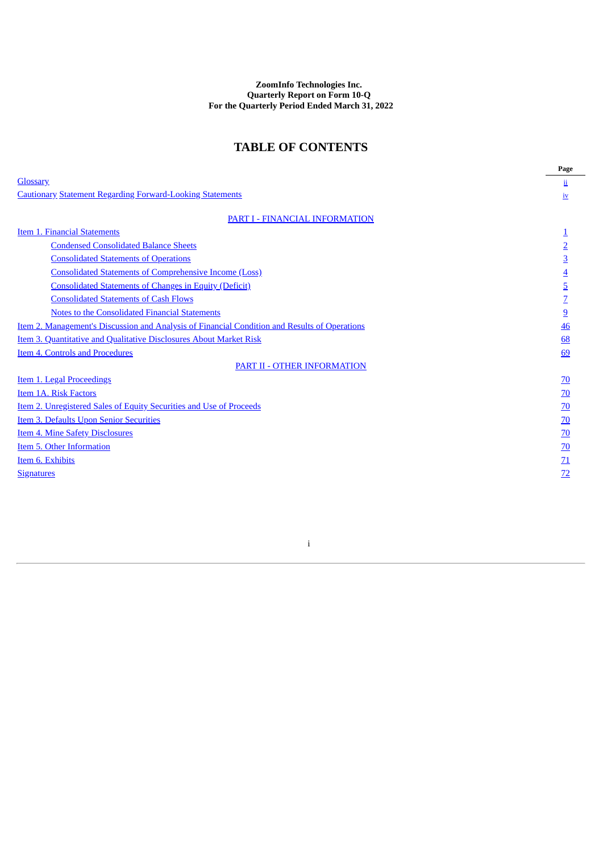# **ZoomInfo Technologies Inc. Quarterly Report on Form 10-Q For the Quarterly Period Ended March 31, 2022**

# **TABLE OF CONTENTS**

|                                                                                               | Page            |
|-----------------------------------------------------------------------------------------------|-----------------|
| <b>Glossary</b>                                                                               | Щ               |
| <b>Cautionary Statement Regarding Forward-Looking Statements</b>                              | iv              |
| PART I - FINANCIAL INFORMATION                                                                |                 |
| <b>Item 1. Financial Statements</b>                                                           |                 |
| <b>Condensed Consolidated Balance Sheets</b>                                                  | $\overline{2}$  |
| <b>Consolidated Statements of Operations</b>                                                  | $\overline{3}$  |
| <b>Consolidated Statements of Comprehensive Income (Loss)</b>                                 | 4               |
| <b>Consolidated Statements of Changes in Equity (Deficit)</b>                                 | $\overline{5}$  |
| <b>Consolidated Statements of Cash Flows</b>                                                  | $\overline{Z}$  |
| <b>Notes to the Consolidated Financial Statements</b>                                         | 9               |
| Item 2. Management's Discussion and Analysis of Financial Condition and Results of Operations | 46              |
| Item 3. Quantitative and Qualitative Disclosures About Market Risk                            | 68              |
| <b>Item 4. Controls and Procedures</b>                                                        | 69              |
| PART II - OTHER INFORMATION                                                                   |                 |
| <b>Item 1. Legal Proceedings</b>                                                              | $\overline{20}$ |
| Item 1A. Risk Factors                                                                         | 70              |
| Item 2. Unregistered Sales of Equity Securities and Use of Proceeds                           | $\overline{20}$ |
| <b>Item 3. Defaults Upon Senior Securities</b>                                                | $\overline{20}$ |
| <b>Item 4. Mine Safety Disclosures</b>                                                        | $\overline{20}$ |
| Item 5. Other Information                                                                     | $\overline{20}$ |
| Item 6. Exhibits                                                                              | $\overline{21}$ |
| <b>Signatures</b>                                                                             | 72              |
|                                                                                               |                 |
|                                                                                               |                 |

# <span id="page-1-0"></span>i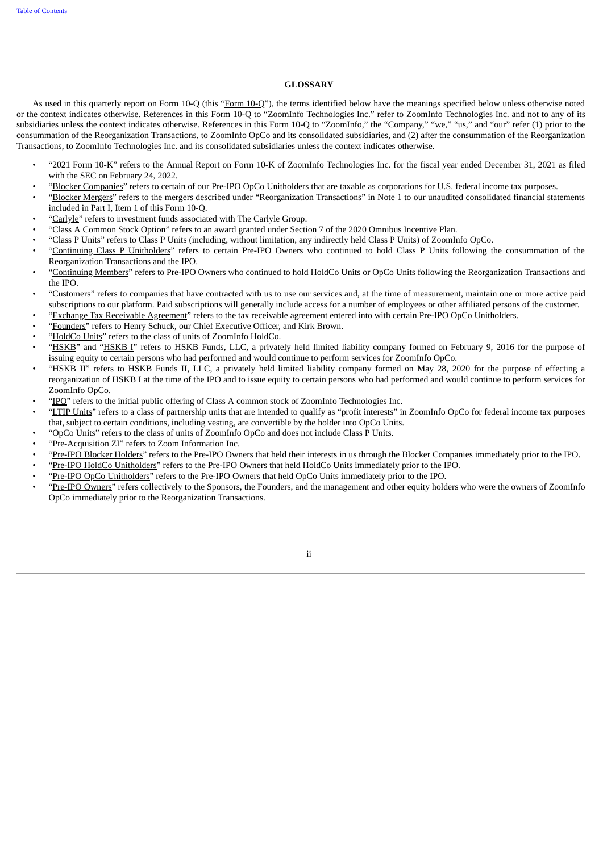### **GLOSSARY**

As used in this quarterly report on Form 10-Q (this "Form 10-Q"), the terms identified below have the meanings specified below unless otherwise noted or the context indicates otherwise. References in this Form 10-Q to "ZoomInfo Technologies Inc." refer to ZoomInfo Technologies Inc. and not to any of its subsidiaries unless the context indicates otherwise. References in this Form 10-Q to "ZoomInfo," the "Company," "we," "us," and "our" refer (1) prior to the consummation of the Reorganization Transactions, to ZoomInfo OpCo and its consolidated subsidiaries, and (2) after the consummation of the Reorganization Transactions, to ZoomInfo Technologies Inc. and its consolidated subsidiaries unless the context indicates otherwise.

- "2021 Form 10-K" refers to the Annual Report on Form 10-K of ZoomInfo Technologies Inc. for the fiscal year ended December 31, 2021 as filed with the SEC on February 24, 2022.
- "Blocker Companies" refers to certain of our Pre-IPO OpCo Unitholders that are taxable as corporations for U.S. federal income tax purposes.
- "Blocker Mergers" refers to the mergers described under "Reorganization Transactions" in Note 1 to our unaudited consolidated financial statements included in Part I, Item 1 of this Form 10-Q.
- "Carlyle" refers to investment funds associated with The Carlyle Group.
- "Class A Common Stock Option" refers to an award granted under Section 7 of the 2020 Omnibus Incentive Plan.
- "Class P Units" refers to Class P Units (including, without limitation, any indirectly held Class P Units) of ZoomInfo OpCo.
- "Continuing Class P Unitholders" refers to certain Pre-IPO Owners who continued to hold Class P Units following the consummation of the Reorganization Transactions and the IPO.
- "Continuing Members" refers to Pre-IPO Owners who continued to hold HoldCo Units or OpCo Units following the Reorganization Transactions and the IPO.
- "Customers" refers to companies that have contracted with us to use our services and, at the time of measurement, maintain one or more active paid subscriptions to our platform. Paid subscriptions will generally include access for a number of employees or other affiliated persons of the customer.
- "Exchange Tax Receivable Agreement" refers to the tax receivable agreement entered into with certain Pre-IPO OpCo Unitholders.
- "Founders" refers to Henry Schuck, our Chief Executive Officer, and Kirk Brown.
- "HoldCo Units" refers to the class of units of ZoomInfo HoldCo.
- "HSKB" and "HSKB I" refers to HSKB Funds, LLC, a privately held limited liability company formed on February 9, 2016 for the purpose of issuing equity to certain persons who had performed and would continue to perform services for ZoomInfo OpCo.
- "HSKB II" refers to HSKB Funds II, LLC, a privately held limited liability company formed on May 28, 2020 for the purpose of effecting a reorganization of HSKB I at the time of the IPO and to issue equity to certain persons who had performed and would continue to perform services for ZoomInfo OpCo.
- "IPO" refers to the initial public offering of Class A common stock of ZoomInfo Technologies Inc.
- "LTIP Units" refers to a class of partnership units that are intended to qualify as "profit interests" in ZoomInfo OpCo for federal income tax purposes that, subject to certain conditions, including vesting, are convertible by the holder into OpCo Units.
- "OpCo Units" refers to the class of units of ZoomInfo OpCo and does not include Class P Units.
- "Pre-Acquisition ZI" refers to Zoom Information Inc.
- "Pre-IPO Blocker Holders" refers to the Pre-IPO Owners that held their interests in us through the Blocker Companies immediately prior to the IPO.
- "Pre-IPO HoldCo Unitholders" refers to the Pre-IPO Owners that held HoldCo Units immediately prior to the IPO.
- "Pre-IPO OpCo Unitholders" refers to the Pre-IPO Owners that held OpCo Units immediately prior to the IPO.
- "Pre-IPO Owners" refers collectively to the Sponsors, the Founders, and the management and other equity holders who were the owners of ZoomInfo OpCo immediately prior to the Reorganization Transactions.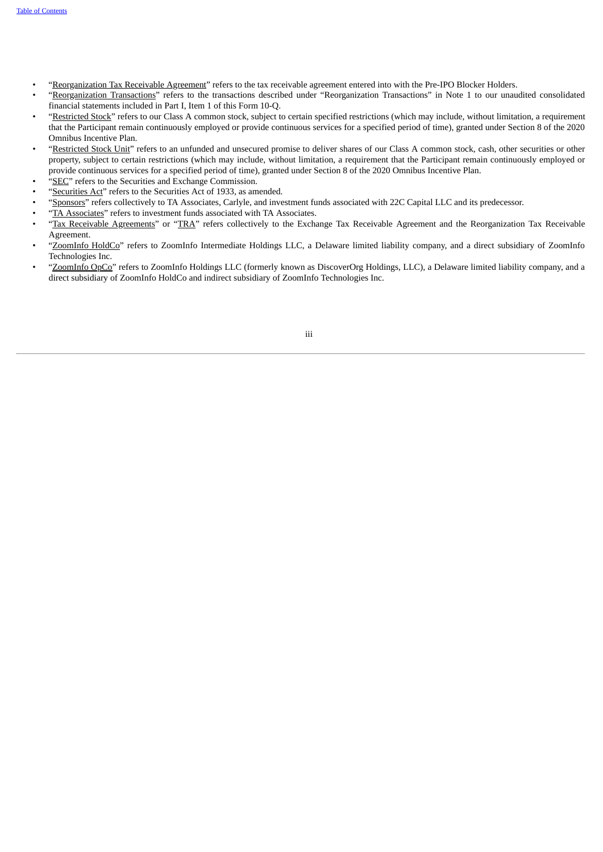- "Reorganization Tax Receivable Agreement" refers to the tax receivable agreement entered into with the Pre-IPO Blocker Holders.
- "Reorganization Transactions" refers to the transactions described under "Reorganization Transactions" in Note 1 to our unaudited consolidated financial statements included in Part I, Item 1 of this Form 10-Q.
- "Restricted Stock" refers to our Class A common stock, subject to certain specified restrictions (which may include, without limitation, a requirement that the Participant remain continuously employed or provide continuous services for a specified period of time), granted under Section 8 of the 2020 Omnibus Incentive Plan.
- "Restricted Stock Unit" refers to an unfunded and unsecured promise to deliver shares of our Class A common stock, cash, other securities or other property, subject to certain restrictions (which may include, without limitation, a requirement that the Participant remain continuously employed or provide continuous services for a specified period of time), granted under Section 8 of the 2020 Omnibus Incentive Plan.
- "SEC" refers to the Securities and Exchange Commission.
- "Securities Act" refers to the Securities Act of 1933, as amended.
- "Sponsors" refers collectively to TA Associates, Carlyle, and investment funds associated with 22C Capital LLC and its predecessor.
- "TA Associates" refers to investment funds associated with TA Associates.
- "Tax Receivable Agreements" or "TRA" refers collectively to the Exchange Tax Receivable Agreement and the Reorganization Tax Receivable Agreement.
- "ZoomInfo HoldCo" refers to ZoomInfo Intermediate Holdings LLC, a Delaware limited liability company, and a direct subsidiary of ZoomInfo Technologies Inc.
- <span id="page-3-0"></span>"ZoomInfo OpCo" refers to ZoomInfo Holdings LLC (formerly known as DiscoverOrg Holdings, LLC), a Delaware limited liability company, and a direct subsidiary of ZoomInfo HoldCo and indirect subsidiary of ZoomInfo Technologies Inc.

iii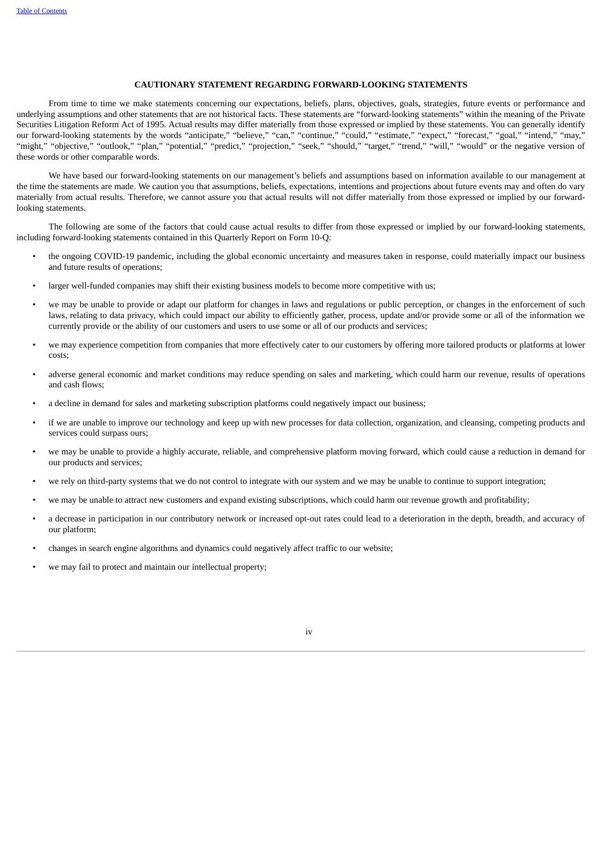### **CAUTIONARY STATEMENT REGARDING FORWARD-LOOKING STATEMENTS**

From time to time we make statements concerning our expectations, beliefs, plans, objectives, goals, strategies, future events or performance and underlying assumptions and other statements that are not historical facts. These statements are "forward-looking statements" within the meaning of the Private Securities Litigation Reform Act of 1995. Actual results may differ materially from those expressed or implied by these statements. You can generally identify our forward-looking statements by the words "anticipate," "believe," "can," "continue," "could," "estimate," "expect," "forecast," "goal," "intend," "may," "might," "objective," "outlook," "plan," "potential," "predict," "projection," "seek," "should," "target," "trend," "will," "would" or the negative version of these words or other comparable words.

We have based our forward-looking statements on our management's beliefs and assumptions based on information available to our management at the time the statements are made. We caution you that assumptions, beliefs, expectations, intentions and projections about future events may and often do vary materially from actual results. Therefore, we cannot assure you that actual results will not differ materially from those expressed or implied by our forwardlooking statements.

The following are some of the factors that could cause actual results to differ from those expressed or implied by our forward-looking statements, including forward-looking statements contained in this Quarterly Report on Form 10-Q:

- the ongoing COVID-19 pandemic, including the global economic uncertainty and measures taken in response, could materially impact our business and future results of operations;
- larger well-funded companies may shift their existing business models to become more competitive with us;
- we may be unable to provide or adapt our platform for changes in laws and regulations or public perception, or changes in the enforcement of such laws, relating to data privacy, which could impact our ability to efficiently gather, process, update and/or provide some or all of the information we currently provide or the ability of our customers and users to use some or all of our products and services;
- we may experience competition from companies that more effectively cater to our customers by offering more tailored products or platforms at lower costs;
- adverse general economic and market conditions may reduce spending on sales and marketing, which could harm our revenue, results of operations and cash flows;
- a decline in demand for sales and marketing subscription platforms could negatively impact our business;
- if we are unable to improve our technology and keep up with new processes for data collection, organization, and cleansing, competing products and services could surpass ours;
- we may be unable to provide a highly accurate, reliable, and comprehensive platform moving forward, which could cause a reduction in demand for our products and services;
- we rely on third-party systems that we do not control to integrate with our system and we may be unable to continue to support integration;
- we may be unable to attract new customers and expand existing subscriptions, which could harm our revenue growth and profitability;
- a decrease in participation in our contributory network or increased opt-out rates could lead to a deterioration in the depth, breadth, and accuracy of our platform;
- changes in search engine algorithms and dynamics could negatively affect traffic to our website;
- we may fail to protect and maintain our intellectual property;

iv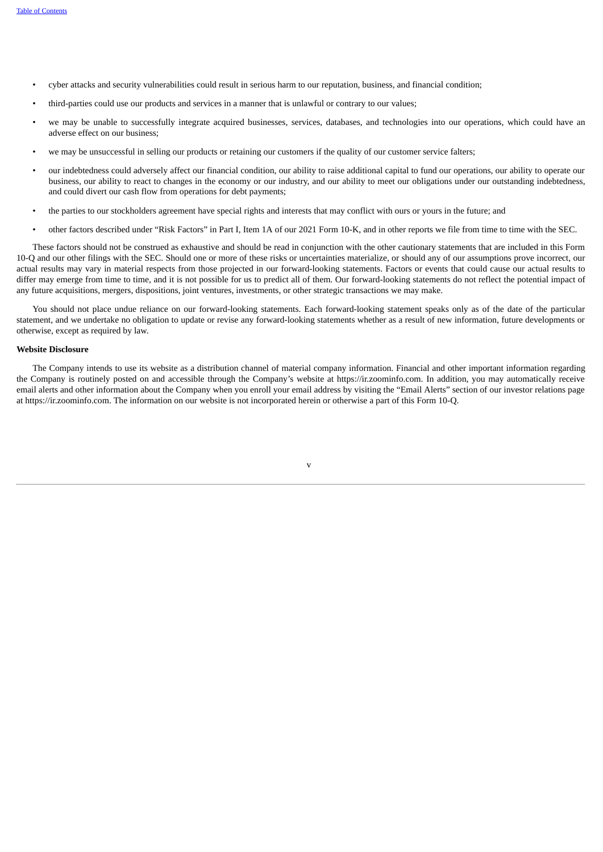- cyber attacks and security vulnerabilities could result in serious harm to our reputation, business, and financial condition;
- third-parties could use our products and services in a manner that is unlawful or contrary to our values;
- we may be unable to successfully integrate acquired businesses, services, databases, and technologies into our operations, which could have an adverse effect on our business;
- we may be unsuccessful in selling our products or retaining our customers if the quality of our customer service falters;
- our indebtedness could adversely affect our financial condition, our ability to raise additional capital to fund our operations, our ability to operate our business, our ability to react to changes in the economy or our industry, and our ability to meet our obligations under our outstanding indebtedness, and could divert our cash flow from operations for debt payments;
- the parties to our stockholders agreement have special rights and interests that may conflict with ours or yours in the future; and
- other factors described under "Risk Factors" in Part I, Item 1A of our 2021 Form 10-K, and in other reports we file from time to time with the SEC.

These factors should not be construed as exhaustive and should be read in conjunction with the other cautionary statements that are included in this Form 10-Q and our other filings with the SEC. Should one or more of these risks or uncertainties materialize, or should any of our assumptions prove incorrect, our actual results may vary in material respects from those projected in our forward-looking statements. Factors or events that could cause our actual results to differ may emerge from time to time, and it is not possible for us to predict all of them. Our forward-looking statements do not reflect the potential impact of any future acquisitions, mergers, dispositions, joint ventures, investments, or other strategic transactions we may make.

You should not place undue reliance on our forward-looking statements. Each forward-looking statement speaks only as of the date of the particular statement, and we undertake no obligation to update or revise any forward-looking statements whether as a result of new information, future developments or otherwise, except as required by law.

#### **Website Disclosure**

<span id="page-5-0"></span>The Company intends to use its website as a distribution channel of material company information. Financial and other important information regarding the Company is routinely posted on and accessible through the Company's website at https://ir.zoominfo.com. In addition, you may automatically receive email alerts and other information about the Company when you enroll your email address by visiting the "Email Alerts" section of our investor relations page at https://ir.zoominfo.com. The information on our website is not incorporated herein or otherwise a part of this Form 10-Q.

v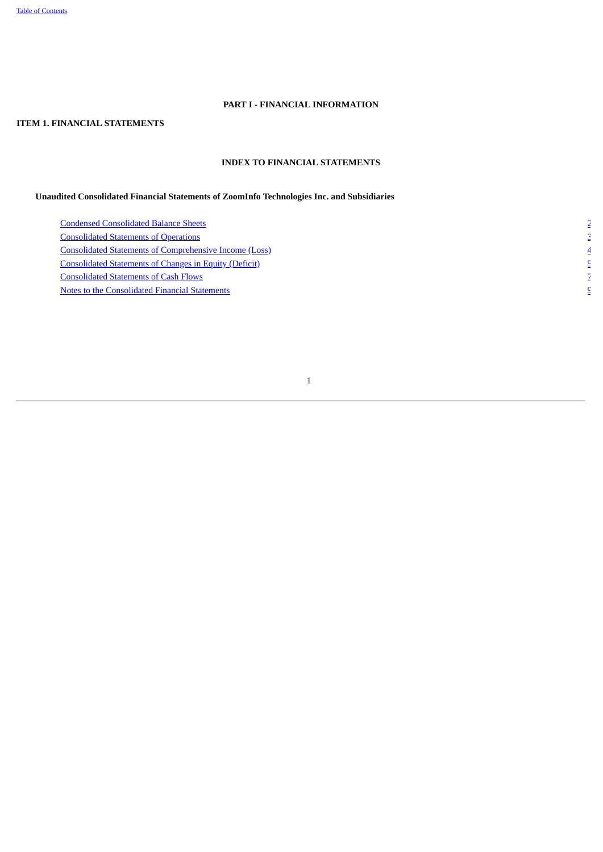## **PART I - FINANCIAL INFORMATION**

### <span id="page-6-0"></span>**ITEM 1. FINANCIAL STATEMENTS**

# **INDEX TO FINANCIAL STATEMENTS**

# **Unaudited Consolidated Financial Statements of ZoomInfo Technologies Inc. and Subsidiaries**

**Condensed [Consolidated](#page-7-0) Balance Sheets** [2](#page-7-0) **[Consolidated](#page-7-1) Statements of Operations** [3](#page-7-1) Consolidated Statements of [Comprehensive](#page-8-0) Income (Loss) [4](#page-8-0) [Consolidated](#page-9-0) Statements of Changes in Equity (Deficit) **[5](#page-9-0) [Consolidated](#page-11-0) Statements of Cash Flows** [7](#page-11-0) Notes to the [Consolidated](#page-13-0) Financial Statements [9](#page-13-0)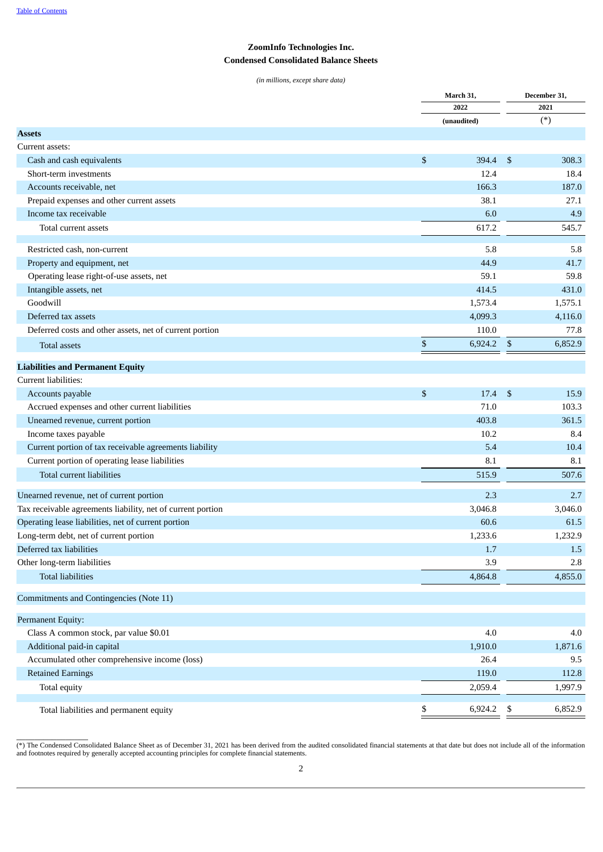$\overline{\phantom{a}}$  , where  $\overline{\phantom{a}}$ 

# **ZoomInfo Technologies Inc.**

# **Condensed Consolidated Balance Sheets**

*(in millions, except share data)*

<span id="page-7-0"></span>

|                                                             |                | March 31,<br>2022 |     | December 31,<br>2021 |
|-------------------------------------------------------------|----------------|-------------------|-----|----------------------|
|                                                             |                | (unaudited)       |     | $(*)$                |
| <b>Assets</b>                                               |                |                   |     |                      |
| Current assets:                                             |                |                   |     |                      |
| Cash and cash equivalents                                   | $\mathfrak{s}$ | 394.4             | -\$ | 308.3                |
| Short-term investments                                      |                | 12.4              |     | 18.4                 |
| Accounts receivable, net                                    |                | 166.3             |     | 187.0                |
| Prepaid expenses and other current assets                   |                | 38.1              |     | 27.1                 |
| Income tax receivable                                       |                | 6.0               |     | 4.9                  |
| Total current assets                                        |                | 617.2             |     | 545.7                |
| Restricted cash, non-current                                |                | 5.8               |     | 5.8                  |
| Property and equipment, net                                 |                | 44.9              |     | 41.7                 |
| Operating lease right-of-use assets, net                    |                | 59.1              |     | 59.8                 |
| Intangible assets, net                                      |                | 414.5             |     | 431.0                |
| Goodwill                                                    |                | 1,573.4           |     | 1,575.1              |
| Deferred tax assets                                         |                | 4,099.3           |     | 4,116.0              |
| Deferred costs and other assets, net of current portion     |                | 110.0             |     | 77.8                 |
| <b>Total assets</b>                                         | ${\mathbb S}$  | 6,924.2           | \$  | 6,852.9              |
|                                                             |                |                   |     |                      |
| <b>Liabilities and Permanent Equity</b>                     |                |                   |     |                      |
| Current liabilities:                                        |                |                   |     |                      |
| Accounts payable                                            | $\mathfrak{s}$ | 17.4              | \$  | 15.9                 |
| Accrued expenses and other current liabilities              |                | 71.0              |     | 103.3                |
| Unearned revenue, current portion                           |                | 403.8             |     | 361.5                |
| Income taxes payable                                        |                | 10.2              |     | 8.4                  |
| Current portion of tax receivable agreements liability      |                | 5.4               |     | 10.4                 |
| Current portion of operating lease liabilities              |                | 8.1               |     | 8.1                  |
| Total current liabilities                                   |                | 515.9             |     | 507.6                |
| Unearned revenue, net of current portion                    |                | 2.3               |     | 2.7                  |
| Tax receivable agreements liability, net of current portion |                | 3,046.8           |     | 3,046.0              |
| Operating lease liabilities, net of current portion         |                | 60.6              |     | 61.5                 |
| Long-term debt, net of current portion                      |                | 1,233.6           |     | 1,232.9              |
| Deferred tax liabilities                                    |                | $1.7\,$           |     | $1.5\,$              |
| Other long-term liabilities                                 |                | 3.9               |     | $2.8\,$              |
| <b>Total liabilities</b>                                    |                | 4,864.8           |     | 4,855.0              |
| Commitments and Contingencies (Note 11)                     |                |                   |     |                      |
| Permanent Equity:                                           |                |                   |     |                      |
| Class A common stock, par value \$0.01                      |                | 4.0               |     | 4.0                  |
| Additional paid-in capital                                  |                | 1,910.0           |     | 1,871.6              |
| Accumulated other comprehensive income (loss)               |                | 26.4              |     | 9.5                  |
| <b>Retained Earnings</b>                                    |                | 119.0             |     | 112.8                |
| Total equity                                                |                | 2,059.4           |     | 1,997.9              |
|                                                             |                |                   |     |                      |
| Total liabilities and permanent equity                      | \$             | 6,924.2           | \$  | 6,852.9              |

<span id="page-7-1"></span>(\*) The Condensed Consolidated Balance Sheet as of December 31, 2021 has been derived from the audited consolidated financial statements at that date but does not include all of the information and footnotes required by ge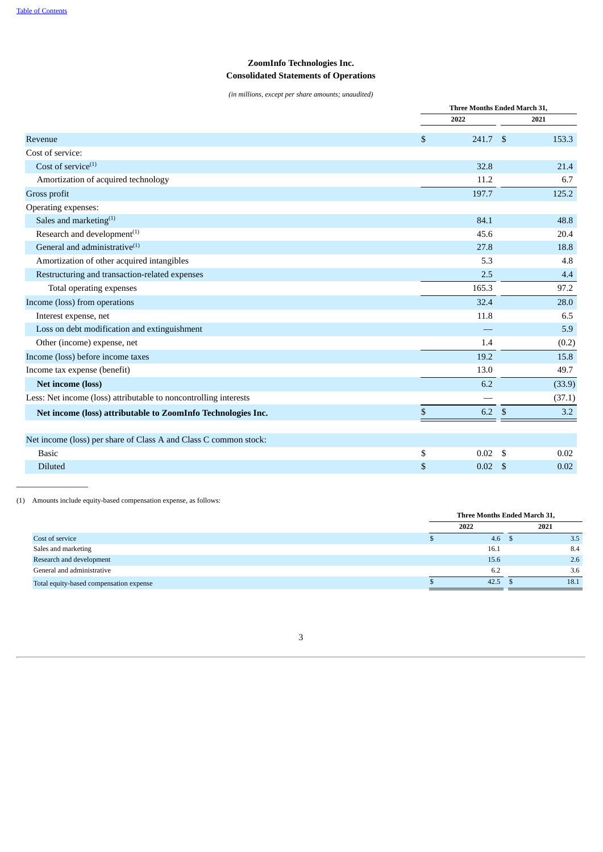# **ZoomInfo Technologies Inc. Consolidated Statements of Operations**

*(in millions, except per share amounts; unaudited)*

|                                                                  |                | <b>Three Months Ended March 31,</b> |              |        |  |
|------------------------------------------------------------------|----------------|-------------------------------------|--------------|--------|--|
|                                                                  |                | 2022                                |              | 2021   |  |
| Revenue                                                          | $\mathfrak{S}$ | 241.7                               | $\mathbf{s}$ | 153.3  |  |
| Cost of service:                                                 |                |                                     |              |        |  |
| Cost of service $(1)$                                            |                | 32.8                                |              | 21.4   |  |
| Amortization of acquired technology                              |                | 11.2                                |              | 6.7    |  |
| Gross profit                                                     |                | 197.7                               |              | 125.2  |  |
| Operating expenses:                                              |                |                                     |              |        |  |
| Sales and marketing $(1)$                                        |                | 84.1                                |              | 48.8   |  |
| Research and development <sup>(1)</sup>                          |                | 45.6                                |              | 20.4   |  |
| General and administrative <sup>(1)</sup>                        |                | 27.8                                |              | 18.8   |  |
| Amortization of other acquired intangibles                       |                | 5.3                                 |              | 4.8    |  |
| Restructuring and transaction-related expenses                   |                | 2.5                                 |              | 4.4    |  |
| Total operating expenses                                         |                | 165.3                               |              | 97.2   |  |
| Income (loss) from operations                                    |                | 32.4                                |              | 28.0   |  |
| Interest expense, net                                            |                | 11.8                                |              | 6.5    |  |
| Loss on debt modification and extinguishment                     |                |                                     |              | 5.9    |  |
| Other (income) expense, net                                      |                | 1.4                                 |              | (0.2)  |  |
| Income (loss) before income taxes                                |                | 19.2                                |              | 15.8   |  |
| Income tax expense (benefit)                                     |                | 13.0                                |              | 49.7   |  |
| Net income (loss)                                                |                | 6.2                                 |              | (33.9) |  |
| Less: Net income (loss) attributable to noncontrolling interests |                |                                     |              | (37.1) |  |
| Net income (loss) attributable to ZoomInfo Technologies Inc.     | \$             | 6.2                                 | $\mathbb{S}$ | 3.2    |  |
| Net income (loss) per share of Class A and Class C common stock: |                |                                     |              |        |  |
| <b>Basic</b>                                                     | \$             | 0.02                                | \$           | 0.02   |  |
| <b>Diluted</b>                                                   | \$             | 0.02                                | - \$         | 0.02   |  |

(1) Amounts include equity-based compensation expense, as follows:

\_\_\_\_\_\_\_\_\_\_\_\_\_\_\_\_

<span id="page-8-0"></span>

|                                         | Three Months Ended March 31, |      |     |      |
|-----------------------------------------|------------------------------|------|-----|------|
|                                         | 2022                         |      |     | 2021 |
| Cost of service                         |                              | 4.6  | . ა | 3.5  |
| Sales and marketing                     |                              | 16.1 |     | 8.4  |
| Research and development                |                              | 15.6 |     | 2.6  |
| General and administrative              |                              | 6.2  |     | 3.6  |
| Total equity-based compensation expense |                              | 42.5 |     | 18.1 |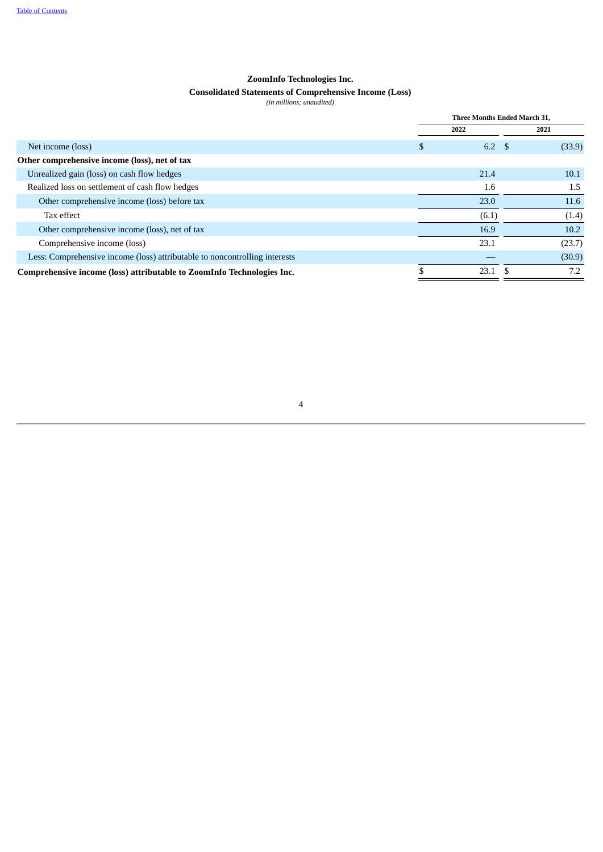# **ZoomInfo Technologies Inc.**

#### **Consolidated Statements of Comprehensive Income (Loss)**

*(in millions; unaudited)*

<span id="page-9-0"></span>

|                                                                            | Three Months Ended March 31. |        |  |        |  |
|----------------------------------------------------------------------------|------------------------------|--------|--|--------|--|
|                                                                            | 2022                         |        |  | 2021   |  |
| Net income (loss)                                                          | \$                           | 6.2 \$ |  | (33.9) |  |
| Other comprehensive income (loss), net of tax                              |                              |        |  |        |  |
| Unrealized gain (loss) on cash flow hedges                                 |                              | 21.4   |  | 10.1   |  |
| Realized loss on settlement of cash flow hedges                            |                              | 1.6    |  | 1.5    |  |
| Other comprehensive income (loss) before tax                               |                              | 23.0   |  | 11.6   |  |
| Tax effect                                                                 |                              | (6.1)  |  | (1.4)  |  |
| Other comprehensive income (loss), net of tax                              |                              | 16.9   |  | 10.2   |  |
| Comprehensive income (loss)                                                |                              | 23.1   |  | (23.7) |  |
| Less: Comprehensive income (loss) attributable to noncontrolling interests |                              |        |  | (30.9) |  |
| Comprehensive income (loss) attributable to ZoomInfo Technologies Inc.     |                              | 23.1   |  | 7.2    |  |
|                                                                            |                              |        |  |        |  |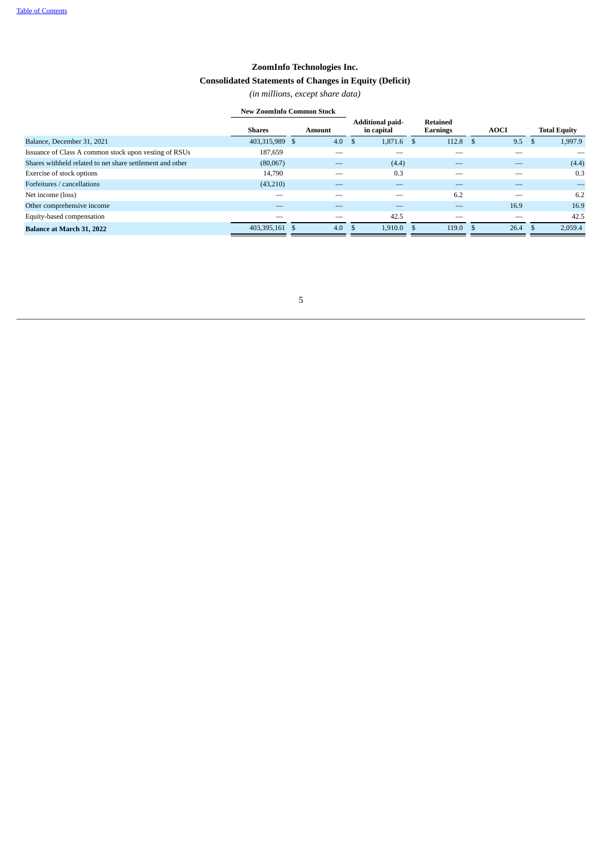# **ZoomInfo Technologies Inc. Consolidated Statements of Changes in Equity (Deficit)**

*(in millions, except share data)*

# **New ZoomInfo Common Stock**

|                                                           | <b>Shares</b>  | Amount |      | <b>Additional paid-</b><br>in capital | Retained<br><b>Earnings</b> | <b>AOCI</b> |    | <b>Total Equity</b> |
|-----------------------------------------------------------|----------------|--------|------|---------------------------------------|-----------------------------|-------------|----|---------------------|
| Balance, December 31, 2021                                | 403,315,989 \$ | 4.0    | - \$ | 1,871.6 \$                            | 112.8                       | 9.5         |    | 1,997.9             |
| Issuance of Class A common stock upon vesting of RSUs     | 187,659        |        |      |                                       |                             |             |    |                     |
| Shares withheld related to net share settlement and other | (80,067)       |        |      | (4.4)                                 |                             |             |    | (4.4)               |
| Exercise of stock options                                 | 14,790         |        |      | 0.3                                   |                             |             |    | 0.3                 |
| Forfeitures / cancellations                               | (43,210)       |        |      |                                       |                             |             |    |                     |
| Net income (loss)                                         |                |        |      |                                       | 6.2                         |             |    | 6.2                 |
| Other comprehensive income                                |                |        |      |                                       |                             | 16.9        |    | 16.9                |
| Equity-based compensation                                 |                |        |      | 42.5                                  |                             |             |    | 42.5                |
| <b>Balance at March 31, 2022</b>                          | 403,395,161 \$ | 4.0    | - \$ | $1,910.0$ \$                          | 119.0                       | 26.4        | -S | 2,059.4             |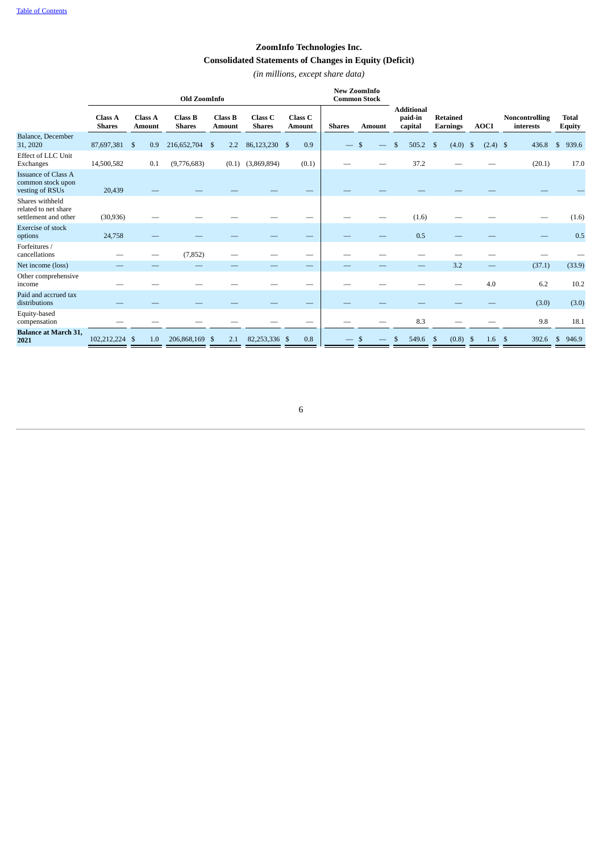# **ZoomInfo Technologies Inc.**

# **Consolidated Statements of Changes in Equity (Deficit)**

*(in millions, except share data)*

<span id="page-11-0"></span>

|                                                                 | <b>New ZoomInfo</b><br>Old ZoomInfo<br><b>Common Stock</b> |                                 |                                 |                                 |                          |                       |               |               |                                         |                                    |                              |                             |                               |
|-----------------------------------------------------------------|------------------------------------------------------------|---------------------------------|---------------------------------|---------------------------------|--------------------------|-----------------------|---------------|---------------|-----------------------------------------|------------------------------------|------------------------------|-----------------------------|-------------------------------|
|                                                                 | <b>Class A</b><br><b>Shares</b>                            | <b>Class A</b><br><b>Amount</b> | <b>Class B</b><br><b>Shares</b> | <b>Class B</b><br><b>Amount</b> | Class C<br><b>Shares</b> | Class C<br>Amount     | <b>Shares</b> | <b>Amount</b> | <b>Additional</b><br>paid-in<br>capital | <b>Retained</b><br><b>Earnings</b> | <b>AOCI</b>                  | Noncontrolling<br>interests | <b>Total</b><br><b>Equity</b> |
| Balance, December<br>31, 2020                                   | 87,697,381                                                 | $\mathfrak{s}$<br>0.9           | 216,652,704                     | 2.2<br>-\$                      | 86,123,230               | 0.9<br>$\mathfrak{S}$ |               | $\mathbf{s}$  | \$<br>$505.2$ \$                        | (4.0)                              | $\mathfrak{s}$<br>$(2.4)$ \$ | 436.8                       | \$<br>939.6                   |
| Effect of LLC Unit<br>Exchanges                                 | 14,500,582                                                 | 0.1                             | (9,776,683)                     | (0.1)                           | (3,869,894)              | (0.1)                 |               |               | 37.2                                    |                                    |                              | (20.1)                      | 17.0                          |
| Issuance of Class A<br>common stock upon<br>vesting of RSUs     | 20,439                                                     |                                 |                                 |                                 |                          |                       |               |               |                                         |                                    |                              |                             |                               |
| Shares withheld<br>related to net share<br>settlement and other | (30, 936)                                                  |                                 |                                 |                                 |                          |                       |               |               | (1.6)                                   |                                    |                              |                             | (1.6)                         |
| <b>Exercise of stock</b><br>options                             | 24,758                                                     |                                 |                                 |                                 |                          |                       |               |               | 0.5                                     |                                    |                              |                             | 0.5                           |
| Forfeitures /<br>cancellations                                  |                                                            |                                 | (7, 852)                        |                                 |                          |                       |               |               |                                         |                                    |                              |                             |                               |
| Net income (loss)                                               |                                                            |                                 |                                 |                                 |                          |                       |               |               |                                         | 3.2                                | —                            | (37.1)                      | (33.9)                        |
| Other comprehensive<br>income                                   |                                                            |                                 |                                 |                                 |                          |                       |               |               |                                         |                                    | 4.0                          | 6.2                         | 10.2                          |
| Paid and accrued tax<br>distributions                           |                                                            |                                 |                                 |                                 |                          |                       |               |               |                                         |                                    |                              | (3.0)                       | (3.0)                         |
| Equity-based<br>compensation                                    |                                                            |                                 |                                 |                                 |                          |                       |               |               | 8.3                                     |                                    |                              | 9.8                         | 18.1                          |
| <b>Balance at March 31,</b><br>2021                             | 102,212,224 \$                                             | 1.0                             | 206,868,169 \$                  | 2.1                             | 82,253,336 \$            | 0.8                   |               |               | 549.6<br>.S                             | (0.8)<br>- \$                      | 1.6 <sup>5</sup><br>-\$      | 392.6                       | 946.9<br>\$.                  |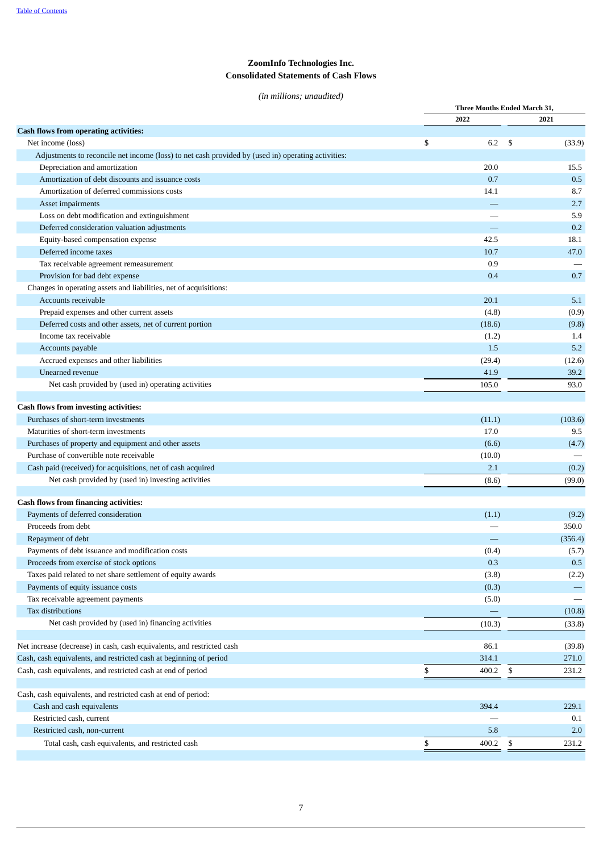# **ZoomInfo Technologies Inc. Consolidated Statements of Cash Flows**

*(in millions; unaudited)*

|                                                                                                    |                          | <b>Three Months Ended March 31,</b> |
|----------------------------------------------------------------------------------------------------|--------------------------|-------------------------------------|
|                                                                                                    | 2022                     | 2021                                |
| <b>Cash flows from operating activities:</b>                                                       |                          |                                     |
| Net income (loss)                                                                                  | 6.2<br>\$                | \$<br>(33.9)                        |
| Adjustments to reconcile net income (loss) to net cash provided by (used in) operating activities: |                          |                                     |
| Depreciation and amortization                                                                      | 20.0                     | 15.5                                |
| Amortization of debt discounts and issuance costs                                                  | 0.7                      | 0.5                                 |
| Amortization of deferred commissions costs                                                         | 14.1                     | 8.7                                 |
| Asset impairments                                                                                  | $\overline{\phantom{m}}$ | 2.7                                 |
| Loss on debt modification and extinguishment                                                       |                          | 5.9                                 |
| Deferred consideration valuation adjustments                                                       |                          | 0.2                                 |
| Equity-based compensation expense                                                                  | 42.5                     | 18.1                                |
| Deferred income taxes                                                                              | 10.7                     | 47.0                                |
| Tax receivable agreement remeasurement                                                             | 0.9                      |                                     |
| Provision for bad debt expense                                                                     | 0.4                      | 0.7                                 |
| Changes in operating assets and liabilities, net of acquisitions:                                  |                          |                                     |
| Accounts receivable                                                                                | 20.1                     | 5.1                                 |
| Prepaid expenses and other current assets                                                          | (4.8)                    | (0.9)                               |
| Deferred costs and other assets, net of current portion                                            | (18.6)                   | (9.8)                               |
| Income tax receivable                                                                              | (1.2)                    | 1.4                                 |
| Accounts payable                                                                                   | 1.5                      | 5.2                                 |
| Accrued expenses and other liabilities                                                             | (29.4)                   | (12.6)                              |
| Unearned revenue                                                                                   | 41.9                     | 39.2                                |
| Net cash provided by (used in) operating activities                                                | 105.0                    | 93.0                                |
| Cash flows from investing activities:                                                              |                          |                                     |
| Purchases of short-term investments                                                                | (11.1)                   | (103.6)                             |
| Maturities of short-term investments                                                               | 17.0                     | 9.5                                 |
| Purchases of property and equipment and other assets                                               | (6.6)                    | (4.7)                               |
| Purchase of convertible note receivable                                                            | (10.0)                   |                                     |
| Cash paid (received) for acquisitions, net of cash acquired                                        | 2.1                      | (0.2)                               |
| Net cash provided by (used in) investing activities                                                | (8.6)                    | (99.0)                              |
| <b>Cash flows from financing activities:</b>                                                       |                          |                                     |
| Payments of deferred consideration                                                                 | (1.1)                    | (9.2)                               |
| Proceeds from debt                                                                                 |                          | 350.0                               |
| Repayment of debt                                                                                  |                          | (356.4)                             |
| Payments of debt issuance and modification costs                                                   | (0.4)                    | (5.7)                               |
| Proceeds from exercise of stock options                                                            | 0.3                      | $0.5\,$                             |
| Taxes paid related to net share settlement of equity awards                                        | (3.8)                    | (2.2)                               |
| Payments of equity issuance costs                                                                  | (0.3)                    |                                     |
| Tax receivable agreement payments                                                                  | (5.0)                    |                                     |
| Tax distributions                                                                                  |                          | (10.8)                              |
| Net cash provided by (used in) financing activities                                                | (10.3)                   | (33.8)                              |
| Net increase (decrease) in cash, cash equivalents, and restricted cash                             | 86.1                     | (39.8)                              |
| Cash, cash equivalents, and restricted cash at beginning of period                                 | 314.1                    | 271.0                               |
| Cash, cash equivalents, and restricted cash at end of period                                       | \$<br>400.2              | \$<br>231.2                         |
| Cash, cash equivalents, and restricted cash at end of period:                                      |                          |                                     |
| Cash and cash equivalents                                                                          | 394.4                    | 229.1                               |
| Restricted cash, current                                                                           |                          | 0.1                                 |
| Restricted cash, non-current                                                                       | 5.8                      | 2.0                                 |
| Total cash, cash equivalents, and restricted cash                                                  | \$<br>400.2              | \$<br>231.2                         |
|                                                                                                    |                          |                                     |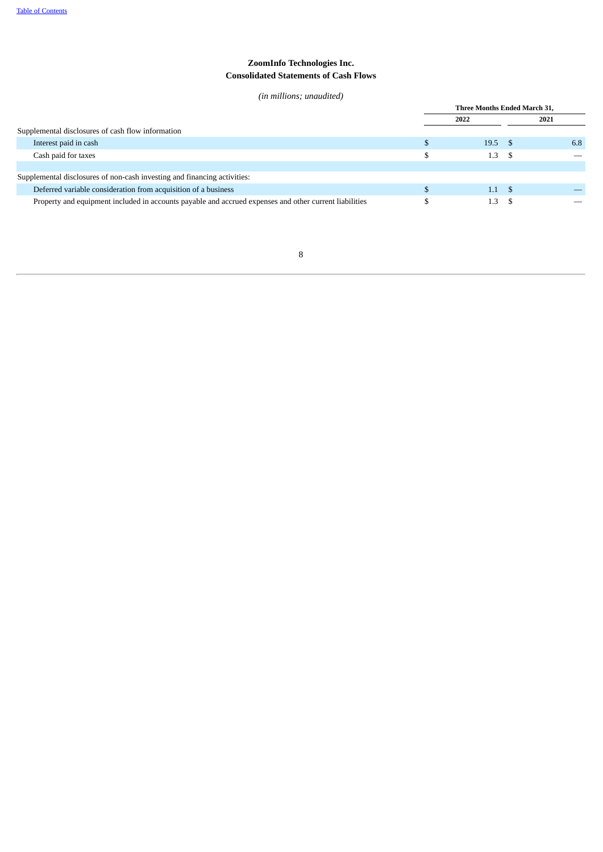# **ZoomInfo Technologies Inc. Consolidated Statements of Cash Flows**

# *(in millions; unaudited)*

<span id="page-13-0"></span>

|                                                                                                        | Three Months Ended March 31, |                  |  |      |
|--------------------------------------------------------------------------------------------------------|------------------------------|------------------|--|------|
|                                                                                                        | 2022                         |                  |  | 2021 |
| Supplemental disclosures of cash flow information                                                      |                              |                  |  |      |
| Interest paid in cash                                                                                  |                              | $19.5$ \$        |  | 6.8  |
| Cash paid for taxes                                                                                    |                              | 1.3 <sup>5</sup> |  |      |
|                                                                                                        |                              |                  |  |      |
| Supplemental disclosures of non-cash investing and financing activities:                               |                              |                  |  |      |
| Deferred variable consideration from acquisition of a business                                         |                              | 1.1 <sup>5</sup> |  |      |
| Property and equipment included in accounts payable and accrued expenses and other current liabilities |                              | 1.3 <sub>5</sub> |  |      |
|                                                                                                        |                              |                  |  |      |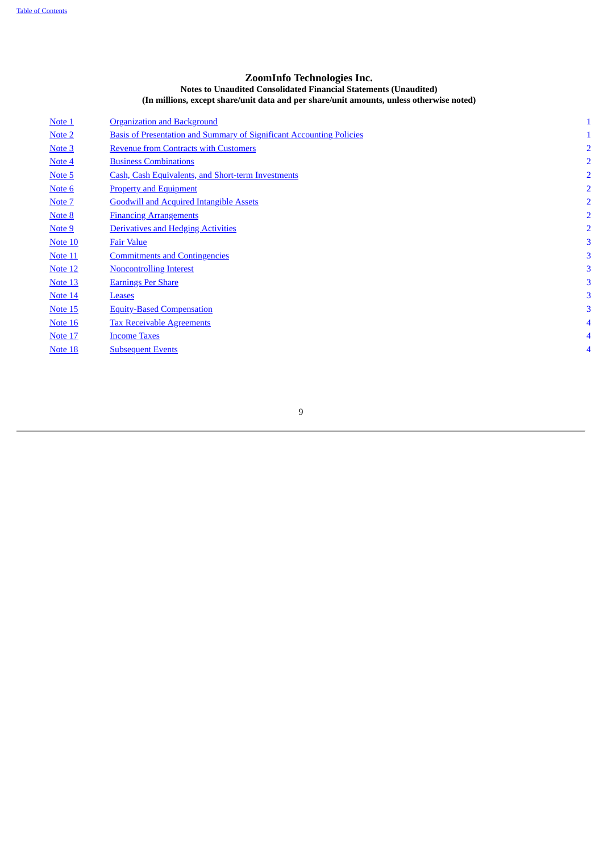# **ZoomInfo Technologies Inc.**

# **Notes to Unaudited Consolidated Financial Statements (Unaudited)**

# **(In millions, except share/unit data and per share/unit amounts, unless otherwise noted)**

<span id="page-14-0"></span>

| Note 1  | <b>Organization and Background</b>                                          |                |
|---------|-----------------------------------------------------------------------------|----------------|
| Note 2  | <b>Basis of Presentation and Summary of Significant Accounting Policies</b> |                |
| Note 3  | <b>Revenue from Contracts with Customers</b>                                | $\overline{2}$ |
| Note 4  | <b>Business Combinations</b>                                                | $\overline{2}$ |
| Note 5  | <b>Cash, Cash Equivalents, and Short-term Investments</b>                   | $\overline{2}$ |
| Note 6  | <b>Property and Equipment</b>                                               | $\overline{2}$ |
| Note 7  | <b>Goodwill and Acquired Intangible Assets</b>                              | 2              |
| Note 8  | <b>Financing Arrangements</b>                                               | $\overline{2}$ |
| Note 9  | <b>Derivatives and Hedging Activities</b>                                   | $\overline{2}$ |
| Note 10 | <b>Fair Value</b>                                                           | 3              |
| Note 11 | <b>Commitments and Contingencies</b>                                        | 3              |
| Note 12 | <b>Noncontrolling Interest</b>                                              | 3              |
| Note 13 | <b>Earnings Per Share</b>                                                   | 3              |
| Note 14 | Leases                                                                      | 3              |
| Note 15 | <b>Equity-Based Compensation</b>                                            | 3              |
| Note 16 | <b>Tax Receivable Agreements</b>                                            | 4              |
| Note 17 | <b>Income Taxes</b>                                                         | 4              |
| Note 18 | <b>Subsequent Events</b>                                                    | $\overline{4}$ |
|         |                                                                             |                |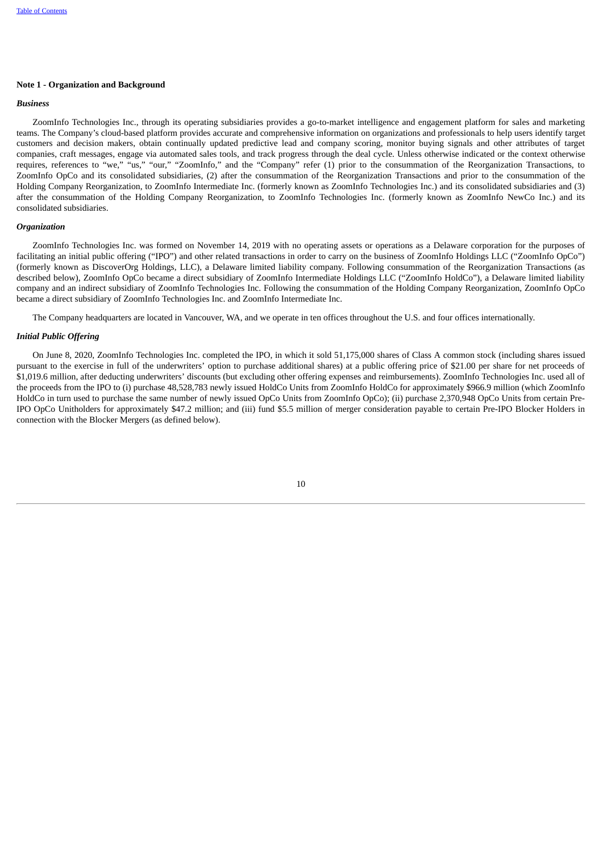### **Note 1 - Organization and Background**

### *Business*

ZoomInfo Technologies Inc., through its operating subsidiaries provides a go-to-market intelligence and engagement platform for sales and marketing teams. The Company's cloud-based platform provides accurate and comprehensive information on organizations and professionals to help users identify target customers and decision makers, obtain continually updated predictive lead and company scoring, monitor buying signals and other attributes of target companies, craft messages, engage via automated sales tools, and track progress through the deal cycle. Unless otherwise indicated or the context otherwise requires, references to "we," "us," "our," "ZoomInfo," and the "Company" refer (1) prior to the consummation of the Reorganization Transactions, to ZoomInfo OpCo and its consolidated subsidiaries, (2) after the consummation of the Reorganization Transactions and prior to the consummation of the Holding Company Reorganization, to ZoomInfo Intermediate Inc. (formerly known as ZoomInfo Technologies Inc.) and its consolidated subsidiaries and (3) after the consummation of the Holding Company Reorganization, to ZoomInfo Technologies Inc. (formerly known as ZoomInfo NewCo Inc.) and its consolidated subsidiaries.

#### *Organization*

ZoomInfo Technologies Inc. was formed on November 14, 2019 with no operating assets or operations as a Delaware corporation for the purposes of facilitating an initial public offering ("IPO") and other related transactions in order to carry on the business of ZoomInfo Holdings LLC ("ZoomInfo OpCo") (formerly known as DiscoverOrg Holdings, LLC), a Delaware limited liability company. Following consummation of the Reorganization Transactions (as described below), ZoomInfo OpCo became a direct subsidiary of ZoomInfo Intermediate Holdings LLC ("ZoomInfo HoldCo"), a Delaware limited liability company and an indirect subsidiary of ZoomInfo Technologies Inc. Following the consummation of the Holding Company Reorganization, ZoomInfo OpCo became a direct subsidiary of ZoomInfo Technologies Inc. and ZoomInfo Intermediate Inc.

The Company headquarters are located in Vancouver, WA, and we operate in ten offices throughout the U.S. and four offices internationally.

#### *Initial Public Offering*

On June 8, 2020, ZoomInfo Technologies Inc. completed the IPO, in which it sold 51,175,000 shares of Class A common stock (including shares issued pursuant to the exercise in full of the underwriters' option to purchase additional shares) at a public offering price of \$21.00 per share for net proceeds of \$1,019.6 million, after deducting underwriters' discounts (but excluding other offering expenses and reimbursements). ZoomInfo Technologies Inc. used all of the proceeds from the IPO to (i) purchase 48,528,783 newly issued HoldCo Units from ZoomInfo HoldCo for approximately \$966.9 million (which ZoomInfo HoldCo in turn used to purchase the same number of newly issued OpCo Units from ZoomInfo OpCo); (ii) purchase 2,370,948 OpCo Units from certain Pre-IPO OpCo Unitholders for approximately \$47.2 million; and (iii) fund \$5.5 million of merger consideration payable to certain Pre-IPO Blocker Holders in connection with the Blocker Mergers (as defined below).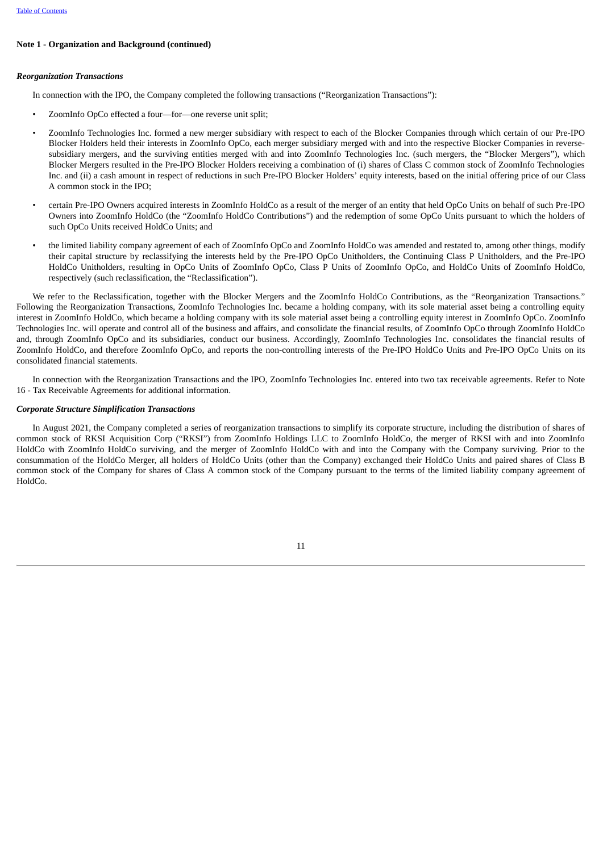### **Note 1 - Organization and Background (continued)**

#### *Reorganization Transactions*

In connection with the IPO, the Company completed the following transactions ("Reorganization Transactions"):

- ZoomInfo OpCo effected a four—for—one reverse unit split;
- ZoomInfo Technologies Inc. formed a new merger subsidiary with respect to each of the Blocker Companies through which certain of our Pre-IPO Blocker Holders held their interests in ZoomInfo OpCo, each merger subsidiary merged with and into the respective Blocker Companies in reversesubsidiary mergers, and the surviving entities merged with and into ZoomInfo Technologies Inc. (such mergers, the "Blocker Mergers"), which Blocker Mergers resulted in the Pre-IPO Blocker Holders receiving a combination of (i) shares of Class C common stock of ZoomInfo Technologies Inc. and (ii) a cash amount in respect of reductions in such Pre-IPO Blocker Holders' equity interests, based on the initial offering price of our Class A common stock in the IPO;
- certain Pre-IPO Owners acquired interests in ZoomInfo HoldCo as a result of the merger of an entity that held OpCo Units on behalf of such Pre-IPO Owners into ZoomInfo HoldCo (the "ZoomInfo HoldCo Contributions") and the redemption of some OpCo Units pursuant to which the holders of such OpCo Units received HoldCo Units; and
- the limited liability company agreement of each of ZoomInfo OpCo and ZoomInfo HoldCo was amended and restated to, among other things, modify their capital structure by reclassifying the interests held by the Pre-IPO OpCo Unitholders, the Continuing Class P Unitholders, and the Pre-IPO HoldCo Unitholders, resulting in OpCo Units of ZoomInfo OpCo, Class P Units of ZoomInfo OpCo, and HoldCo Units of ZoomInfo HoldCo, respectively (such reclassification, the "Reclassification").

We refer to the Reclassification, together with the Blocker Mergers and the ZoomInfo HoldCo Contributions, as the "Reorganization Transactions." Following the Reorganization Transactions, ZoomInfo Technologies Inc. became a holding company, with its sole material asset being a controlling equity interest in ZoomInfo HoldCo, which became a holding company with its sole material asset being a controlling equity interest in ZoomInfo OpCo. ZoomInfo Technologies Inc. will operate and control all of the business and affairs, and consolidate the financial results, of ZoomInfo OpCo through ZoomInfo HoldCo and, through ZoomInfo OpCo and its subsidiaries, conduct our business. Accordingly, ZoomInfo Technologies Inc. consolidates the financial results of ZoomInfo HoldCo, and therefore ZoomInfo OpCo, and reports the non-controlling interests of the Pre-IPO HoldCo Units and Pre-IPO OpCo Units on its consolidated financial statements.

In connection with the Reorganization Transactions and the IPO, ZoomInfo Technologies Inc. entered into two tax receivable agreements. Refer to Note 16 - Tax Receivable Agreements for additional information.

#### *Corporate Structure Simplification Transactions*

In August 2021, the Company completed a series of reorganization transactions to simplify its corporate structure, including the distribution of shares of common stock of RKSI Acquisition Corp ("RKSI") from ZoomInfo Holdings LLC to ZoomInfo HoldCo, the merger of RKSI with and into ZoomInfo HoldCo with ZoomInfo HoldCo surviving, and the merger of ZoomInfo HoldCo with and into the Company with the Company surviving. Prior to the consummation of the HoldCo Merger, all holders of HoldCo Units (other than the Company) exchanged their HoldCo Units and paired shares of Class B common stock of the Company for shares of Class A common stock of the Company pursuant to the terms of the limited liability company agreement of HoldCo.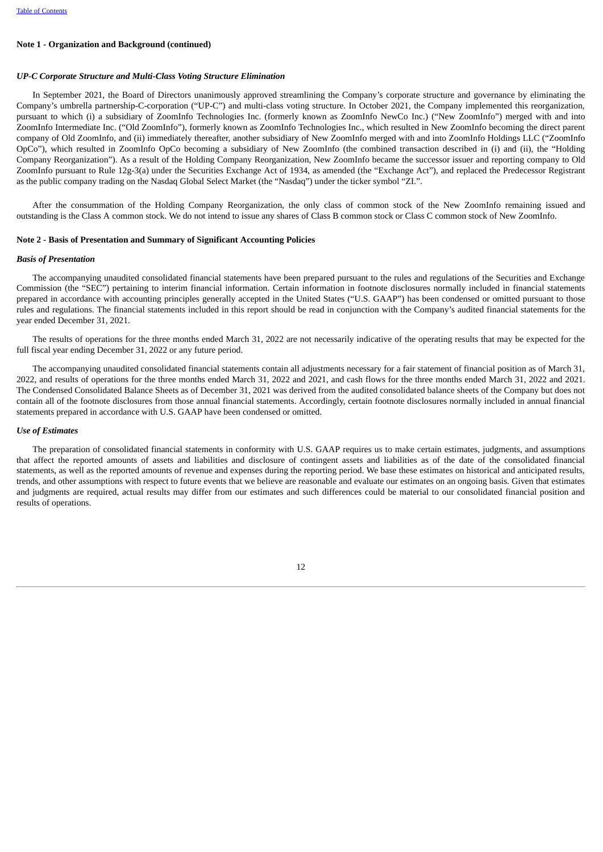### **Note 1 - Organization and Background (continued)**

# *UP-C Corporate Structure and Multi-Class Voting Structure Elimination*

In September 2021, the Board of Directors unanimously approved streamlining the Company's corporate structure and governance by eliminating the Company's umbrella partnership-C-corporation ("UP-C") and multi-class voting structure. In October 2021, the Company implemented this reorganization, pursuant to which (i) a subsidiary of ZoomInfo Technologies Inc. (formerly known as ZoomInfo NewCo Inc.) ("New ZoomInfo") merged with and into ZoomInfo Intermediate Inc. ("Old ZoomInfo"), formerly known as ZoomInfo Technologies Inc., which resulted in New ZoomInfo becoming the direct parent company of Old ZoomInfo, and (ii) immediately thereafter, another subsidiary of New ZoomInfo merged with and into ZoomInfo Holdings LLC ("ZoomInfo OpCo"), which resulted in ZoomInfo OpCo becoming a subsidiary of New ZoomInfo (the combined transaction described in (i) and (ii), the "Holding Company Reorganization"). As a result of the Holding Company Reorganization, New ZoomInfo became the successor issuer and reporting company to Old ZoomInfo pursuant to Rule 12g-3(a) under the Securities Exchange Act of 1934, as amended (the "Exchange Act"), and replaced the Predecessor Registrant as the public company trading on the Nasdaq Global Select Market (the "Nasdaq") under the ticker symbol "ZI.".

After the consummation of the Holding Company Reorganization, the only class of common stock of the New ZoomInfo remaining issued and outstanding is the Class A common stock. We do not intend to issue any shares of Class B common stock or Class C common stock of New ZoomInfo.

### <span id="page-17-0"></span>**Note 2 - Basis of Presentation and Summary of Significant Accounting Policies**

### *Basis of Presentation*

The accompanying unaudited consolidated financial statements have been prepared pursuant to the rules and regulations of the Securities and Exchange Commission (the "SEC") pertaining to interim financial information. Certain information in footnote disclosures normally included in financial statements prepared in accordance with accounting principles generally accepted in the United States ("U.S. GAAP") has been condensed or omitted pursuant to those rules and regulations. The financial statements included in this report should be read in conjunction with the Company's audited financial statements for the year ended December 31, 2021.

The results of operations for the three months ended March 31, 2022 are not necessarily indicative of the operating results that may be expected for the full fiscal year ending December 31, 2022 or any future period.

The accompanying unaudited consolidated financial statements contain all adjustments necessary for a fair statement of financial position as of March 31, 2022, and results of operations for the three months ended March 31, 2022 and 2021, and cash flows for the three months ended March 31, 2022 and 2021. The Condensed Consolidated Balance Sheets as of December 31, 2021 was derived from the audited consolidated balance sheets of the Company but does not contain all of the footnote disclosures from those annual financial statements. Accordingly, certain footnote disclosures normally included in annual financial statements prepared in accordance with U.S. GAAP have been condensed or omitted.

#### *Use of Estimates*

The preparation of consolidated financial statements in conformity with U.S. GAAP requires us to make certain estimates, judgments, and assumptions that affect the reported amounts of assets and liabilities and disclosure of contingent assets and liabilities as of the date of the consolidated financial statements, as well as the reported amounts of revenue and expenses during the reporting period. We base these estimates on historical and anticipated results, trends, and other assumptions with respect to future events that we believe are reasonable and evaluate our estimates on an ongoing basis. Given that estimates and judgments are required, actual results may differ from our estimates and such differences could be material to our consolidated financial position and results of operations.

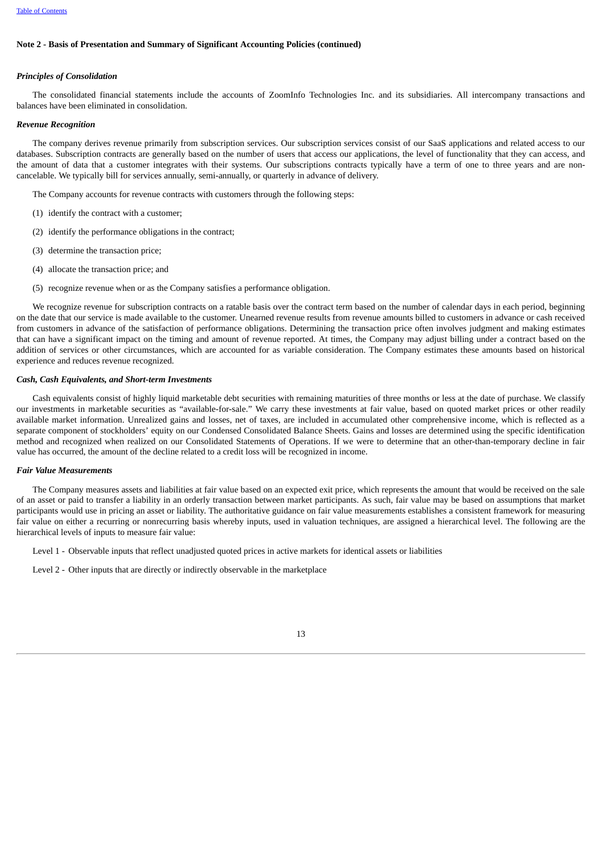#### *Principles of Consolidation*

The consolidated financial statements include the accounts of ZoomInfo Technologies Inc. and its subsidiaries. All intercompany transactions and balances have been eliminated in consolidation.

#### *Revenue Recognition*

The company derives revenue primarily from subscription services. Our subscription services consist of our SaaS applications and related access to our databases. Subscription contracts are generally based on the number of users that access our applications, the level of functionality that they can access, and the amount of data that a customer integrates with their systems. Our subscriptions contracts typically have a term of one to three years and are noncancelable. We typically bill for services annually, semi-annually, or quarterly in advance of delivery.

The Company accounts for revenue contracts with customers through the following steps:

- (1) identify the contract with a customer;
- (2) identify the performance obligations in the contract;
- (3) determine the transaction price;
- (4) allocate the transaction price; and
- (5) recognize revenue when or as the Company satisfies a performance obligation.

We recognize revenue for subscription contracts on a ratable basis over the contract term based on the number of calendar days in each period, beginning on the date that our service is made available to the customer. Unearned revenue results from revenue amounts billed to customers in advance or cash received from customers in advance of the satisfaction of performance obligations. Determining the transaction price often involves judgment and making estimates that can have a significant impact on the timing and amount of revenue reported. At times, the Company may adjust billing under a contract based on the addition of services or other circumstances, which are accounted for as variable consideration. The Company estimates these amounts based on historical experience and reduces revenue recognized.

### *Cash, Cash Equivalents, and Short-term Investments*

Cash equivalents consist of highly liquid marketable debt securities with remaining maturities of three months or less at the date of purchase. We classify our investments in marketable securities as "available-for-sale." We carry these investments at fair value, based on quoted market prices or other readily available market information. Unrealized gains and losses, net of taxes, are included in accumulated other comprehensive income, which is reflected as a separate component of stockholders' equity on our Condensed Consolidated Balance Sheets. Gains and losses are determined using the specific identification method and recognized when realized on our Consolidated Statements of Operations. If we were to determine that an other-than-temporary decline in fair value has occurred, the amount of the decline related to a credit loss will be recognized in income.

#### *Fair Value Measurements*

The Company measures assets and liabilities at fair value based on an expected exit price, which represents the amount that would be received on the sale of an asset or paid to transfer a liability in an orderly transaction between market participants. As such, fair value may be based on assumptions that market participants would use in pricing an asset or liability. The authoritative guidance on fair value measurements establishes a consistent framework for measuring fair value on either a recurring or nonrecurring basis whereby inputs, used in valuation techniques, are assigned a hierarchical level. The following are the hierarchical levels of inputs to measure fair value:

Level 1 - Observable inputs that reflect unadjusted quoted prices in active markets for identical assets or liabilities

Level 2 - Other inputs that are directly or indirectly observable in the marketplace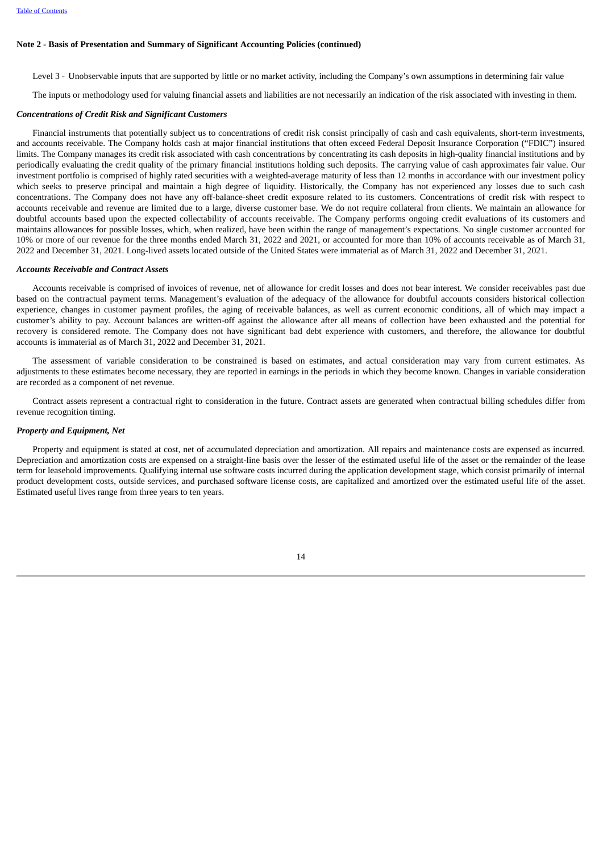Level 3 - Unobservable inputs that are supported by little or no market activity, including the Company's own assumptions in determining fair value

The inputs or methodology used for valuing financial assets and liabilities are not necessarily an indication of the risk associated with investing in them.

#### *Concentrations of Credit Risk and Significant Customers*

Financial instruments that potentially subject us to concentrations of credit risk consist principally of cash and cash equivalents, short-term investments, and accounts receivable. The Company holds cash at major financial institutions that often exceed Federal Deposit Insurance Corporation ("FDIC") insured limits. The Company manages its credit risk associated with cash concentrations by concentrating its cash deposits in high-quality financial institutions and by periodically evaluating the credit quality of the primary financial institutions holding such deposits. The carrying value of cash approximates fair value. Our investment portfolio is comprised of highly rated securities with a weighted-average maturity of less than 12 months in accordance with our investment policy which seeks to preserve principal and maintain a high degree of liquidity. Historically, the Company has not experienced any losses due to such cash concentrations. The Company does not have any off-balance-sheet credit exposure related to its customers. Concentrations of credit risk with respect to accounts receivable and revenue are limited due to a large, diverse customer base. We do not require collateral from clients. We maintain an allowance for doubtful accounts based upon the expected collectability of accounts receivable. The Company performs ongoing credit evaluations of its customers and maintains allowances for possible losses, which, when realized, have been within the range of management's expectations. No single customer accounted for 10% or more of our revenue for the three months ended March 31, 2022 and 2021, or accounted for more than 10% of accounts receivable as of March 31, 2022 and December 31, 2021. Long-lived assets located outside of the United States were immaterial as of March 31, 2022 and December 31, 2021.

#### *Accounts Receivable and Contract Assets*

Accounts receivable is comprised of invoices of revenue, net of allowance for credit losses and does not bear interest. We consider receivables past due based on the contractual payment terms. Management's evaluation of the adequacy of the allowance for doubtful accounts considers historical collection experience, changes in customer payment profiles, the aging of receivable balances, as well as current economic conditions, all of which may impact a customer's ability to pay. Account balances are written-off against the allowance after all means of collection have been exhausted and the potential for recovery is considered remote. The Company does not have significant bad debt experience with customers, and therefore, the allowance for doubtful accounts is immaterial as of March 31, 2022 and December 31, 2021.

The assessment of variable consideration to be constrained is based on estimates, and actual consideration may vary from current estimates. As adjustments to these estimates become necessary, they are reported in earnings in the periods in which they become known. Changes in variable consideration are recorded as a component of net revenue.

Contract assets represent a contractual right to consideration in the future. Contract assets are generated when contractual billing schedules differ from revenue recognition timing.

#### *Property and Equipment, Net*

Property and equipment is stated at cost, net of accumulated depreciation and amortization. All repairs and maintenance costs are expensed as incurred. Depreciation and amortization costs are expensed on a straight-line basis over the lesser of the estimated useful life of the asset or the remainder of the lease term for leasehold improvements. Qualifying internal use software costs incurred during the application development stage, which consist primarily of internal product development costs, outside services, and purchased software license costs, are capitalized and amortized over the estimated useful life of the asset. Estimated useful lives range from three years to ten years.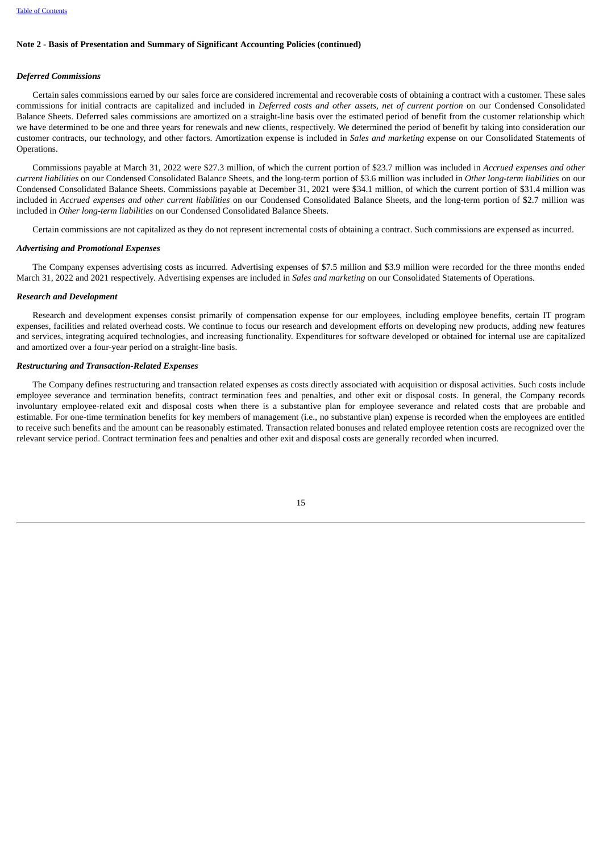#### *Deferred Commissions*

Certain sales commissions earned by our sales force are considered incremental and recoverable costs of obtaining a contract with a customer. These sales commissions for initial contracts are capitalized and included in *Deferred costs and other assets, net of current portion* on our Condensed Consolidated Balance Sheets. Deferred sales commissions are amortized on a straight-line basis over the estimated period of benefit from the customer relationship which we have determined to be one and three years for renewals and new clients, respectively. We determined the period of benefit by taking into consideration our customer contracts, our technology, and other factors. Amortization expense is included in *Sales and marketing* expense on our Consolidated Statements of Operations.

Commissions payable at March 31, 2022 were \$27.3 million, of which the current portion of \$23.7 million was included in *Accrued expenses and other current liabilities* on our Condensed Consolidated Balance Sheets, and the long-term portion of \$3.6 million was included in *Other long-term liabilities* on our Condensed Consolidated Balance Sheets. Commissions payable at December 31, 2021 were \$34.1 million, of which the current portion of \$31.4 million was included in *Accrued expenses and other current liabilities* on our Condensed Consolidated Balance Sheets, and the long-term portion of \$2.7 million was included in *Other long-term liabilities* on our Condensed Consolidated Balance Sheets.

Certain commissions are not capitalized as they do not represent incremental costs of obtaining a contract. Such commissions are expensed as incurred.

#### *Advertising and Promotional Expenses*

The Company expenses advertising costs as incurred. Advertising expenses of \$7.5 million and \$3.9 million were recorded for the three months ended March 31, 2022 and 2021 respectively. Advertising expenses are included in *Sales and marketing* on our Consolidated Statements of Operations.

#### *Research and Development*

Research and development expenses consist primarily of compensation expense for our employees, including employee benefits, certain IT program expenses, facilities and related overhead costs. We continue to focus our research and development efforts on developing new products, adding new features and services, integrating acquired technologies, and increasing functionality. Expenditures for software developed or obtained for internal use are capitalized and amortized over a four-year period on a straight-line basis.

#### *Restructuring and Transaction-Related Expenses*

The Company defines restructuring and transaction related expenses as costs directly associated with acquisition or disposal activities. Such costs include employee severance and termination benefits, contract termination fees and penalties, and other exit or disposal costs. In general, the Company records involuntary employee-related exit and disposal costs when there is a substantive plan for employee severance and related costs that are probable and estimable. For one-time termination benefits for key members of management (i.e., no substantive plan) expense is recorded when the employees are entitled to receive such benefits and the amount can be reasonably estimated. Transaction related bonuses and related employee retention costs are recognized over the relevant service period. Contract termination fees and penalties and other exit and disposal costs are generally recorded when incurred.

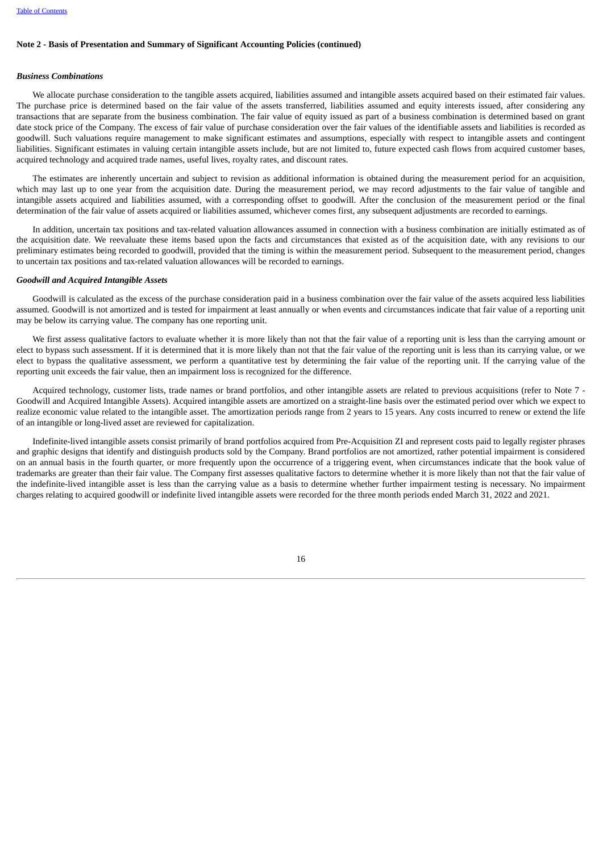### *Business Combinations*

We allocate purchase consideration to the tangible assets acquired, liabilities assumed and intangible assets acquired based on their estimated fair values. The purchase price is determined based on the fair value of the assets transferred, liabilities assumed and equity interests issued, after considering any transactions that are separate from the business combination. The fair value of equity issued as part of a business combination is determined based on grant date stock price of the Company. The excess of fair value of purchase consideration over the fair values of the identifiable assets and liabilities is recorded as goodwill. Such valuations require management to make significant estimates and assumptions, especially with respect to intangible assets and contingent liabilities. Significant estimates in valuing certain intangible assets include, but are not limited to, future expected cash flows from acquired customer bases, acquired technology and acquired trade names, useful lives, royalty rates, and discount rates.

The estimates are inherently uncertain and subject to revision as additional information is obtained during the measurement period for an acquisition, which may last up to one year from the acquisition date. During the measurement period, we may record adjustments to the fair value of tangible and intangible assets acquired and liabilities assumed, with a corresponding offset to goodwill. After the conclusion of the measurement period or the final determination of the fair value of assets acquired or liabilities assumed, whichever comes first, any subsequent adjustments are recorded to earnings.

In addition, uncertain tax positions and tax-related valuation allowances assumed in connection with a business combination are initially estimated as of the acquisition date. We reevaluate these items based upon the facts and circumstances that existed as of the acquisition date, with any revisions to our preliminary estimates being recorded to goodwill, provided that the timing is within the measurement period. Subsequent to the measurement period, changes to uncertain tax positions and tax-related valuation allowances will be recorded to earnings.

#### *Goodwill and Acquired Intangible Assets*

Goodwill is calculated as the excess of the purchase consideration paid in a business combination over the fair value of the assets acquired less liabilities assumed. Goodwill is not amortized and is tested for impairment at least annually or when events and circumstances indicate that fair value of a reporting unit may be below its carrying value. The company has one reporting unit.

We first assess qualitative factors to evaluate whether it is more likely than not that the fair value of a reporting unit is less than the carrying amount or elect to bypass such assessment. If it is determined that it is more likely than not that the fair value of the reporting unit is less than its carrying value, or we elect to bypass the qualitative assessment, we perform a quantitative test by determining the fair value of the reporting unit. If the carrying value of the reporting unit exceeds the fair value, then an impairment loss is recognized for the difference.

Acquired technology, customer lists, trade names or brand portfolios, and other intangible assets are related to previous acquisitions (refer to Note 7 -Goodwill and Acquired Intangible Assets). Acquired intangible assets are amortized on a straight-line basis over the estimated period over which we expect to realize economic value related to the intangible asset. The amortization periods range from 2 years to 15 years. Any costs incurred to renew or extend the life of an intangible or long-lived asset are reviewed for capitalization.

Indefinite-lived intangible assets consist primarily of brand portfolios acquired from Pre-Acquisition ZI and represent costs paid to legally register phrases and graphic designs that identify and distinguish products sold by the Company. Brand portfolios are not amortized, rather potential impairment is considered on an annual basis in the fourth quarter, or more frequently upon the occurrence of a triggering event, when circumstances indicate that the book value of trademarks are greater than their fair value. The Company first assesses qualitative factors to determine whether it is more likely than not that the fair value of the indefinite-lived intangible asset is less than the carrying value as a basis to determine whether further impairment testing is necessary. No impairment charges relating to acquired goodwill or indefinite lived intangible assets were recorded for the three month periods ended March 31, 2022 and 2021.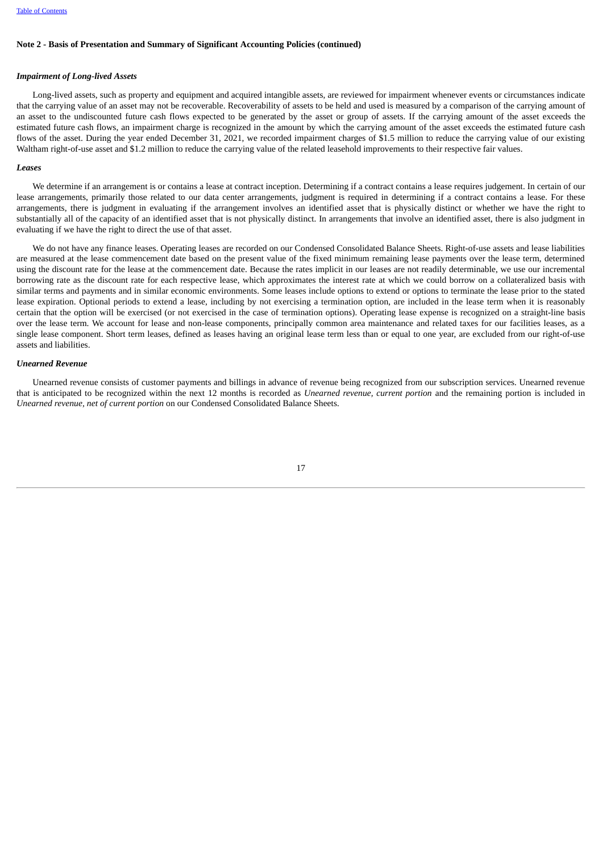#### *Impairment of Long-lived Assets*

Long-lived assets, such as property and equipment and acquired intangible assets, are reviewed for impairment whenever events or circumstances indicate that the carrying value of an asset may not be recoverable. Recoverability of assets to be held and used is measured by a comparison of the carrying amount of an asset to the undiscounted future cash flows expected to be generated by the asset or group of assets. If the carrying amount of the asset exceeds the estimated future cash flows, an impairment charge is recognized in the amount by which the carrying amount of the asset exceeds the estimated future cash flows of the asset. During the year ended December 31, 2021, we recorded impairment charges of \$1.5 million to reduce the carrying value of our existing Waltham right-of-use asset and \$1.2 million to reduce the carrying value of the related leasehold improvements to their respective fair values.

#### *Leases*

We determine if an arrangement is or contains a lease at contract inception. Determining if a contract contains a lease requires judgement. In certain of our lease arrangements, primarily those related to our data center arrangements, judgment is required in determining if a contract contains a lease. For these arrangements, there is judgment in evaluating if the arrangement involves an identified asset that is physically distinct or whether we have the right to substantially all of the capacity of an identified asset that is not physically distinct. In arrangements that involve an identified asset, there is also judgment in evaluating if we have the right to direct the use of that asset.

We do not have any finance leases. Operating leases are recorded on our Condensed Consolidated Balance Sheets. Right-of-use assets and lease liabilities are measured at the lease commencement date based on the present value of the fixed minimum remaining lease payments over the lease term, determined using the discount rate for the lease at the commencement date. Because the rates implicit in our leases are not readily determinable, we use our incremental borrowing rate as the discount rate for each respective lease, which approximates the interest rate at which we could borrow on a collateralized basis with similar terms and payments and in similar economic environments. Some leases include options to extend or options to terminate the lease prior to the stated lease expiration. Optional periods to extend a lease, including by not exercising a termination option, are included in the lease term when it is reasonably certain that the option will be exercised (or not exercised in the case of termination options). Operating lease expense is recognized on a straight-line basis over the lease term. We account for lease and non-lease components, principally common area maintenance and related taxes for our facilities leases, as a single lease component. Short term leases, defined as leases having an original lease term less than or equal to one year, are excluded from our right-of-use assets and liabilities.

#### *Unearned Revenue*

Unearned revenue consists of customer payments and billings in advance of revenue being recognized from our subscription services. Unearned revenue that is anticipated to be recognized within the next 12 months is recorded as *Unearned revenue, current portion* and the remaining portion is included in *Unearned revenue, net of current portion* on our Condensed Consolidated Balance Sheets.

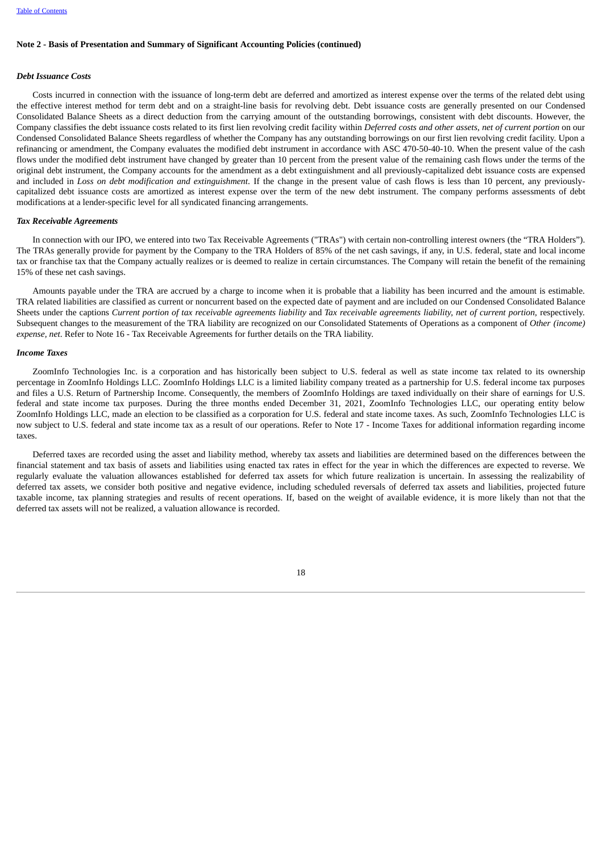#### *Debt Issuance Costs*

Costs incurred in connection with the issuance of long-term debt are deferred and amortized as interest expense over the terms of the related debt using the effective interest method for term debt and on a straight-line basis for revolving debt. Debt issuance costs are generally presented on our Condensed Consolidated Balance Sheets as a direct deduction from the carrying amount of the outstanding borrowings, consistent with debt discounts. However, the Company classifies the debt issuance costs related to its first lien revolving credit facility within Deferred costs and other assets, net of current portion on our Condensed Consolidated Balance Sheets regardless of whether the Company has any outstanding borrowings on our first lien revolving credit facility. Upon a refinancing or amendment, the Company evaluates the modified debt instrument in accordance with ASC 470-50-40-10. When the present value of the cash flows under the modified debt instrument have changed by greater than 10 percent from the present value of the remaining cash flows under the terms of the original debt instrument, the Company accounts for the amendment as a debt extinguishment and all previously-capitalized debt issuance costs are expensed and included in *Loss on debt modification and extinguishment*. If the change in the present value of cash flows is less than 10 percent, any previouslycapitalized debt issuance costs are amortized as interest expense over the term of the new debt instrument. The company performs assessments of debt modifications at a lender-specific level for all syndicated financing arrangements.

#### *Tax Receivable Agreements*

In connection with our IPO, we entered into two Tax Receivable Agreements ("TRAs") with certain non-controlling interest owners (the "TRA Holders"). The TRAs generally provide for payment by the Company to the TRA Holders of 85% of the net cash savings, if any, in U.S. federal, state and local income tax or franchise tax that the Company actually realizes or is deemed to realize in certain circumstances. The Company will retain the benefit of the remaining 15% of these net cash savings.

Amounts payable under the TRA are accrued by a charge to income when it is probable that a liability has been incurred and the amount is estimable. TRA related liabilities are classified as current or noncurrent based on the expected date of payment and are included on our Condensed Consolidated Balance Sheets under the captions Current portion of tax receivable agreements liability and Tax receivable agreements liability, net of current portion, respectively. Subsequent changes to the measurement of the TRA liability are recognized on our Consolidated Statements of Operations as a component of *Other (income) expense, net*. Refer to Note 16 - Tax Receivable Agreements for further details on the TRA liability.

### *Income Taxes*

ZoomInfo Technologies Inc. is a corporation and has historically been subject to U.S. federal as well as state income tax related to its ownership percentage in ZoomInfo Holdings LLC. ZoomInfo Holdings LLC is a limited liability company treated as a partnership for U.S. federal income tax purposes and files a U.S. Return of Partnership Income. Consequently, the members of ZoomInfo Holdings are taxed individually on their share of earnings for U.S. federal and state income tax purposes. During the three months ended December 31, 2021, ZoomInfo Technologies LLC, our operating entity below ZoomInfo Holdings LLC, made an election to be classified as a corporation for U.S. federal and state income taxes. As such, ZoomInfo Technologies LLC is now subject to U.S. federal and state income tax as a result of our operations. Refer to Note 17 - Income Taxes for additional information regarding income taxes.

Deferred taxes are recorded using the asset and liability method, whereby tax assets and liabilities are determined based on the differences between the financial statement and tax basis of assets and liabilities using enacted tax rates in effect for the year in which the differences are expected to reverse. We regularly evaluate the valuation allowances established for deferred tax assets for which future realization is uncertain. In assessing the realizability of deferred tax assets, we consider both positive and negative evidence, including scheduled reversals of deferred tax assets and liabilities, projected future taxable income, tax planning strategies and results of recent operations. If, based on the weight of available evidence, it is more likely than not that the deferred tax assets will not be realized, a valuation allowance is recorded.

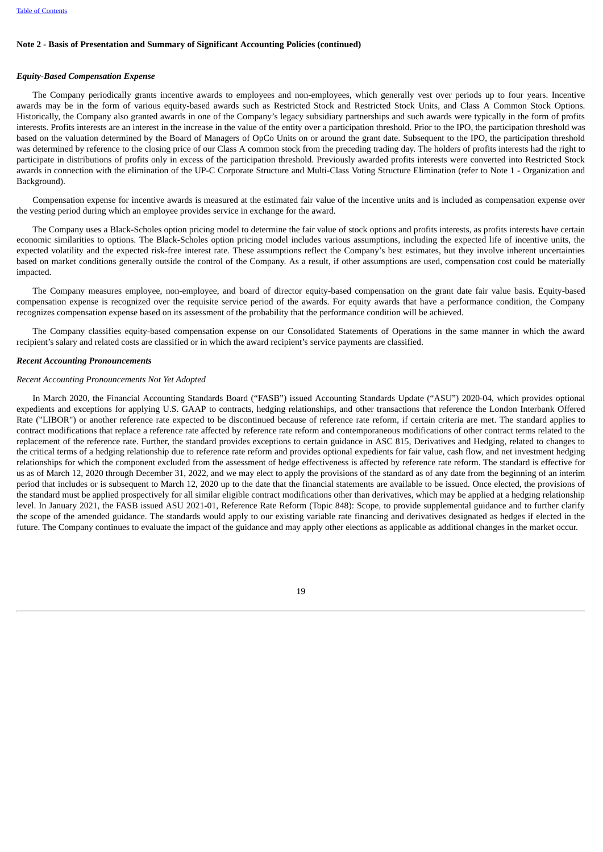#### *Equity-Based Compensation Expense*

The Company periodically grants incentive awards to employees and non-employees, which generally vest over periods up to four years. Incentive awards may be in the form of various equity-based awards such as Restricted Stock and Restricted Stock Units, and Class A Common Stock Options. Historically, the Company also granted awards in one of the Company's legacy subsidiary partnerships and such awards were typically in the form of profits interests. Profits interests are an interest in the increase in the value of the entity over a participation threshold. Prior to the IPO, the participation threshold was based on the valuation determined by the Board of Managers of OpCo Units on or around the grant date. Subsequent to the IPO, the participation threshold was determined by reference to the closing price of our Class A common stock from the preceding trading day. The holders of profits interests had the right to participate in distributions of profits only in excess of the participation threshold. Previously awarded profits interests were converted into Restricted Stock awards in connection with the elimination of the UP-C Corporate Structure and Multi-Class Voting Structure Elimination (refer to Note 1 - Organization and Background).

Compensation expense for incentive awards is measured at the estimated fair value of the incentive units and is included as compensation expense over the vesting period during which an employee provides service in exchange for the award.

The Company uses a Black-Scholes option pricing model to determine the fair value of stock options and profits interests, as profits interests have certain economic similarities to options. The Black-Scholes option pricing model includes various assumptions, including the expected life of incentive units, the expected volatility and the expected risk-free interest rate. These assumptions reflect the Company's best estimates, but they involve inherent uncertainties based on market conditions generally outside the control of the Company. As a result, if other assumptions are used, compensation cost could be materially impacted.

The Company measures employee, non-employee, and board of director equity-based compensation on the grant date fair value basis. Equity-based compensation expense is recognized over the requisite service period of the awards. For equity awards that have a performance condition, the Company recognizes compensation expense based on its assessment of the probability that the performance condition will be achieved.

The Company classifies equity-based compensation expense on our Consolidated Statements of Operations in the same manner in which the award recipient's salary and related costs are classified or in which the award recipient's service payments are classified.

#### *Recent Accounting Pronouncements*

#### *Recent Accounting Pronouncements Not Yet Adopted*

In March 2020, the Financial Accounting Standards Board ("FASB") issued Accounting Standards Update ("ASU") 2020-04, which provides optional expedients and exceptions for applying U.S. GAAP to contracts, hedging relationships, and other transactions that reference the London Interbank Offered Rate ("LIBOR") or another reference rate expected to be discontinued because of reference rate reform, if certain criteria are met. The standard applies to contract modifications that replace a reference rate affected by reference rate reform and contemporaneous modifications of other contract terms related to the replacement of the reference rate. Further, the standard provides exceptions to certain guidance in ASC 815, Derivatives and Hedging, related to changes to the critical terms of a hedging relationship due to reference rate reform and provides optional expedients for fair value, cash flow, and net investment hedging relationships for which the component excluded from the assessment of hedge effectiveness is affected by reference rate reform. The standard is effective for us as of March 12, 2020 through December 31, 2022, and we may elect to apply the provisions of the standard as of any date from the beginning of an interim period that includes or is subsequent to March 12, 2020 up to the date that the financial statements are available to be issued. Once elected, the provisions of the standard must be applied prospectively for all similar eligible contract modifications other than derivatives, which may be applied at a hedging relationship level. In January 2021, the FASB issued ASU 2021-01, Reference Rate Reform (Topic 848): Scope, to provide supplemental guidance and to further clarify the scope of the amended guidance. The standards would apply to our existing variable rate financing and derivatives designated as hedges if elected in the future. The Company continues to evaluate the impact of the guidance and may apply other elections as applicable as additional changes in the market occur.

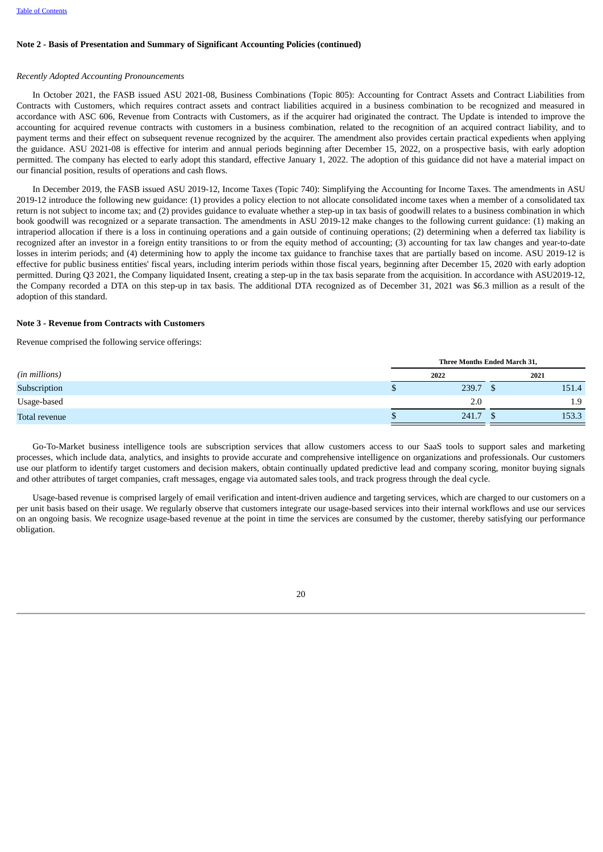#### *Recently Adopted Accounting Pronouncements*

In October 2021, the FASB issued ASU 2021-08, Business Combinations (Topic 805): Accounting for Contract Assets and Contract Liabilities from Contracts with Customers, which requires contract assets and contract liabilities acquired in a business combination to be recognized and measured in accordance with ASC 606, Revenue from Contracts with Customers, as if the acquirer had originated the contract. The Update is intended to improve the accounting for acquired revenue contracts with customers in a business combination, related to the recognition of an acquired contract liability, and to payment terms and their effect on subsequent revenue recognized by the acquirer. The amendment also provides certain practical expedients when applying the guidance. ASU 2021-08 is effective for interim and annual periods beginning after December 15, 2022, on a prospective basis, with early adoption permitted. The company has elected to early adopt this standard, effective January 1, 2022. The adoption of this guidance did not have a material impact on our financial position, results of operations and cash flows.

In December 2019, the FASB issued ASU 2019-12, Income Taxes (Topic 740): Simplifying the Accounting for Income Taxes. The amendments in ASU 2019-12 introduce the following new guidance: (1) provides a policy election to not allocate consolidated income taxes when a member of a consolidated tax return is not subject to income tax; and (2) provides guidance to evaluate whether a step-up in tax basis of goodwill relates to a business combination in which book goodwill was recognized or a separate transaction. The amendments in ASU 2019-12 make changes to the following current guidance: (1) making an intraperiod allocation if there is a loss in continuing operations and a gain outside of continuing operations; (2) determining when a deferred tax liability is recognized after an investor in a foreign entity transitions to or from the equity method of accounting; (3) accounting for tax law changes and year-to-date losses in interim periods; and (4) determining how to apply the income tax guidance to franchise taxes that are partially based on income. ASU 2019-12 is effective for public business entities' fiscal years, including interim periods within those fiscal years, beginning after December 15, 2020 with early adoption permitted. During Q3 2021, the Company liquidated Insent, creating a step-up in the tax basis separate from the acquisition. In accordance with ASU2019-12, the Company recorded a DTA on this step-up in tax basis. The additional DTA recognized as of December 31, 2021 was \$6.3 million as a result of the adoption of this standard.

#### <span id="page-25-0"></span>**Note 3 - Revenue from Contracts with Customers**

Revenue comprised the following service offerings:

|               | Three Months Ended March 31, |       |  |  |  |  |  |  |
|---------------|------------------------------|-------|--|--|--|--|--|--|
| (in millions) | 2022                         | 2021  |  |  |  |  |  |  |
| Subscription  | 239.7                        | 151.4 |  |  |  |  |  |  |
| Usage-based   | 2.0                          | 1.9   |  |  |  |  |  |  |
| Total revenue | 241.7                        | 153.3 |  |  |  |  |  |  |

Go-To-Market business intelligence tools are subscription services that allow customers access to our SaaS tools to support sales and marketing processes, which include data, analytics, and insights to provide accurate and comprehensive intelligence on organizations and professionals. Our customers use our platform to identify target customers and decision makers, obtain continually updated predictive lead and company scoring, monitor buying signals and other attributes of target companies, craft messages, engage via automated sales tools, and track progress through the deal cycle.

Usage-based revenue is comprised largely of email verification and intent-driven audience and targeting services, which are charged to our customers on a per unit basis based on their usage. We regularly observe that customers integrate our usage-based services into their internal workflows and use our services on an ongoing basis. We recognize usage-based revenue at the point in time the services are consumed by the customer, thereby satisfying our performance obligation.

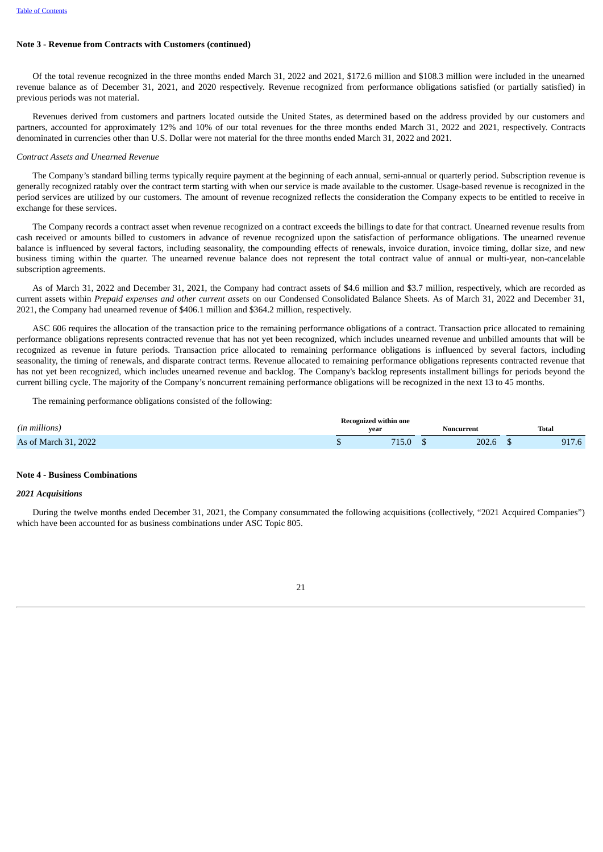#### **Note 3 - Revenue from Contracts with Customers (continued)**

Of the total revenue recognized in the three months ended March 31, 2022 and 2021, \$172.6 million and \$108.3 million were included in the unearned revenue balance as of December 31, 2021, and 2020 respectively. Revenue recognized from performance obligations satisfied (or partially satisfied) in previous periods was not material.

Revenues derived from customers and partners located outside the United States, as determined based on the address provided by our customers and partners, accounted for approximately 12% and 10% of our total revenues for the three months ended March 31, 2022 and 2021, respectively. Contracts denominated in currencies other than U.S. Dollar were not material for the three months ended March 31, 2022 and 2021.

#### *Contract Assets and Unearned Revenue*

The Company's standard billing terms typically require payment at the beginning of each annual, semi-annual or quarterly period. Subscription revenue is generally recognized ratably over the contract term starting with when our service is made available to the customer. Usage-based revenue is recognized in the period services are utilized by our customers. The amount of revenue recognized reflects the consideration the Company expects to be entitled to receive in exchange for these services.

The Company records a contract asset when revenue recognized on a contract exceeds the billings to date for that contract. Unearned revenue results from cash received or amounts billed to customers in advance of revenue recognized upon the satisfaction of performance obligations. The unearned revenue balance is influenced by several factors, including seasonality, the compounding effects of renewals, invoice duration, invoice timing, dollar size, and new business timing within the quarter. The unearned revenue balance does not represent the total contract value of annual or multi-year, non-cancelable subscription agreements.

As of March 31, 2022 and December 31, 2021, the Company had contract assets of \$4.6 million and \$3.7 million, respectively, which are recorded as current assets within *Prepaid expenses and other current assets* on our Condensed Consolidated Balance Sheets. As of March 31, 2022 and December 31, 2021, the Company had unearned revenue of \$406.1 million and \$364.2 million, respectively.

ASC 606 requires the allocation of the transaction price to the remaining performance obligations of a contract. Transaction price allocated to remaining performance obligations represents contracted revenue that has not yet been recognized, which includes unearned revenue and unbilled amounts that will be recognized as revenue in future periods. Transaction price allocated to remaining performance obligations is influenced by several factors, including seasonality, the timing of renewals, and disparate contract terms. Revenue allocated to remaining performance obligations represents contracted revenue that has not yet been recognized, which includes unearned revenue and backlog. The Company's backlog represents installment billings for periods beyond the current billing cycle. The majority of the Company's noncurrent remaining performance obligations will be recognized in the next 13 to 45 months.

The remaining performance obligations consisted of the following:

|                      | <b>Recognized within one</b> |            |       |  |              |  |
|----------------------|------------------------------|------------|-------|--|--------------|--|
| (in millions)        | vear                         | Noncurrent |       |  | <b>Total</b> |  |
| As of March 31, 2022 | $71E \Omega$                 |            | 202.6 |  | 917.6        |  |

### <span id="page-26-0"></span>**Note 4 - Business Combinations**

#### *2021 Acquisitions*

During the twelve months ended December 31, 2021, the Company consummated the following acquisitions (collectively, "2021 Acquired Companies") which have been accounted for as business combinations under ASC Topic 805.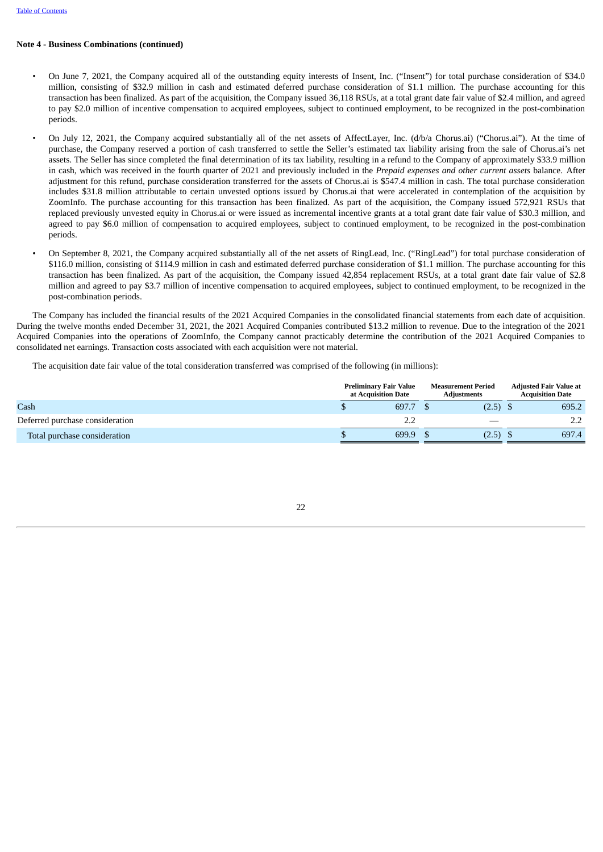#### **Note 4 - Business Combinations (continued)**

- On June 7, 2021, the Company acquired all of the outstanding equity interests of Insent, Inc. ("Insent") for total purchase consideration of \$34.0 million, consisting of \$32.9 million in cash and estimated deferred purchase consideration of \$1.1 million. The purchase accounting for this transaction has been finalized. As part of the acquisition, the Company issued 36,118 RSUs, at a total grant date fair value of \$2.4 million, and agreed to pay \$2.0 million of incentive compensation to acquired employees, subject to continued employment, to be recognized in the post-combination periods.
- On July 12, 2021, the Company acquired substantially all of the net assets of AffectLayer, Inc. (d/b/a Chorus.ai) ("Chorus.ai"). At the time of purchase, the Company reserved a portion of cash transferred to settle the Seller's estimated tax liability arising from the sale of Chorus.ai's net assets. The Seller has since completed the final determination of its tax liability, resulting in a refund to the Company of approximately \$33.9 million in cash, which was received in the fourth quarter of 2021 and previously included in the *Prepaid expenses and other current assets* balance. After adjustment for this refund, purchase consideration transferred for the assets of Chorus.ai is \$547.4 million in cash. The total purchase consideration includes \$31.8 million attributable to certain unvested options issued by Chorus.ai that were accelerated in contemplation of the acquisition by ZoomInfo. The purchase accounting for this transaction has been finalized. As part of the acquisition, the Company issued 572,921 RSUs that replaced previously unvested equity in Chorus.ai or were issued as incremental incentive grants at a total grant date fair value of \$30.3 million, and agreed to pay \$6.0 million of compensation to acquired employees, subject to continued employment, to be recognized in the post-combination periods.
- On September 8, 2021, the Company acquired substantially all of the net assets of RingLead, Inc. ("RingLead") for total purchase consideration of \$116.0 million, consisting of \$114.9 million in cash and estimated deferred purchase consideration of \$1.1 million. The purchase accounting for this transaction has been finalized. As part of the acquisition, the Company issued 42,854 replacement RSUs, at a total grant date fair value of \$2.8 million and agreed to pay \$3.7 million of incentive compensation to acquired employees, subject to continued employment, to be recognized in the post-combination periods.

The Company has included the financial results of the 2021 Acquired Companies in the consolidated financial statements from each date of acquisition. During the twelve months ended December 31, 2021, the 2021 Acquired Companies contributed \$13.2 million to revenue. Due to the integration of the 2021 Acquired Companies into the operations of ZoomInfo, the Company cannot practicably determine the contribution of the 2021 Acquired Companies to consolidated net earnings. Transaction costs associated with each acquisition were not material.

The acquisition date fair value of the total consideration transferred was comprised of the following (in millions):

|                                 | Preliminary Fair Value<br>at Acquisition Date |       | <b>Measurement Period</b><br>Adiustments |            |  | <b>Adjusted Fair Value at</b><br><b>Acquisition Date</b> |  |  |
|---------------------------------|-----------------------------------------------|-------|------------------------------------------|------------|--|----------------------------------------------------------|--|--|
| Cash                            |                                               | 697.7 |                                          | $(2.5)$ \$ |  | 695.2                                                    |  |  |
| Deferred purchase consideration |                                               |       |                                          |            |  | 2.2                                                      |  |  |
| Total purchase consideration    |                                               | 699.9 |                                          | $(2.5)$ \$ |  | 697.4                                                    |  |  |

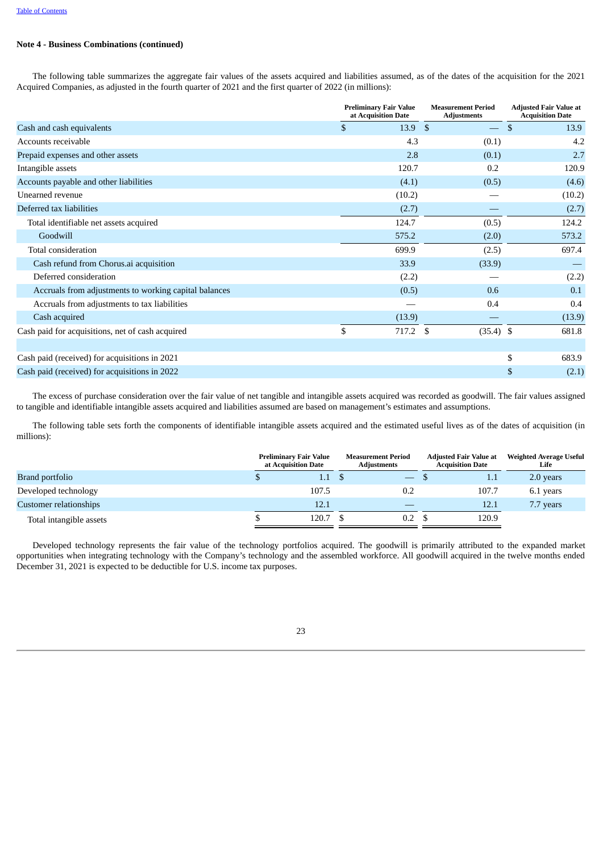# **Note 4 - Business Combinations (continued)**

The following table summarizes the aggregate fair values of the assets acquired and liabilities assumed, as of the dates of the acquisition for the 2021 Acquired Companies, as adjusted in the fourth quarter of 2021 and the first quarter of 2022 (in millions):

|                                                       |    | <b>Preliminary Fair Value</b><br>at Acquisition Date | <b>Measurement Period</b><br><b>Adjustments</b> | <b>Adjusted Fair Value at</b><br><b>Acquisition Date</b> |  |
|-------------------------------------------------------|----|------------------------------------------------------|-------------------------------------------------|----------------------------------------------------------|--|
| Cash and cash equivalents                             | \$ | 13.9                                                 | $\mathbf{s}$                                    | $\mathfrak{S}$<br>13.9                                   |  |
| Accounts receivable                                   |    | 4.3                                                  | (0.1)                                           | 4.2                                                      |  |
| Prepaid expenses and other assets                     |    | 2.8                                                  | (0.1)                                           | 2.7                                                      |  |
| Intangible assets                                     |    | 120.7                                                | 0.2                                             | 120.9                                                    |  |
| Accounts payable and other liabilities                |    | (4.1)                                                | (0.5)                                           | (4.6)                                                    |  |
| Unearned revenue                                      |    | (10.2)                                               |                                                 | (10.2)                                                   |  |
| Deferred tax liabilities                              |    | (2.7)                                                |                                                 | (2.7)                                                    |  |
| Total identifiable net assets acquired                |    | 124.7                                                | (0.5)                                           | 124.2                                                    |  |
| Goodwill                                              |    | 575.2                                                | (2.0)                                           | 573.2                                                    |  |
| Total consideration                                   |    | 699.9                                                | (2.5)                                           | 697.4                                                    |  |
| Cash refund from Chorus.ai acquisition                |    | 33.9                                                 | (33.9)                                          |                                                          |  |
| Deferred consideration                                |    | (2.2)                                                |                                                 | (2.2)                                                    |  |
| Accruals from adjustments to working capital balances |    | (0.5)                                                | 0.6                                             | 0.1                                                      |  |
| Accruals from adjustments to tax liabilities          |    |                                                      | 0.4                                             | 0.4                                                      |  |
| Cash acquired                                         |    | (13.9)                                               |                                                 | (13.9)                                                   |  |
| Cash paid for acquisitions, net of cash acquired      | \$ | 717.2 \$                                             | $(35.4)$ \$                                     | 681.8                                                    |  |
|                                                       |    |                                                      |                                                 |                                                          |  |
| Cash paid (received) for acquisitions in 2021         |    |                                                      |                                                 | \$<br>683.9                                              |  |
| Cash paid (received) for acquisitions in 2022         |    |                                                      |                                                 | \$<br>(2.1)                                              |  |

The excess of purchase consideration over the fair value of net tangible and intangible assets acquired was recorded as goodwill. The fair values assigned to tangible and identifiable intangible assets acquired and liabilities assumed are based on management's estimates and assumptions.

The following table sets forth the components of identifiable intangible assets acquired and the estimated useful lives as of the dates of acquisition (in millions):

|                         | Preliminary Fair Value<br>at Acquisition Date | <b>Measurement Period</b><br><b>Adiustments</b> |         | Adjusted Fair Value at<br><b>Acquisition Date</b> |       | <b>Weighted Average Useful</b><br>Life |
|-------------------------|-----------------------------------------------|-------------------------------------------------|---------|---------------------------------------------------|-------|----------------------------------------|
| <b>Brand portfolio</b>  | 1.1                                           |                                                 | $-5$    |                                                   | 1.1   | 2.0 years                              |
| Developed technology    | 107.5                                         |                                                 | 0.2     |                                                   | 107.7 | 6.1 years                              |
| Customer relationships  | 12.1                                          |                                                 |         |                                                   | 12.1  | 7.7 years                              |
| Total intangible assets | 120.7                                         |                                                 | $0.2\,$ |                                                   | 120.9 |                                        |

Developed technology represents the fair value of the technology portfolios acquired. The goodwill is primarily attributed to the expanded market opportunities when integrating technology with the Company's technology and the assembled workforce. All goodwill acquired in the twelve months ended December 31, 2021 is expected to be deductible for U.S. income tax purposes.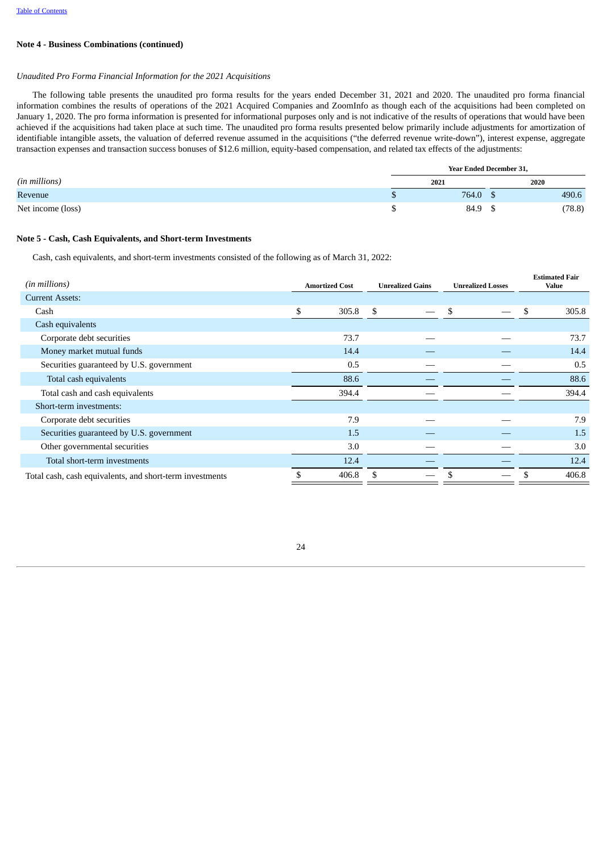#### **Note 4 - Business Combinations (continued)**

### *Unaudited Pro Forma Financial Information for the 2021 Acquisitions*

The following table presents the unaudited pro forma results for the years ended December 31, 2021 and 2020. The unaudited pro forma financial information combines the results of operations of the 2021 Acquired Companies and ZoomInfo as though each of the acquisitions had been completed on January 1, 2020. The pro forma information is presented for informational purposes only and is not indicative of the results of operations that would have been achieved if the acquisitions had taken place at such time. The unaudited pro forma results presented below primarily include adjustments for amortization of identifiable intangible assets, the valuation of deferred revenue assumed in the acquisitions ("the deferred revenue write-down"), interest expense, aggregate transaction expenses and transaction success bonuses of \$12.6 million, equity-based compensation, and related tax effects of the adjustments:

|                   |       | <b>Year Ended December 31,</b> |        |
|-------------------|-------|--------------------------------|--------|
| (in millions)     | 2021  |                                | 2020   |
| Revenue           | 764.0 |                                | 490.6  |
| Net income (loss) | 84.9  |                                | (78.8) |

# <span id="page-29-0"></span>**Note 5 - Cash, Cash Equivalents, and Short-term Investments**

Cash, cash equivalents, and short-term investments consisted of the following as of March 31, 2022:

| (in millions)                                            | <b>Amortized Cost</b> |       | <b>Unrealized Gains</b> |  | <b>Unrealized Losses</b> |  | <b>Estimated Fair</b><br>Value |
|----------------------------------------------------------|-----------------------|-------|-------------------------|--|--------------------------|--|--------------------------------|
| <b>Current Assets:</b>                                   |                       |       |                         |  |                          |  |                                |
| Cash                                                     | S                     | 305.8 | - \$                    |  |                          |  | \$<br>305.8                    |
| Cash equivalents                                         |                       |       |                         |  |                          |  |                                |
| Corporate debt securities                                |                       | 73.7  |                         |  |                          |  | 73.7                           |
| Money market mutual funds                                |                       | 14.4  |                         |  |                          |  | 14.4                           |
| Securities guaranteed by U.S. government                 |                       | 0.5   |                         |  |                          |  | 0.5                            |
| Total cash equivalents                                   |                       | 88.6  |                         |  |                          |  | 88.6                           |
| Total cash and cash equivalents                          |                       | 394.4 |                         |  |                          |  | 394.4                          |
| Short-term investments:                                  |                       |       |                         |  |                          |  |                                |
| Corporate debt securities                                |                       | 7.9   |                         |  |                          |  | 7.9                            |
| Securities guaranteed by U.S. government                 |                       | 1.5   |                         |  |                          |  | 1.5                            |
| Other governmental securities                            |                       | 3.0   |                         |  |                          |  | 3.0                            |
| Total short-term investments                             |                       | 12.4  |                         |  |                          |  | 12.4                           |
| Total cash, cash equivalents, and short-term investments | \$                    | 406.8 | S                       |  |                          |  | 406.8                          |

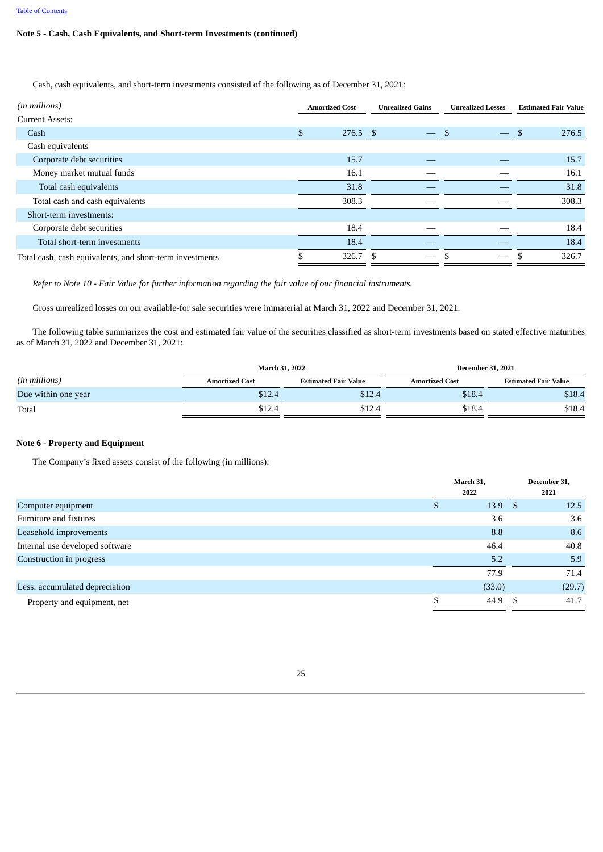### **Note 5 - Cash, Cash Equivalents, and Short-term Investments (continued)**

Cash, cash equivalents, and short-term investments consisted of the following as of December 31, 2021:

| (in millions)                                            | <b>Amortized Cost</b> |            | <b>Unrealized Gains</b> |  | <b>Unrealized Losses</b> |      | <b>Estimated Fair Value</b> |  |
|----------------------------------------------------------|-----------------------|------------|-------------------------|--|--------------------------|------|-----------------------------|--|
| <b>Current Assets:</b>                                   |                       |            |                         |  |                          |      |                             |  |
| Cash                                                     | \$                    | $276.5$ \$ |                         |  | <sup>\$</sup>            | - \$ | 276.5                       |  |
| Cash equivalents                                         |                       |            |                         |  |                          |      |                             |  |
| Corporate debt securities                                |                       | 15.7       |                         |  |                          |      | 15.7                        |  |
| Money market mutual funds                                |                       | 16.1       |                         |  |                          |      | 16.1                        |  |
| Total cash equivalents                                   |                       | 31.8       |                         |  |                          |      | 31.8                        |  |
| Total cash and cash equivalents                          |                       | 308.3      |                         |  |                          |      | 308.3                       |  |
| Short-term investments:                                  |                       |            |                         |  |                          |      |                             |  |
| Corporate debt securities                                |                       | 18.4       |                         |  |                          |      | 18.4                        |  |
| Total short-term investments                             |                       | 18.4       |                         |  |                          |      | 18.4                        |  |
| Total cash, cash equivalents, and short-term investments | аD                    | 326.7      | \$.                     |  | \$                       | æ    | 326.7                       |  |

Refer to Note 10 - Fair Value for further information regarding the fair value of our financial instruments.

Gross unrealized losses on our available-for sale securities were immaterial at March 31, 2022 and December 31, 2021.

The following table summarizes the cost and estimated fair value of the securities classified as short-term investments based on stated effective maturities as of March 31, 2022 and December 31, 2021:

|                     | <b>March 31, 2022</b> |                             | <b>December 31, 2021</b> |                             |  |  |  |  |
|---------------------|-----------------------|-----------------------------|--------------------------|-----------------------------|--|--|--|--|
| (in millions)       | <b>Amortized Cost</b> | <b>Estimated Fair Value</b> | <b>Amortized Cost</b>    | <b>Estimated Fair Value</b> |  |  |  |  |
| Due within one year | \$12.4                | \$12.4                      | \$18.4                   | \$18.4                      |  |  |  |  |
| Total               | \$12.4                | \$12.4                      | \$18.4                   | \$18.4                      |  |  |  |  |

#### <span id="page-30-0"></span>**Note 6 - Property and Equipment**

The Company's fixed assets consist of the following (in millions):

|                                 | March 31, |     | December 31, |
|---------------------------------|-----------|-----|--------------|
|                                 | 2022      |     | 2021         |
| Computer equipment              | 13.9      | - 5 | 12.5         |
| Furniture and fixtures          | 3.6       |     | 3.6          |
| Leasehold improvements          | 8.8       |     | 8.6          |
| Internal use developed software | 46.4      |     | 40.8         |
| Construction in progress        | 5.2       |     | 5.9          |
|                                 | 77.9      |     | 71.4         |
| Less: accumulated depreciation  | (33.0)    |     | (29.7)       |
| Property and equipment, net     | 44.9      |     | 41.7         |
|                                 |           |     |              |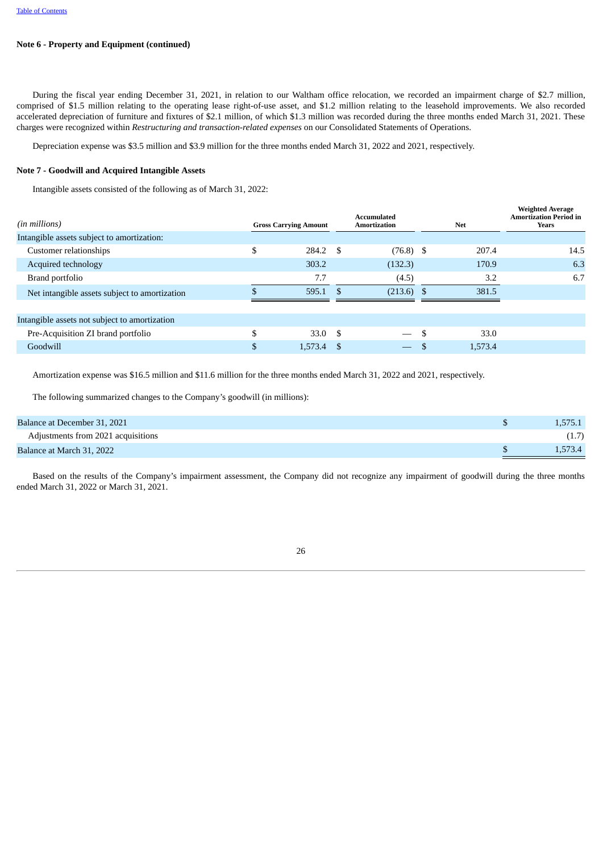### **Note 6 - Property and Equipment (continued)**

During the fiscal year ending December 31, 2021, in relation to our Waltham office relocation, we recorded an impairment charge of \$2.7 million, comprised of \$1.5 million relating to the operating lease right-of-use asset, and \$1.2 million relating to the leasehold improvements. We also recorded accelerated depreciation of furniture and fixtures of \$2.1 million, of which \$1.3 million was recorded during the three months ended March 31, 2021. These charges were recognized within *Restructuring and transaction-related expenses* on our Consolidated Statements of Operations.

Depreciation expense was \$3.5 million and \$3.9 million for the three months ended March 31, 2022 and 2021, respectively.

### <span id="page-31-0"></span>**Note 7 - Goodwill and Acquired Intangible Assets**

Intangible assets consisted of the following as of March 31, 2022:

| (in millions)                                 | <b>Gross Carrying Amount</b> | Accumulated<br><b>Amortization</b><br>Net |                          |    |         | <b>Weighted Average</b><br><b>Amortization Period in</b><br>Years |
|-----------------------------------------------|------------------------------|-------------------------------------------|--------------------------|----|---------|-------------------------------------------------------------------|
| Intangible assets subject to amortization:    |                              |                                           |                          |    |         |                                                                   |
| Customer relationships                        | \$<br>284.2                  | -\$                                       | $(76.8)$ \$              |    | 207.4   | 14.5                                                              |
| Acquired technology                           | 303.2                        |                                           | (132.3)                  |    | 170.9   | 6.3                                                               |
| Brand portfolio                               | 7.7                          |                                           | (4.5)                    |    | 3.2     | 6.7                                                               |
| Net intangible assets subject to amortization | 595.1                        |                                           | $(213.6)$ \$             |    | 381.5   |                                                                   |
|                                               |                              |                                           |                          |    |         |                                                                   |
| Intangible assets not subject to amortization |                              |                                           |                          |    |         |                                                                   |
| Pre-Acquisition ZI brand portfolio            | \$<br>33.0                   | - \$                                      | $\overline{\phantom{0}}$ | \$ | 33.0    |                                                                   |
| Goodwill                                      | \$<br>1,573.4                | S                                         |                          |    | 1,573.4 |                                                                   |
|                                               |                              |                                           |                          |    |         |                                                                   |

Amortization expense was \$16.5 million and \$11.6 million for the three months ended March 31, 2022 and 2021, respectively.

The following summarized changes to the Company's goodwill (in millions):

| Balance at December 31, 2021       | 1,575.1 |
|------------------------------------|---------|
| Adjustments from 2021 acquisitions | (1.7)   |
| Balance at March 31, 2022          | 1,573.4 |

<span id="page-31-1"></span>Based on the results of the Company's impairment assessment, the Company did not recognize any impairment of goodwill during the three months ended March 31, 2022 or March 31, 2021.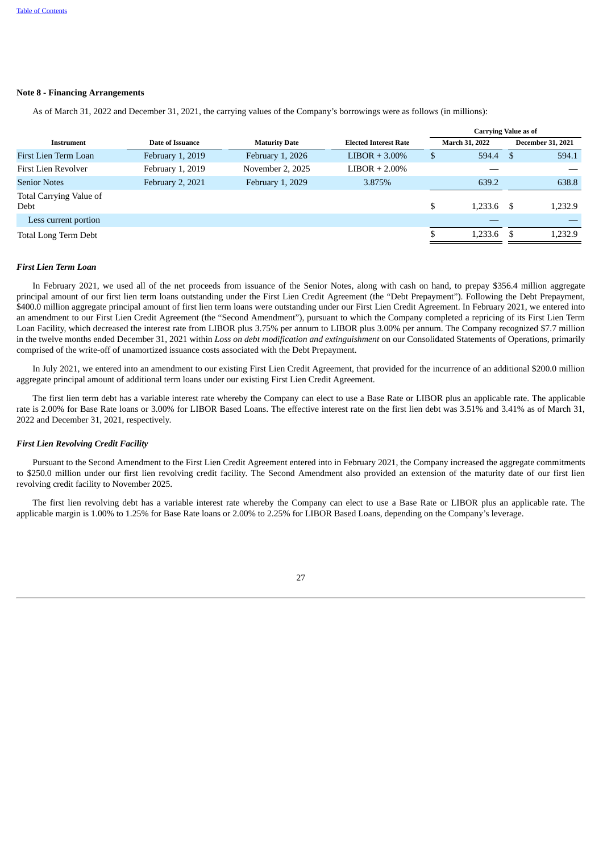### **Note 8 - Financing Arrangements**

As of March 31, 2022 and December 31, 2021, the carrying values of the Company's borrowings were as follows (in millions):

|                  |                         |                              | <b>Carrying Value as of</b> |                       |    |                          |  |
|------------------|-------------------------|------------------------------|-----------------------------|-----------------------|----|--------------------------|--|
| Date of Issuance | <b>Maturity Date</b>    | <b>Elected Interest Rate</b> |                             | <b>March 31, 2022</b> |    | <b>December 31, 2021</b> |  |
| February 1, 2019 | <b>February 1, 2026</b> | $LIBOR + 3.00\%$             |                             | 594.4                 | S  | 594.1                    |  |
| February 1, 2019 | November 2, 2025        | $LIBOR + 2.00\%$             |                             |                       |    |                          |  |
| February 2, 2021 | February 1, 2029        | 3.875%                       |                             | 639.2                 |    | 638.8                    |  |
|                  |                         |                              |                             | 1,233.6               |    | 1.232.9                  |  |
|                  |                         |                              |                             |                       |    |                          |  |
|                  |                         |                              |                             | 1,233.6               | -S | 1,232.9                  |  |
|                  |                         |                              |                             |                       |    |                          |  |

#### *First Lien Term Loan*

In February 2021, we used all of the net proceeds from issuance of the Senior Notes, along with cash on hand, to prepay \$356.4 million aggregate principal amount of our first lien term loans outstanding under the First Lien Credit Agreement (the "Debt Prepayment"). Following the Debt Prepayment, \$400.0 million aggregate principal amount of first lien term loans were outstanding under our First Lien Credit Agreement. In February 2021, we entered into an amendment to our First Lien Credit Agreement (the "Second Amendment"), pursuant to which the Company completed a repricing of its First Lien Term Loan Facility, which decreased the interest rate from LIBOR plus 3.75% per annum to LIBOR plus 3.00% per annum. The Company recognized \$7.7 million in the twelve months ended December 31, 2021 within *Loss on debt modification and extinguishment* on our Consolidated Statements of Operations, primarily comprised of the write-off of unamortized issuance costs associated with the Debt Prepayment.

In July 2021, we entered into an amendment to our existing First Lien Credit Agreement, that provided for the incurrence of an additional \$200.0 million aggregate principal amount of additional term loans under our existing First Lien Credit Agreement.

The first lien term debt has a variable interest rate whereby the Company can elect to use a Base Rate or LIBOR plus an applicable rate. The applicable rate is 2.00% for Base Rate loans or 3.00% for LIBOR Based Loans. The effective interest rate on the first lien debt was 3.51% and 3.41% as of March 31, 2022 and December 31, 2021, respectively.

#### *First Lien Revolving Credit Facility*

Pursuant to the Second Amendment to the First Lien Credit Agreement entered into in February 2021, the Company increased the aggregate commitments to \$250.0 million under our first lien revolving credit facility. The Second Amendment also provided an extension of the maturity date of our first lien revolving credit facility to November 2025.

The first lien revolving debt has a variable interest rate whereby the Company can elect to use a Base Rate or LIBOR plus an applicable rate. The applicable margin is 1.00% to 1.25% for Base Rate loans or 2.00% to 2.25% for LIBOR Based Loans, depending on the Company's leverage.

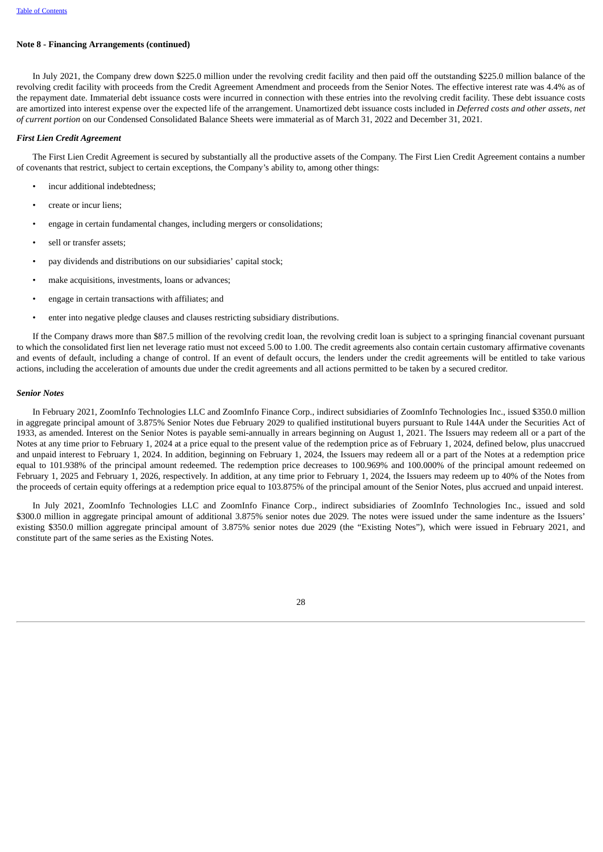#### **Note 8 - Financing Arrangements (continued)**

In July 2021, the Company drew down \$225.0 million under the revolving credit facility and then paid off the outstanding \$225.0 million balance of the revolving credit facility with proceeds from the Credit Agreement Amendment and proceeds from the Senior Notes. The effective interest rate was 4.4% as of the repayment date. Immaterial debt issuance costs were incurred in connection with these entries into the revolving credit facility. These debt issuance costs are amortized into interest expense over the expected life of the arrangement. Unamortized debt issuance costs included in *Deferred costs and other assets, net of current portion* on our Condensed Consolidated Balance Sheets were immaterial as of March 31, 2022 and December 31, 2021.

#### *First Lien Credit Agreement*

The First Lien Credit Agreement is secured by substantially all the productive assets of the Company. The First Lien Credit Agreement contains a number of covenants that restrict, subject to certain exceptions, the Company's ability to, among other things:

- incur additional indebtedness;
- create or incur liens;
- engage in certain fundamental changes, including mergers or consolidations;
- sell or transfer assets:
- pay dividends and distributions on our subsidiaries' capital stock;
- make acquisitions, investments, loans or advances;
- engage in certain transactions with affiliates; and
- enter into negative pledge clauses and clauses restricting subsidiary distributions.

If the Company draws more than \$87.5 million of the revolving credit loan, the revolving credit loan is subject to a springing financial covenant pursuant to which the consolidated first lien net leverage ratio must not exceed 5.00 to 1.00. The credit agreements also contain certain customary affirmative covenants and events of default, including a change of control. If an event of default occurs, the lenders under the credit agreements will be entitled to take various actions, including the acceleration of amounts due under the credit agreements and all actions permitted to be taken by a secured creditor.

#### *Senior Notes*

In February 2021, ZoomInfo Technologies LLC and ZoomInfo Finance Corp., indirect subsidiaries of ZoomInfo Technologies Inc., issued \$350.0 million in aggregate principal amount of 3.875% Senior Notes due February 2029 to qualified institutional buyers pursuant to Rule 144A under the Securities Act of 1933, as amended. Interest on the Senior Notes is payable semi-annually in arrears beginning on August 1, 2021. The Issuers may redeem all or a part of the Notes at any time prior to February 1, 2024 at a price equal to the present value of the redemption price as of February 1, 2024, defined below, plus unaccrued and unpaid interest to February 1, 2024. In addition, beginning on February 1, 2024, the Issuers may redeem all or a part of the Notes at a redemption price equal to 101.938% of the principal amount redeemed. The redemption price decreases to 100.969% and 100.000% of the principal amount redeemed on February 1, 2025 and February 1, 2026, respectively. In addition, at any time prior to February 1, 2024, the Issuers may redeem up to 40% of the Notes from the proceeds of certain equity offerings at a redemption price equal to 103.875% of the principal amount of the Senior Notes, plus accrued and unpaid interest.

<span id="page-33-0"></span>In July 2021, ZoomInfo Technologies LLC and ZoomInfo Finance Corp., indirect subsidiaries of ZoomInfo Technologies Inc., issued and sold \$300.0 million in aggregate principal amount of additional 3.875% senior notes due 2029. The notes were issued under the same indenture as the Issuers' existing \$350.0 million aggregate principal amount of 3.875% senior notes due 2029 (the "Existing Notes"), which were issued in February 2021, and constitute part of the same series as the Existing Notes.

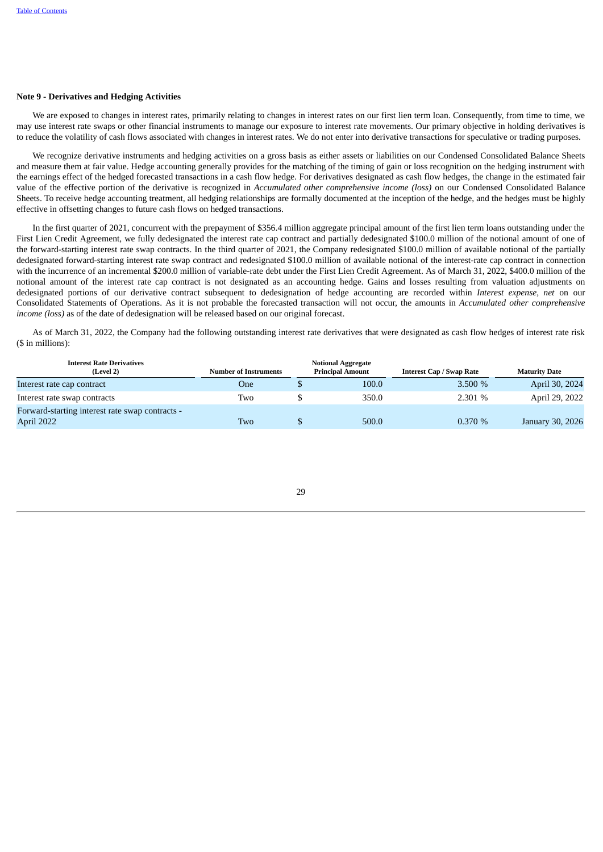### **Note 9 - Derivatives and Hedging Activities**

We are exposed to changes in interest rates, primarily relating to changes in interest rates on our first lien term loan. Consequently, from time to time, we may use interest rate swaps or other financial instruments to manage our exposure to interest rate movements. Our primary objective in holding derivatives is to reduce the volatility of cash flows associated with changes in interest rates. We do not enter into derivative transactions for speculative or trading purposes.

We recognize derivative instruments and hedging activities on a gross basis as either assets or liabilities on our Condensed Consolidated Balance Sheets and measure them at fair value. Hedge accounting generally provides for the matching of the timing of gain or loss recognition on the hedging instrument with the earnings effect of the hedged forecasted transactions in a cash flow hedge. For derivatives designated as cash flow hedges, the change in the estimated fair value of the effective portion of the derivative is recognized in *Accumulated other comprehensive income (loss)* on our Condensed Consolidated Balance Sheets. To receive hedge accounting treatment, all hedging relationships are formally documented at the inception of the hedge, and the hedges must be highly effective in offsetting changes to future cash flows on hedged transactions.

In the first quarter of 2021, concurrent with the prepayment of \$356.4 million aggregate principal amount of the first lien term loans outstanding under the First Lien Credit Agreement, we fully dedesignated the interest rate cap contract and partially dedesignated \$100.0 million of the notional amount of one of the forward-starting interest rate swap contracts. In the third quarter of 2021, the Company redesignated \$100.0 million of available notional of the partially dedesignated forward-starting interest rate swap contract and redesignated \$100.0 million of available notional of the interest-rate cap contract in connection with the incurrence of an incremental \$200.0 million of variable-rate debt under the First Lien Credit Agreement. As of March 31, 2022, \$400.0 million of the notional amount of the interest rate cap contract is not designated as an accounting hedge. Gains and losses resulting from valuation adjustments on dedesignated portions of our derivative contract subsequent to dedesignation of hedge accounting are recorded within *Interest expense, net* on our Consolidated Statements of Operations. As it is not probable the forecasted transaction will not occur, the amounts in *Accumulated other comprehensive income (loss)* as of the date of dedesignation will be released based on our original forecast.

As of March 31, 2022, the Company had the following outstanding interest rate derivatives that were designated as cash flow hedges of interest rate risk (\$ in millions):

| <b>Interest Rate Derivatives</b><br>(Level 2)                 | <b>Number of Instruments</b> | <b>Notional Aggregate</b><br><b>Principal Amount</b> | <b>Interest Cap / Swap Rate</b> | <b>Maturity Date</b> |
|---------------------------------------------------------------|------------------------------|------------------------------------------------------|---------------------------------|----------------------|
| Interest rate cap contract                                    | One                          | 100.0                                                | $3.500\%$                       | April 30, 2024       |
| Interest rate swap contracts                                  | Two                          | 350.0                                                | 2.301 %                         | April 29, 2022       |
| Forward-starting interest rate swap contracts -<br>April 2022 | Two                          | 500.0                                                | $0.370\%$                       | January 30, 2026     |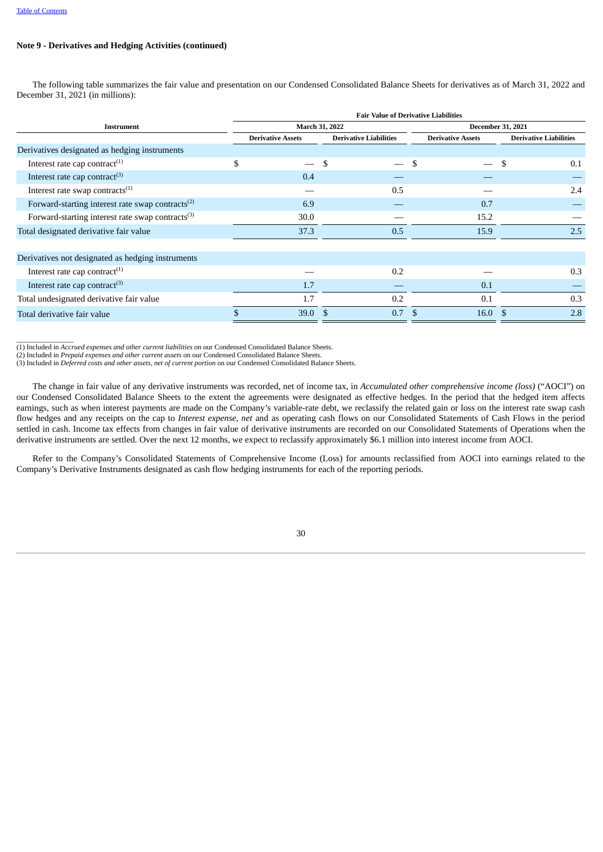### **Note 9 - Derivatives and Hedging Activities (continued)**

The following table summarizes the fair value and presentation on our Condensed Consolidated Balance Sheets for derivatives as of March 31, 2022 and December 31, 2021 (in millions):

|                                                              | <b>Fair Value of Derivative Liabilities</b> |                               |                               |     |                          |      |                               |     |  |
|--------------------------------------------------------------|---------------------------------------------|-------------------------------|-------------------------------|-----|--------------------------|------|-------------------------------|-----|--|
| Instrument                                                   | March 31, 2022                              |                               |                               |     | <b>December 31, 2021</b> |      |                               |     |  |
|                                                              | <b>Derivative Assets</b>                    |                               | <b>Derivative Liabilities</b> |     | <b>Derivative Assets</b> |      | <b>Derivative Liabilities</b> |     |  |
| Derivatives designated as hedging instruments                |                                             |                               |                               |     |                          |      |                               |     |  |
| Interest rate cap contract <sup>(1)</sup>                    | \$                                          | $\overbrace{\phantom{aaaaa}}$ | \$                            |     | \$                       |      | \$                            | 0.1 |  |
| Interest rate cap contract <sup>(3)</sup>                    |                                             | 0.4                           |                               |     |                          |      |                               |     |  |
| Interest rate swap contracts $(1)$                           |                                             |                               |                               | 0.5 |                          |      |                               | 2.4 |  |
| Forward-starting interest rate swap contracts $(2)$          |                                             | 6.9                           |                               |     |                          | 0.7  |                               |     |  |
| Forward-starting interest rate swap contracts <sup>(3)</sup> |                                             | 30.0                          |                               |     |                          | 15.2 |                               |     |  |
| Total designated derivative fair value                       |                                             | 37.3                          |                               | 0.5 |                          | 15.9 |                               | 2.5 |  |
| Derivatives not designated as hedging instruments            |                                             |                               |                               |     |                          |      |                               |     |  |
| Interest rate cap contract <sup>(1)</sup>                    |                                             |                               |                               | 0.2 |                          |      |                               | 0.3 |  |
| Interest rate cap contract <sup>(3)</sup>                    |                                             | 1.7                           |                               |     |                          | 0.1  |                               |     |  |
| Total undesignated derivative fair value                     |                                             | 1.7                           |                               | 0.2 |                          | 0.1  |                               | 0.3 |  |
| Total derivative fair value                                  |                                             | 39.0                          |                               | 0.7 |                          | 16.0 |                               | 2.8 |  |

\_\_\_\_\_\_\_\_\_\_\_\_\_\_\_\_ (1) Included in *Accrued expenses and other current liabilities* on our Condensed Consolidated Balance Sheets.

(2) Included in Prepaid expenses and other current assets on our Condensed Consolidated Balance Sheets.<br>(3) Included in Deferred costs and other assets, net of current portion on our Condensed Consolidated Balance Sheets.

The change in fair value of any derivative instruments was recorded, net of income tax, in *Accumulated other comprehensive income (loss)* ("AOCI") on our Condensed Consolidated Balance Sheets to the extent the agreements were designated as effective hedges. In the period that the hedged item affects earnings, such as when interest payments are made on the Company's variable-rate debt, we reclassify the related gain or loss on the interest rate swap cash flow hedges and any receipts on the cap to *Interest expense, net* and as operating cash flows on our Consolidated Statements of Cash Flows in the period settled in cash. Income tax effects from changes in fair value of derivative instruments are recorded on our Consolidated Statements of Operations when the derivative instruments are settled. Over the next 12 months, we expect to reclassify approximately \$6.1 million into interest income from AOCI.

<span id="page-35-0"></span>Refer to the Company's Consolidated Statements of Comprehensive Income (Loss) for amounts reclassified from AOCI into earnings related to the Company's Derivative Instruments designated as cash flow hedging instruments for each of the reporting periods.

<sup>30</sup>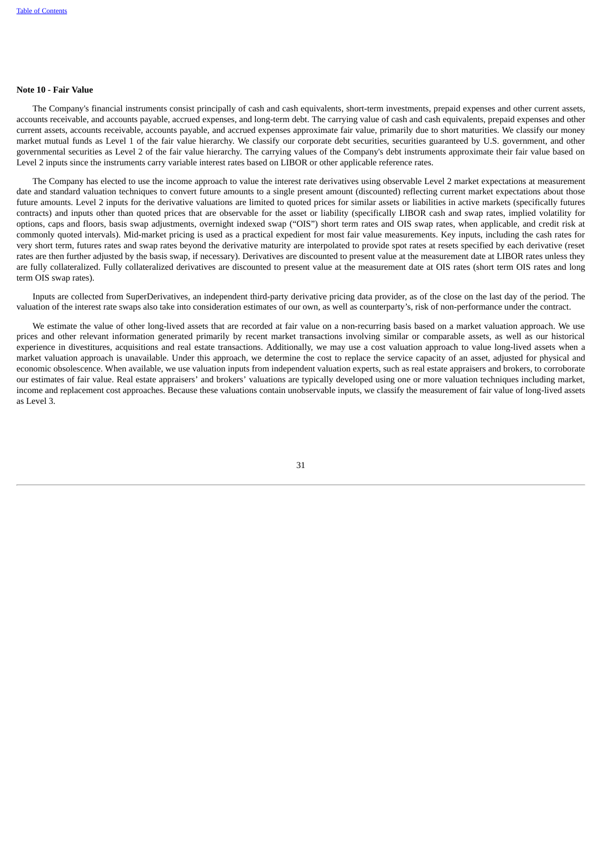### **Note 10 - Fair Value**

The Company's financial instruments consist principally of cash and cash equivalents, short-term investments, prepaid expenses and other current assets, accounts receivable, and accounts payable, accrued expenses, and long-term debt. The carrying value of cash and cash equivalents, prepaid expenses and other current assets, accounts receivable, accounts payable, and accrued expenses approximate fair value, primarily due to short maturities. We classify our money market mutual funds as Level 1 of the fair value hierarchy. We classify our corporate debt securities, securities guaranteed by U.S. government, and other governmental securities as Level 2 of the fair value hierarchy. The carrying values of the Company's debt instruments approximate their fair value based on Level 2 inputs since the instruments carry variable interest rates based on LIBOR or other applicable reference rates.

The Company has elected to use the income approach to value the interest rate derivatives using observable Level 2 market expectations at measurement date and standard valuation techniques to convert future amounts to a single present amount (discounted) reflecting current market expectations about those future amounts. Level 2 inputs for the derivative valuations are limited to quoted prices for similar assets or liabilities in active markets (specifically futures contracts) and inputs other than quoted prices that are observable for the asset or liability (specifically LIBOR cash and swap rates, implied volatility for options, caps and floors, basis swap adjustments, overnight indexed swap ("OIS") short term rates and OIS swap rates, when applicable, and credit risk at commonly quoted intervals). Mid-market pricing is used as a practical expedient for most fair value measurements. Key inputs, including the cash rates for very short term, futures rates and swap rates beyond the derivative maturity are interpolated to provide spot rates at resets specified by each derivative (reset rates are then further adjusted by the basis swap, if necessary). Derivatives are discounted to present value at the measurement date at LIBOR rates unless they are fully collateralized. Fully collateralized derivatives are discounted to present value at the measurement date at OIS rates (short term OIS rates and long term OIS swap rates).

Inputs are collected from SuperDerivatives, an independent third-party derivative pricing data provider, as of the close on the last day of the period. The valuation of the interest rate swaps also take into consideration estimates of our own, as well as counterparty's, risk of non-performance under the contract.

We estimate the value of other long-lived assets that are recorded at fair value on a non-recurring basis based on a market valuation approach. We use prices and other relevant information generated primarily by recent market transactions involving similar or comparable assets, as well as our historical experience in divestitures, acquisitions and real estate transactions. Additionally, we may use a cost valuation approach to value long-lived assets when a market valuation approach is unavailable. Under this approach, we determine the cost to replace the service capacity of an asset, adjusted for physical and economic obsolescence. When available, we use valuation inputs from independent valuation experts, such as real estate appraisers and brokers, to corroborate our estimates of fair value. Real estate appraisers' and brokers' valuations are typically developed using one or more valuation techniques including market, income and replacement cost approaches. Because these valuations contain unobservable inputs, we classify the measurement of fair value of long-lived assets as Level 3.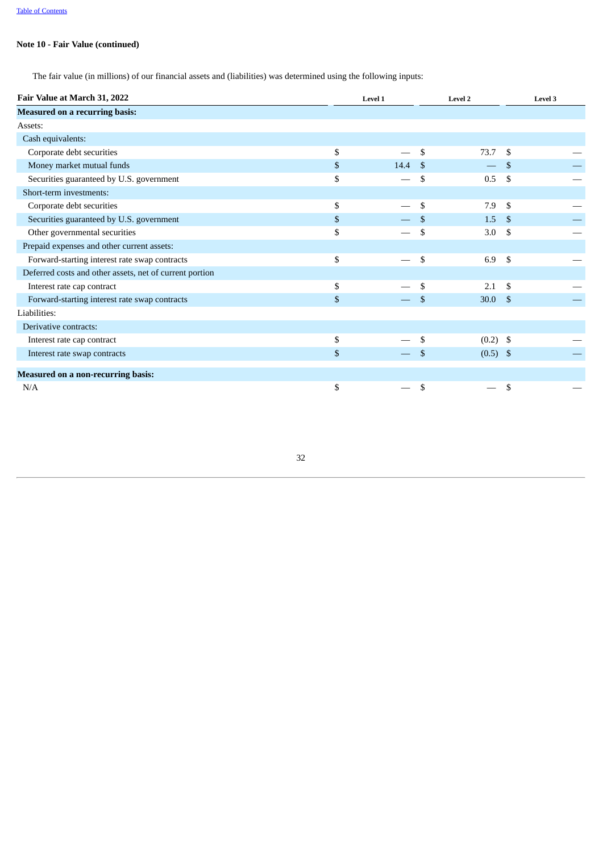# **Note 10 - Fair Value (continued)**

The fair value (in millions) of our financial assets and (liabilities) was determined using the following inputs:

| Fair Value at March 31, 2022                            | Level 1    |     | <b>Level 2</b> |               | Level 3 |
|---------------------------------------------------------|------------|-----|----------------|---------------|---------|
| <b>Measured on a recurring basis:</b>                   |            |     |                |               |         |
| Assets:                                                 |            |     |                |               |         |
| Cash equivalents:                                       |            |     |                |               |         |
| Corporate debt securities                               | \$         | \$  | 73.7           | -\$           |         |
| Money market mutual funds                               | \$<br>14.4 | -\$ |                | \$            |         |
| Securities guaranteed by U.S. government                | \$         | S.  | $0.5\,$        | -\$           |         |
| Short-term investments:                                 |            |     |                |               |         |
| Corporate debt securities                               | \$         | \$  | 7.9            | \$            |         |
| Securities guaranteed by U.S. government                | \$         | \$  | 1.5            | -\$           |         |
| Other governmental securities                           | \$         | \$  | 3.0            | -\$           |         |
| Prepaid expenses and other current assets:              |            |     |                |               |         |
| Forward-starting interest rate swap contracts           | \$         | \$  | 6.9            | <sup>\$</sup> |         |
| Deferred costs and other assets, net of current portion |            |     |                |               |         |
| Interest rate cap contract                              | \$         | \$  | 2.1            | -\$           |         |
| Forward-starting interest rate swap contracts           | \$         | \$  | $30.0\quad$ \$ |               |         |
| Liabilities:                                            |            |     |                |               |         |
| Derivative contracts:                                   |            |     |                |               |         |
| Interest rate cap contract                              | \$         | \$  | $(0.2)$ \$     |               |         |
| Interest rate swap contracts                            | \$         | \$  | $(0.5)$ \$     |               |         |
|                                                         |            |     |                |               |         |
| <b>Measured on a non-recurring basis:</b>               |            |     |                |               |         |
| N/A                                                     | \$         | \$  |                | \$            |         |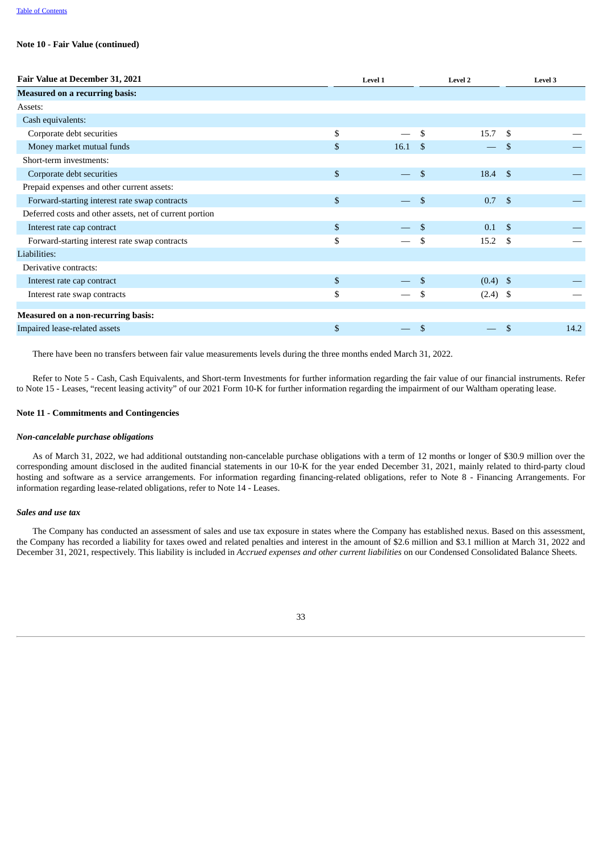### **Note 10 - Fair Value (continued)**

| Fair Value at December 31, 2021                         | Level 1    |     | <b>Level 2</b> |                    | <b>Level 3</b> |
|---------------------------------------------------------|------------|-----|----------------|--------------------|----------------|
| <b>Measured on a recurring basis:</b>                   |            |     |                |                    |                |
| Assets:                                                 |            |     |                |                    |                |
| Cash equivalents:                                       |            |     |                |                    |                |
| Corporate debt securities                               | \$         | \$  | 15.7           | -\$                |                |
| Money market mutual funds                               | \$<br>16.1 | -\$ |                | $\mathbf{S}$       |                |
| Short-term investments:                                 |            |     |                |                    |                |
| Corporate debt securities                               | \$         | \$  | 18.4           | $\mathbf{\hat{s}}$ |                |
| Prepaid expenses and other current assets:              |            |     |                |                    |                |
| Forward-starting interest rate swap contracts           | \$         | \$  | 0.7            | $\mathfrak{L}$     |                |
| Deferred costs and other assets, net of current portion |            |     |                |                    |                |
| Interest rate cap contract                              | \$         | \$  | 0.1            | \$                 |                |
| Forward-starting interest rate swap contracts           | \$         | \$  | 15.2           | S.                 |                |
| Liabilities:                                            |            |     |                |                    |                |
| Derivative contracts:                                   |            |     |                |                    |                |
| Interest rate cap contract                              | \$         | \$  | $(0.4)$ \$     |                    |                |
| Interest rate swap contracts                            | \$         | \$  | $(2.4)$ \$     |                    |                |
|                                                         |            |     |                |                    |                |
| <b>Measured on a non-recurring basis:</b>               |            |     |                |                    |                |
| Impaired lease-related assets                           | \$         | S.  |                |                    | 14.2           |

There have been no transfers between fair value measurements levels during the three months ended March 31, 2022.

Refer to Note 5 - Cash, Cash Equivalents, and Short-term Investments for further information regarding the fair value of our financial instruments. Refer to Note 15 - Leases, "recent leasing activity" of our 2021 Form 10-K for further information regarding the impairment of our Waltham operating lease.

### **Note 11 - Commitments and Contingencies**

### *Non-cancelable purchase obligations*

As of March 31, 2022, we had additional outstanding non-cancelable purchase obligations with a term of 12 months or longer of \$30.9 million over the corresponding amount disclosed in the audited financial statements in our 10-K for the year ended December 31, 2021, mainly related to third-party cloud hosting and software as a service arrangements. For information regarding financing-related obligations, refer to Note 8 - Financing Arrangements. For information regarding lease-related obligations, refer to Note 14 - Leases.

# *Sales and use tax*

The Company has conducted an assessment of sales and use tax exposure in states where the Company has established nexus. Based on this assessment, the Company has recorded a liability for taxes owed and related penalties and interest in the amount of \$2.6 million and \$3.1 million at March 31, 2022 and December 31, 2021, respectively. This liability is included in *Accrued expenses and other current liabilities* on our Condensed Consolidated Balance Sheets.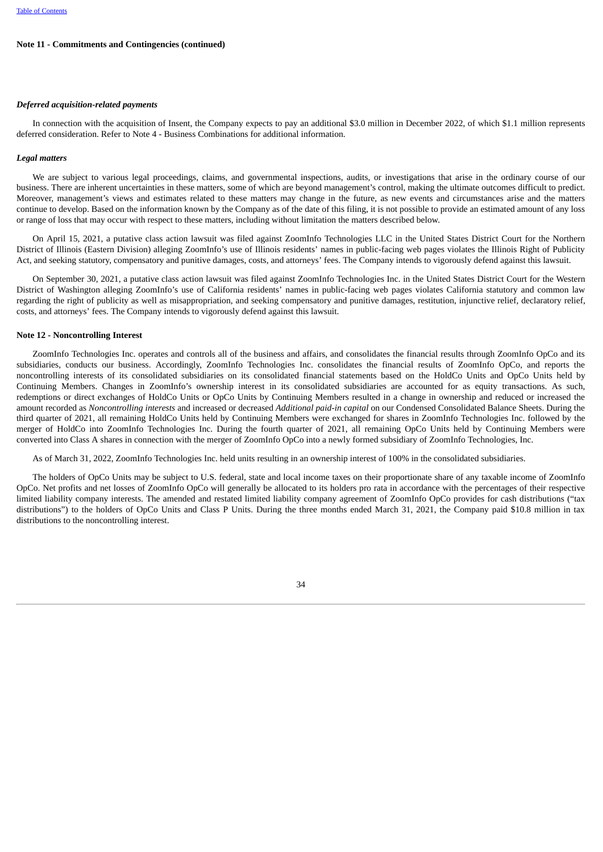### **Note 11 - Commitments and Contingencies (continued)**

#### *Deferred acquisition-related payments*

In connection with the acquisition of Insent, the Company expects to pay an additional \$3.0 million in December 2022, of which \$1.1 million represents deferred consideration. Refer to Note 4 - Business Combinations for additional information.

### *Legal matters*

We are subject to various legal proceedings, claims, and governmental inspections, audits, or investigations that arise in the ordinary course of our business. There are inherent uncertainties in these matters, some of which are beyond management's control, making the ultimate outcomes difficult to predict. Moreover, management's views and estimates related to these matters may change in the future, as new events and circumstances arise and the matters continue to develop. Based on the information known by the Company as of the date of this filing, it is not possible to provide an estimated amount of any loss or range of loss that may occur with respect to these matters, including without limitation the matters described below.

On April 15, 2021, a putative class action lawsuit was filed against ZoomInfo Technologies LLC in the United States District Court for the Northern District of Illinois (Eastern Division) alleging ZoomInfo's use of Illinois residents' names in public-facing web pages violates the Illinois Right of Publicity Act, and seeking statutory, compensatory and punitive damages, costs, and attorneys' fees. The Company intends to vigorously defend against this lawsuit.

On September 30, 2021, a putative class action lawsuit was filed against ZoomInfo Technologies Inc. in the United States District Court for the Western District of Washington alleging ZoomInfo's use of California residents' names in public-facing web pages violates California statutory and common law regarding the right of publicity as well as misappropriation, and seeking compensatory and punitive damages, restitution, injunctive relief, declaratory relief, costs, and attorneys' fees. The Company intends to vigorously defend against this lawsuit.

#### **Note 12 - Noncontrolling Interest**

ZoomInfo Technologies Inc. operates and controls all of the business and affairs, and consolidates the financial results through ZoomInfo OpCo and its subsidiaries, conducts our business. Accordingly, ZoomInfo Technologies Inc. consolidates the financial results of ZoomInfo OpCo, and reports the noncontrolling interests of its consolidated subsidiaries on its consolidated financial statements based on the HoldCo Units and OpCo Units held by Continuing Members. Changes in ZoomInfo's ownership interest in its consolidated subsidiaries are accounted for as equity transactions. As such, redemptions or direct exchanges of HoldCo Units or OpCo Units by Continuing Members resulted in a change in ownership and reduced or increased the amount recorded as *Noncontrolling interests* and increased or decreased *Additional paid-in capital* on our Condensed Consolidated Balance Sheets. During the third quarter of 2021, all remaining HoldCo Units held by Continuing Members were exchanged for shares in ZoomInfo Technologies Inc. followed by the merger of HoldCo into ZoomInfo Technologies Inc. During the fourth quarter of 2021, all remaining OpCo Units held by Continuing Members were converted into Class A shares in connection with the merger of ZoomInfo OpCo into a newly formed subsidiary of ZoomInfo Technologies, Inc.

As of March 31, 2022, ZoomInfo Technologies Inc. held units resulting in an ownership interest of 100% in the consolidated subsidiaries.

The holders of OpCo Units may be subject to U.S. federal, state and local income taxes on their proportionate share of any taxable income of ZoomInfo OpCo. Net profits and net losses of ZoomInfo OpCo will generally be allocated to its holders pro rata in accordance with the percentages of their respective limited liability company interests. The amended and restated limited liability company agreement of ZoomInfo OpCo provides for cash distributions ("tax distributions") to the holders of OpCo Units and Class P Units. During the three months ended March 31, 2021, the Company paid \$10.8 million in tax distributions to the noncontrolling interest.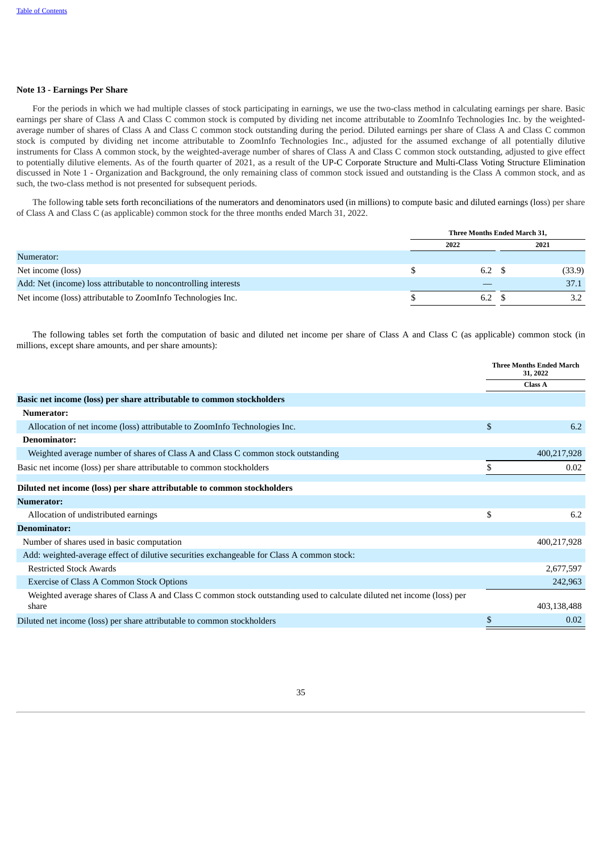### **Note 13 - Earnings Per Share**

For the periods in which we had multiple classes of stock participating in earnings, we use the two-class method in calculating earnings per share. Basic earnings per share of Class A and Class C common stock is computed by dividing net income attributable to ZoomInfo Technologies Inc. by the weightedaverage number of shares of Class A and Class C common stock outstanding during the period. Diluted earnings per share of Class A and Class C common stock is computed by dividing net income attributable to ZoomInfo Technologies Inc., adjusted for the assumed exchange of all potentially dilutive instruments for Class A common stock, by the weighted-average number of shares of Class A and Class C common stock outstanding, adjusted to give effect to potentially dilutive elements. As of the fourth quarter of 2021, as a result of the UP-C Corporate Structure and Multi-Class Voting Structure Elimination discussed in Note 1 - Organization and Background, the only remaining class of common stock issued and outstanding is the Class A common stock, and as such, the two-class method is not presented for subsequent periods.

The following table sets forth reconciliations of the numerators and denominators used (in millions) to compute basic and diluted earnings (loss) per share of Class A and Class C (as applicable) common stock for the three months ended March 31, 2022.

|                                                                 | Three Months Ended March 31. |                  |  |        |
|-----------------------------------------------------------------|------------------------------|------------------|--|--------|
|                                                                 |                              | 2022             |  | 2021   |
| Numerator:                                                      |                              |                  |  |        |
| Net income (loss)                                               |                              | 6.2 <sup>5</sup> |  | (33.9) |
| Add: Net (income) loss attributable to noncontrolling interests |                              |                  |  | 37.1   |
| Net income (loss) attributable to ZoomInfo Technologies Inc.    |                              | 6.2              |  | 3.2    |

The following tables set forth the computation of basic and diluted net income per share of Class A and Class C (as applicable) common stock (in millions, except share amounts, and per share amounts):

|                                                                                                                                  | <b>Three Months Ended March</b><br>31, 2022 |
|----------------------------------------------------------------------------------------------------------------------------------|---------------------------------------------|
|                                                                                                                                  | <b>Class A</b>                              |
| Basic net income (loss) per share attributable to common stockholders                                                            |                                             |
| Numerator:                                                                                                                       |                                             |
| Allocation of net income (loss) attributable to ZoomInfo Technologies Inc.                                                       | \$<br>6.2                                   |
| <b>Denominator:</b>                                                                                                              |                                             |
| Weighted average number of shares of Class A and Class C common stock outstanding                                                | 400,217,928                                 |
| Basic net income (loss) per share attributable to common stockholders                                                            | \$<br>0.02                                  |
| Diluted net income (loss) per share attributable to common stockholders                                                          |                                             |
| Numerator:                                                                                                                       |                                             |
| Allocation of undistributed earnings                                                                                             | \$<br>6.2                                   |
| <b>Denominator:</b>                                                                                                              |                                             |
| Number of shares used in basic computation                                                                                       | 400,217,928                                 |
| Add: weighted-average effect of dilutive securities exchangeable for Class A common stock:                                       |                                             |
| <b>Restricted Stock Awards</b>                                                                                                   | 2,677,597                                   |
| <b>Exercise of Class A Common Stock Options</b>                                                                                  | 242,963                                     |
| Weighted average shares of Class A and Class C common stock outstanding used to calculate diluted net income (loss) per<br>share | 403,138,488                                 |
| Diluted net income (loss) per share attributable to common stockholders                                                          | \$<br>0.02                                  |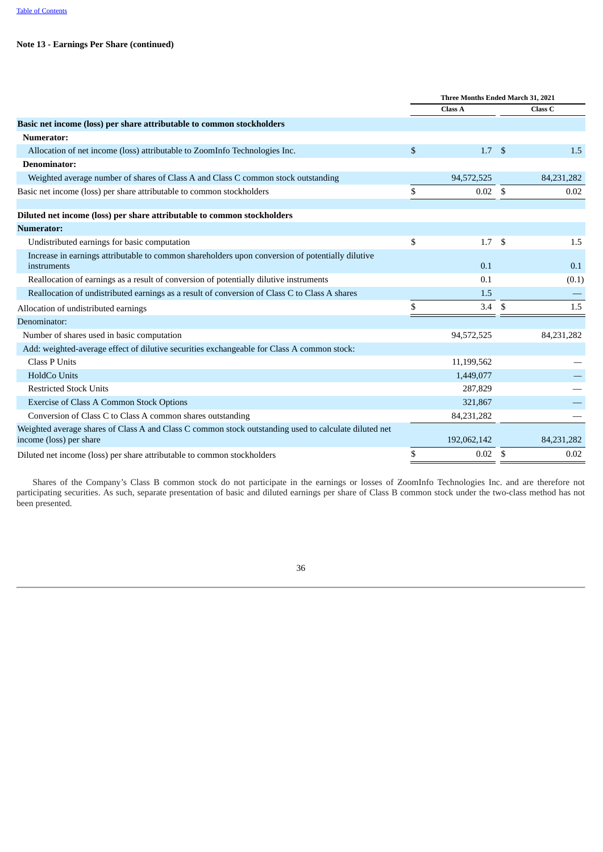# **Note 13 - Earnings Per Share (continued)**

|                                                                                                                                  | Three Months Ended March 31, 2021 |                  |              |            |
|----------------------------------------------------------------------------------------------------------------------------------|-----------------------------------|------------------|--------------|------------|
|                                                                                                                                  |                                   | <b>Class A</b>   |              | Class C    |
| Basic net income (loss) per share attributable to common stockholders                                                            |                                   |                  |              |            |
| Numerator:                                                                                                                       |                                   |                  |              |            |
| Allocation of net income (loss) attributable to ZoomInfo Technologies Inc.                                                       | $\mathbb{S}$                      | 1.7 <sup>5</sup> |              | 1.5        |
| <b>Denominator:</b>                                                                                                              |                                   |                  |              |            |
| Weighted average number of shares of Class A and Class C common stock outstanding                                                |                                   | 94,572,525       |              | 84,231,282 |
| Basic net income (loss) per share attributable to common stockholders                                                            | \$                                | $0.02 \quad$ \$  |              | 0.02       |
| Diluted net income (loss) per share attributable to common stockholders                                                          |                                   |                  |              |            |
| Numerator:                                                                                                                       |                                   |                  |              |            |
| Undistributed earnings for basic computation                                                                                     | \$                                | 1.7              | $\mathbf{s}$ | 1.5        |
| Increase in earnings attributable to common shareholders upon conversion of potentially dilutive                                 |                                   |                  |              |            |
| instruments                                                                                                                      |                                   | 0.1              |              | 0.1        |
| Reallocation of earnings as a result of conversion of potentially dilutive instruments                                           |                                   | 0.1              |              | (0.1)      |
| Reallocation of undistributed earnings as a result of conversion of Class C to Class A shares                                    |                                   | 1.5              |              |            |
| Allocation of undistributed earnings                                                                                             | \$                                | 3.4              | -\$          | 1.5        |
| Denominator:                                                                                                                     |                                   |                  |              |            |
| Number of shares used in basic computation                                                                                       |                                   | 94,572,525       |              | 84,231,282 |
| Add: weighted-average effect of dilutive securities exchangeable for Class A common stock:                                       |                                   |                  |              |            |
| <b>Class P Units</b>                                                                                                             |                                   | 11,199,562       |              |            |
| HoldCo Units                                                                                                                     |                                   | 1,449,077        |              |            |
| <b>Restricted Stock Units</b>                                                                                                    |                                   | 287,829          |              |            |
| <b>Exercise of Class A Common Stock Options</b>                                                                                  |                                   | 321,867          |              |            |
| Conversion of Class C to Class A common shares outstanding                                                                       |                                   | 84,231,282       |              |            |
| Weighted average shares of Class A and Class C common stock outstanding used to calculate diluted net<br>income (loss) per share |                                   | 192,062,142      |              | 84,231,282 |
| Diluted net income (loss) per share attributable to common stockholders                                                          | \$                                | 0.02             | -\$          | 0.02       |

Shares of the Company's Class B common stock do not participate in the earnings or losses of ZoomInfo Technologies Inc. and are therefore not participating securities. As such, separate presentation of basic and diluted earnings per share of Class B common stock under the two-class method has not been presented.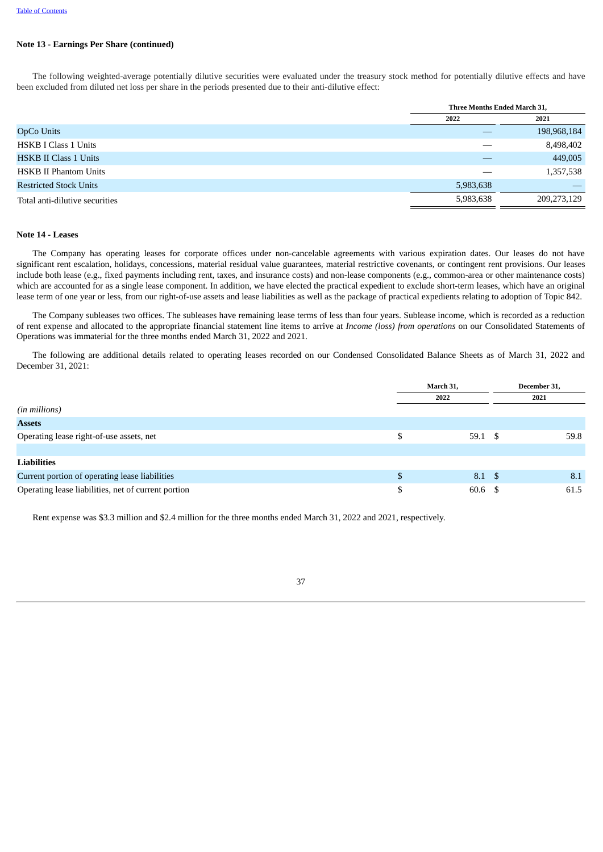## **Note 13 - Earnings Per Share (continued)**

The following weighted-average potentially dilutive securities were evaluated under the treasury stock method for potentially dilutive effects and have been excluded from diluted net loss per share in the periods presented due to their anti-dilutive effect:

|                                | Three Months Ended March 31, |             |  |
|--------------------------------|------------------------------|-------------|--|
|                                | 2022                         | 2021        |  |
| OpCo Units                     |                              | 198,968,184 |  |
| <b>HSKB I Class 1 Units</b>    |                              | 8,498,402   |  |
| <b>HSKB II Class 1 Units</b>   |                              | 449,005     |  |
| <b>HSKB II Phantom Units</b>   |                              | 1,357,538   |  |
| <b>Restricted Stock Units</b>  | 5,983,638                    |             |  |
| Total anti-dilutive securities | 5,983,638                    | 209,273,129 |  |

#### **Note 14 - Leases**

The Company has operating leases for corporate offices under non-cancelable agreements with various expiration dates. Our leases do not have significant rent escalation, holidays, concessions, material residual value guarantees, material restrictive covenants, or contingent rent provisions. Our leases include both lease (e.g., fixed payments including rent, taxes, and insurance costs) and non-lease components (e.g., common-area or other maintenance costs) which are accounted for as a single lease component. In addition, we have elected the practical expedient to exclude short-term leases, which have an original lease term of one year or less, from our right-of-use assets and lease liabilities as well as the package of practical expedients relating to adoption of Topic 842.

The Company subleases two offices. The subleases have remaining lease terms of less than four years. Sublease income, which is recorded as a reduction of rent expense and allocated to the appropriate financial statement line items to arrive at *Income (loss) from operations* on our Consolidated Statements of Operations was immaterial for the three months ended March 31, 2022 and 2021.

The following are additional details related to operating leases recorded on our Condensed Consolidated Balance Sheets as of March 31, 2022 and December 31, 2021:

|                                                     | March 31,       | December 31, |
|-----------------------------------------------------|-----------------|--------------|
|                                                     | 2022            | 2021         |
| (in millions)                                       |                 |              |
| <b>Assets</b>                                       |                 |              |
| Operating lease right-of-use assets, net            | \$<br>59.1 S    | 59.8         |
|                                                     |                 |              |
| <b>Liabilities</b>                                  |                 |              |
| Current portion of operating lease liabilities      | \$<br>8.1 \$    | 8.1          |
| Operating lease liabilities, net of current portion | \$<br>$60.6$ \$ | 61.5         |

Rent expense was \$3.3 million and \$2.4 million for the three months ended March 31, 2022 and 2021, respectively.

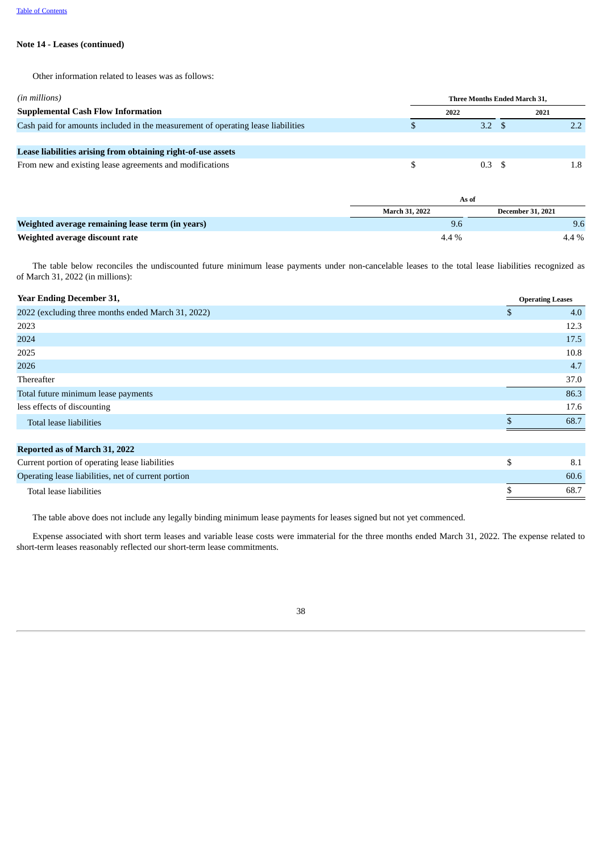# **Note 14 - Leases (continued)**

Other information related to leases was as follows:

| (in millions)                                                                    |      | Three Months Ended March 31. |      |  |
|----------------------------------------------------------------------------------|------|------------------------------|------|--|
| <b>Supplemental Cash Flow Information</b>                                        | 2022 |                              | 2021 |  |
| Cash paid for amounts included in the measurement of operating lease liabilities |      | 3.2 <sup>5</sup>             | 2.2  |  |
| Lease liabilities arising from obtaining right-of-use assets                     |      |                              |      |  |
| From new and existing lease agreements and modifications                         |      | 0.3 <sup>5</sup>             | 1.8  |  |

|                                                  | As of                 |                          |
|--------------------------------------------------|-----------------------|--------------------------|
|                                                  | <b>March 31, 2022</b> | <b>December 31, 2021</b> |
| Weighted average remaining lease term (in years) | 9.6                   | 9.6                      |
| Weighted average discount rate                   | 4.4 %                 | 4.4 %                    |

The table below reconciles the undiscounted future minimum lease payments under non-cancelable leases to the total lease liabilities recognized as of March 31, 2022 (in millions):

# **Year Ending December 31, Operating Leases**

| rtar Enamg Betenber 91,                             | opaanig Lases |      |
|-----------------------------------------------------|---------------|------|
| 2022 (excluding three months ended March 31, 2022)  | \$            | 4.0  |
| 2023                                                |               | 12.3 |
| 2024                                                |               | 17.5 |
| 2025                                                |               | 10.8 |
| 2026                                                |               | 4.7  |
| Thereafter                                          |               | 37.0 |
| Total future minimum lease payments                 |               | 86.3 |
| less effects of discounting                         |               | 17.6 |
| Total lease liabilities                             |               | 68.7 |
|                                                     |               |      |
| Reported as of March 31, 2022                       |               |      |
| Current portion of operating lease liabilities      | \$            | 8.1  |
| Operating lease liabilities, net of current portion |               | 60.6 |
| Total lease liabilities                             | \$            | 68.7 |

The table above does not include any legally binding minimum lease payments for leases signed but not yet commenced.

Expense associated with short term leases and variable lease costs were immaterial for the three months ended March 31, 2022. The expense related to short-term leases reasonably reflected our short-term lease commitments.

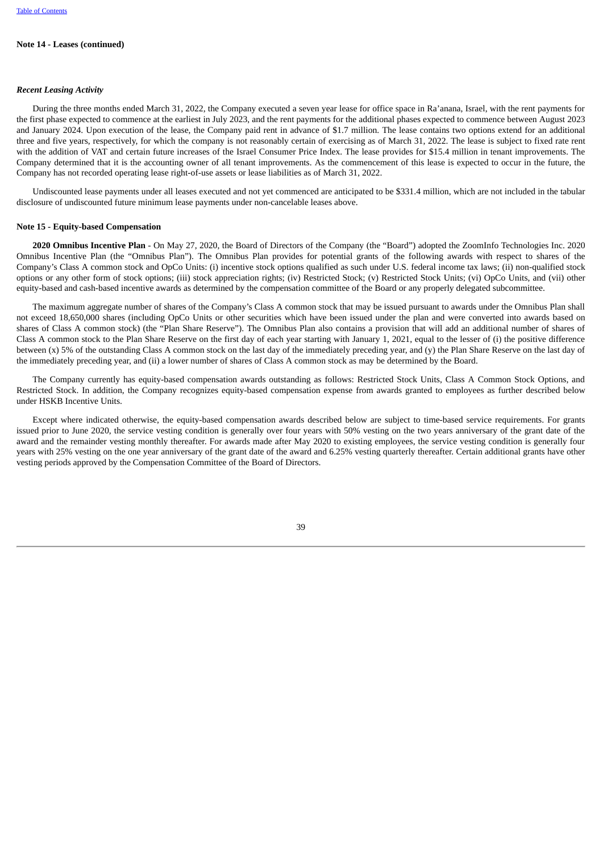### **Note 14 - Leases (continued)**

#### *Recent Leasing Activity*

During the three months ended March 31, 2022, the Company executed a seven year lease for office space in Ra'anana, Israel, with the rent payments for the first phase expected to commence at the earliest in July 2023, and the rent payments for the additional phases expected to commence between August 2023 and January 2024. Upon execution of the lease, the Company paid rent in advance of \$1.7 million. The lease contains two options extend for an additional three and five years, respectively, for which the company is not reasonably certain of exercising as of March 31, 2022. The lease is subject to fixed rate rent with the addition of VAT and certain future increases of the Israel Consumer Price Index. The lease provides for \$15.4 million in tenant improvements. The Company determined that it is the accounting owner of all tenant improvements. As the commencement of this lease is expected to occur in the future, the Company has not recorded operating lease right-of-use assets or lease liabilities as of March 31, 2022.

Undiscounted lease payments under all leases executed and not yet commenced are anticipated to be \$331.4 million, which are not included in the tabular disclosure of undiscounted future minimum lease payments under non-cancelable leases above.

### **Note 15 - Equity-based Compensation**

**2020 Omnibus Incentive Plan** - On May 27, 2020, the Board of Directors of the Company (the "Board") adopted the ZoomInfo Technologies Inc. 2020 Omnibus Incentive Plan (the "Omnibus Plan"). The Omnibus Plan provides for potential grants of the following awards with respect to shares of the Company's Class A common stock and OpCo Units: (i) incentive stock options qualified as such under U.S. federal income tax laws; (ii) non-qualified stock options or any other form of stock options; (iii) stock appreciation rights; (iv) Restricted Stock; (v) Restricted Stock Units; (vi) OpCo Units, and (vii) other equity-based and cash-based incentive awards as determined by the compensation committee of the Board or any properly delegated subcommittee.

The maximum aggregate number of shares of the Company's Class A common stock that may be issued pursuant to awards under the Omnibus Plan shall not exceed 18,650,000 shares (including OpCo Units or other securities which have been issued under the plan and were converted into awards based on shares of Class A common stock) (the "Plan Share Reserve"). The Omnibus Plan also contains a provision that will add an additional number of shares of Class A common stock to the Plan Share Reserve on the first day of each year starting with January 1, 2021, equal to the lesser of (i) the positive difference between (x) 5% of the outstanding Class A common stock on the last day of the immediately preceding year, and (y) the Plan Share Reserve on the last day of the immediately preceding year, and (ii) a lower number of shares of Class A common stock as may be determined by the Board.

The Company currently has equity-based compensation awards outstanding as follows: Restricted Stock Units, Class A Common Stock Options, and Restricted Stock. In addition, the Company recognizes equity-based compensation expense from awards granted to employees as further described below under HSKB Incentive Units.

Except where indicated otherwise, the equity-based compensation awards described below are subject to time-based service requirements. For grants issued prior to June 2020, the service vesting condition is generally over four years with 50% vesting on the two years anniversary of the grant date of the award and the remainder vesting monthly thereafter. For awards made after May 2020 to existing employees, the service vesting condition is generally four years with 25% vesting on the one year anniversary of the grant date of the award and 6.25% vesting quarterly thereafter. Certain additional grants have other vesting periods approved by the Compensation Committee of the Board of Directors.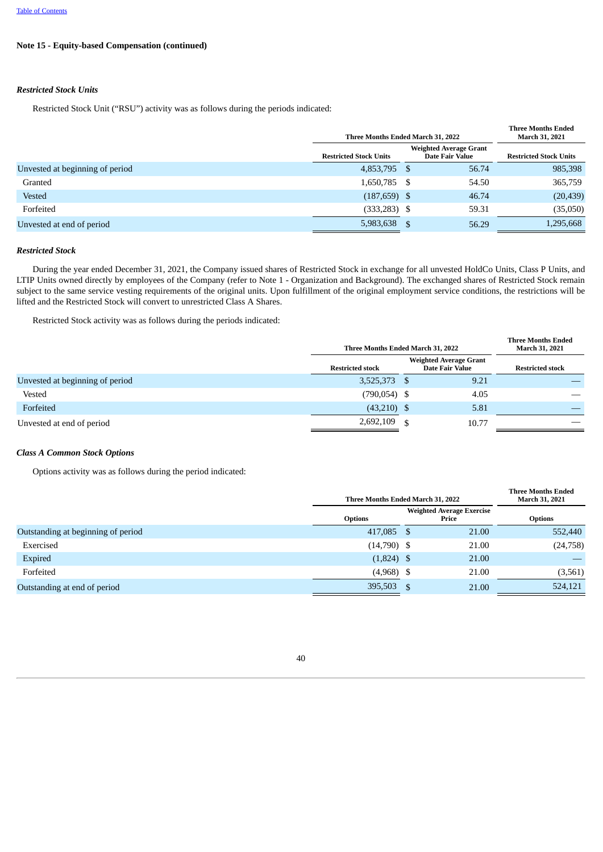# *Restricted Stock Units*

Restricted Stock Unit ("RSU") activity was as follows during the periods indicated:

|                                 | Three Months Ended March 31, 2022 | <b>Three Months Ended</b><br><b>March 31, 2021</b> |       |           |
|---------------------------------|-----------------------------------|----------------------------------------------------|-------|-----------|
|                                 | <b>Restricted Stock Units</b>     | <b>Restricted Stock Units</b>                      |       |           |
| Unvested at beginning of period | 4,853,795                         | - \$                                               | 56.74 | 985,398   |
| Granted                         | 1,650,785                         | - S                                                | 54.50 | 365,759   |
| Vested                          | $(187, 659)$ \$                   |                                                    | 46.74 | (20, 439) |
| Forfeited                       | $(333, 283)$ \$                   |                                                    | 59.31 | (35,050)  |
| Unvested at end of period       | 5,983,638                         |                                                    | 56.29 | 1,295,668 |

# *Restricted Stock*

During the year ended December 31, 2021, the Company issued shares of Restricted Stock in exchange for all unvested HoldCo Units, Class P Units, and LTIP Units owned directly by employees of the Company (refer to Note 1 - Organization and Background). The exchanged shares of Restricted Stock remain subject to the same service vesting requirements of the original units. Upon fulfillment of the original employment service conditions, the restrictions will be lifted and the Restricted Stock will convert to unrestricted Class A Shares.

Restricted Stock activity was as follows during the periods indicated:

|                                 | Three Months Ended March 31, 2022                                           | <b>Three Months Ended</b><br>March 31, 2021 |       |                         |
|---------------------------------|-----------------------------------------------------------------------------|---------------------------------------------|-------|-------------------------|
|                                 | <b>Weighted Average Grant</b><br><b>Restricted stock</b><br>Date Fair Value |                                             |       | <b>Restricted stock</b> |
| Unvested at beginning of period | 3,525,373                                                                   | - S                                         | 9.21  |                         |
| Vested                          | $(790, 054)$ \$                                                             |                                             | 4.05  |                         |
| Forfeited                       | $(43,210)$ \$                                                               |                                             | 5.81  |                         |
| Unvested at end of period       | 2,692,109                                                                   |                                             | 10.77 |                         |

# *Class A Common Stock Options*

Options activity was as follows during the period indicated:

|                                    | Three Months Ended March 31, 2022                           | <b>Three Months Ended</b><br><b>March 31, 2021</b><br><b>Options</b> |       |          |
|------------------------------------|-------------------------------------------------------------|----------------------------------------------------------------------|-------|----------|
|                                    | <b>Weighted Average Exercise</b><br><b>Options</b><br>Price |                                                                      |       |          |
| Outstanding at beginning of period | 417,085                                                     | - S                                                                  | 21.00 | 552,440  |
| Exercised                          | $(14,790)$ \$                                               |                                                                      | 21.00 | (24,758) |
| Expired                            | $(1,824)$ \$                                                |                                                                      | 21.00 |          |
| Forfeited                          | $(4,968)$ \$                                                |                                                                      | 21.00 | (3, 561) |
| Outstanding at end of period       | 395,503                                                     | $\mathbf{S}$                                                         | 21.00 | 524,121  |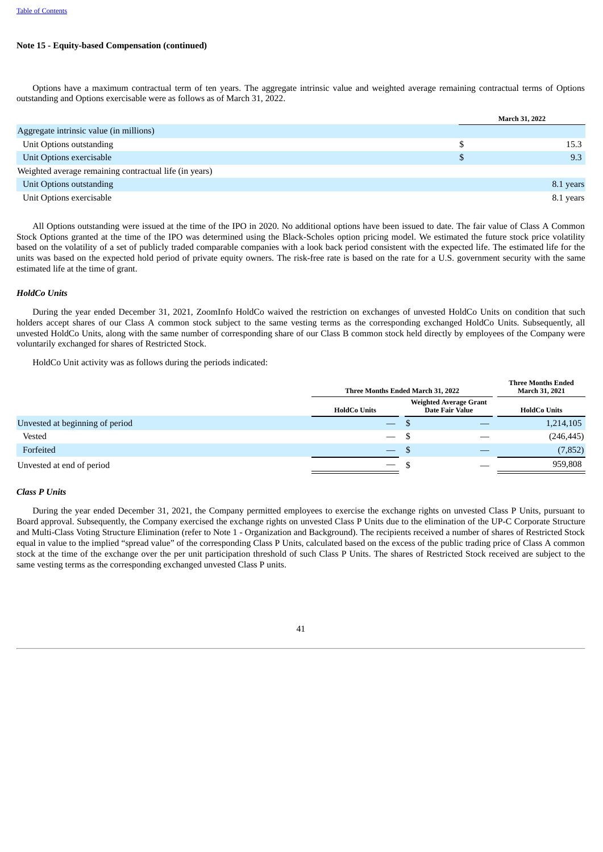Options have a maximum contractual term of ten years. The aggregate intrinsic value and weighted average remaining contractual terms of Options outstanding and Options exercisable were as follows as of March 31, 2022.

|                                                        |   | March 31, 2022 |
|--------------------------------------------------------|---|----------------|
| Aggregate intrinsic value (in millions)                |   |                |
| Unit Options outstanding                               |   | 15.3           |
| Unit Options exercisable                               | S | 9.3            |
| Weighted average remaining contractual life (in years) |   |                |
| Unit Options outstanding                               |   | 8.1 years      |
| Unit Options exercisable                               |   | 8.1 years      |

All Options outstanding were issued at the time of the IPO in 2020. No additional options have been issued to date. The fair value of Class A Common Stock Options granted at the time of the IPO was determined using the Black-Scholes option pricing model. We estimated the future stock price volatility based on the volatility of a set of publicly traded comparable companies with a look back period consistent with the expected life. The estimated life for the units was based on the expected hold period of private equity owners. The risk-free rate is based on the rate for a U.S. government security with the same estimated life at the time of grant.

### *HoldCo Units*

During the year ended December 31, 2021, ZoomInfo HoldCo waived the restriction on exchanges of unvested HoldCo Units on condition that such holders accept shares of our Class A common stock subject to the same vesting terms as the corresponding exchanged HoldCo Units. Subsequently, all unvested HoldCo Units, along with the same number of corresponding share of our Class B common stock held directly by employees of the Company were voluntarily exchanged for shares of Restricted Stock.

HoldCo Unit activity was as follows during the periods indicated:

|                                 | Three Months Ended March 31, 2022                                       | <b>Three Months Ended</b><br><b>March 31, 2021</b> |  |                     |  |
|---------------------------------|-------------------------------------------------------------------------|----------------------------------------------------|--|---------------------|--|
|                                 | <b>Weighted Average Grant</b><br><b>HoldCo Units</b><br>Date Fair Value |                                                    |  | <b>HoldCo Units</b> |  |
| Unvested at beginning of period | $\overline{\phantom{a}}$                                                | ൸                                                  |  | 1,214,105           |  |
| Vested                          | $\overline{\phantom{a}}$                                                | -8                                                 |  | (246, 445)          |  |
| Forfeited                       | $\overline{\phantom{0}}$                                                | - 5                                                |  | (7, 852)            |  |
| Unvested at end of period       |                                                                         |                                                    |  | 959,808             |  |

# *Class P Units*

During the year ended December 31, 2021, the Company permitted employees to exercise the exchange rights on unvested Class P Units, pursuant to Board approval. Subsequently, the Company exercised the exchange rights on unvested Class P Units due to the elimination of the UP-C Corporate Structure and Multi-Class Voting Structure Elimination (refer to Note 1 - Organization and Background). The recipients received a number of shares of Restricted Stock equal in value to the implied "spread value" of the corresponding Class P Units, calculated based on the excess of the public trading price of Class A common stock at the time of the exchange over the per unit participation threshold of such Class P Units. The shares of Restricted Stock received are subject to the same vesting terms as the corresponding exchanged unvested Class P units.

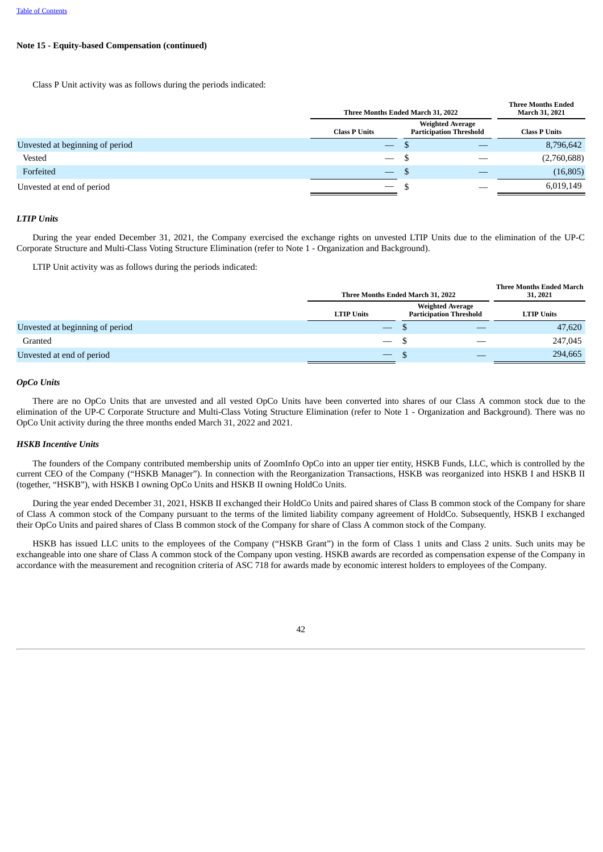Class P Unit activity was as follows during the periods indicated:

|                                 |                      | Three Months Ended March 31, 2022 | <b>Three Months Ended</b><br><b>March 31, 2021</b> |             |
|---------------------------------|----------------------|-----------------------------------|----------------------------------------------------|-------------|
|                                 | <b>Class P Units</b> |                                   | <b>Class P Units</b>                               |             |
| Unvested at beginning of period |                      | $\equiv$                          |                                                    | 8,796,642   |
| Vested                          |                      | $\overline{\phantom{0}}$          | Ъ                                                  | (2,760,688) |
| Forfeited                       |                      | $\overline{\phantom{0}}$          | - 35                                               | (16, 805)   |
| Unvested at end of period       |                      | $\hspace{0.05cm}$                 |                                                    | 6,019,149   |
|                                 |                      |                                   |                                                    |             |

## *LTIP Units*

During the year ended December 31, 2021, the Company exercised the exchange rights on unvested LTIP Units due to the elimination of the UP-C Corporate Structure and Multi-Class Voting Structure Elimination (refer to Note 1 - Organization and Background).

LTIP Unit activity was as follows during the periods indicated:

|                                 | Three Months Ended March 31, 2022                                              | <b>Three Months Ended March</b><br>31, 2021 |                   |
|---------------------------------|--------------------------------------------------------------------------------|---------------------------------------------|-------------------|
|                                 | <b>Weighted Average</b><br><b>Participation Threshold</b><br><b>LTIP Units</b> |                                             | <b>LTIP Units</b> |
| Unvested at beginning of period | $\hspace{0.1mm}-\hspace{0.1mm}$                                                |                                             | 47,620            |
| Granted                         | $\hspace{0.1mm}-\hspace{0.1mm}$                                                |                                             | 247,045           |
| Unvested at end of period       | $\hspace{0.1mm}-\hspace{0.1mm}$                                                |                                             | 294,665           |

## *OpCo Units*

There are no OpCo Units that are unvested and all vested OpCo Units have been converted into shares of our Class A common stock due to the elimination of the UP-C Corporate Structure and Multi-Class Voting Structure Elimination (refer to Note 1 - Organization and Background). There was no OpCo Unit activity during the three months ended March 31, 2022 and 2021.

#### *HSKB Incentive Units*

The founders of the Company contributed membership units of ZoomInfo OpCo into an upper tier entity, HSKB Funds, LLC, which is controlled by the current CEO of the Company ("HSKB Manager"). In connection with the Reorganization Transactions, HSKB was reorganized into HSKB I and HSKB II (together, "HSKB"), with HSKB I owning OpCo Units and HSKB II owning HoldCo Units.

During the year ended December 31, 2021, HSKB II exchanged their HoldCo Units and paired shares of Class B common stock of the Company for share of Class A common stock of the Company pursuant to the terms of the limited liability company agreement of HoldCo. Subsequently, HSKB I exchanged their OpCo Units and paired shares of Class B common stock of the Company for share of Class A common stock of the Company.

HSKB has issued LLC units to the employees of the Company ("HSKB Grant") in the form of Class 1 units and Class 2 units. Such units may be exchangeable into one share of Class A common stock of the Company upon vesting. HSKB awards are recorded as compensation expense of the Company in accordance with the measurement and recognition criteria of ASC 718 for awards made by economic interest holders to employees of the Company.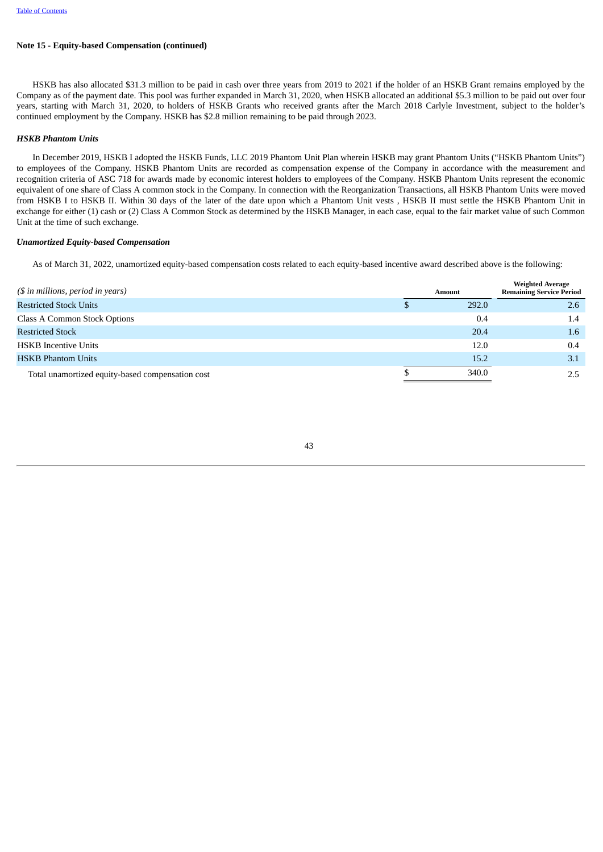HSKB has also allocated \$31.3 million to be paid in cash over three years from 2019 to 2021 if the holder of an HSKB Grant remains employed by the Company as of the payment date. This pool was further expanded in March 31, 2020, when HSKB allocated an additional \$5.3 million to be paid out over four years, starting with March 31, 2020, to holders of HSKB Grants who received grants after the March 2018 Carlyle Investment, subject to the holder's continued employment by the Company. HSKB has \$2.8 million remaining to be paid through 2023.

## *HSKB Phantom Units*

In December 2019, HSKB I adopted the HSKB Funds, LLC 2019 Phantom Unit Plan wherein HSKB may grant Phantom Units ("HSKB Phantom Units") to employees of the Company. HSKB Phantom Units are recorded as compensation expense of the Company in accordance with the measurement and recognition criteria of ASC 718 for awards made by economic interest holders to employees of the Company. HSKB Phantom Units represent the economic equivalent of one share of Class A common stock in the Company. In connection with the Reorganization Transactions, all HSKB Phantom Units were moved from HSKB I to HSKB II. Within 30 days of the later of the date upon which a Phantom Unit vests , HSKB II must settle the HSKB Phantom Unit in exchange for either (1) cash or (2) Class A Common Stock as determined by the HSKB Manager, in each case, equal to the fair market value of such Common Unit at the time of such exchange.

# *Unamortized Equity-based Compensation*

As of March 31, 2022, unamortized equity-based compensation costs related to each equity-based incentive award described above is the following:

| (\$ in millions, period in years)                | Amount | <b>Weighted Average</b><br><b>Remaining Service Period</b> |
|--------------------------------------------------|--------|------------------------------------------------------------|
| <b>Restricted Stock Units</b>                    | 292.0  | 2.6                                                        |
| Class A Common Stock Options                     | 0.4    | 1.4                                                        |
| <b>Restricted Stock</b>                          | 20.4   | 1.6                                                        |
| <b>HSKB</b> Incentive Units                      | 12.0   | 0.4                                                        |
| <b>HSKB Phantom Units</b>                        | 15.2   | 3.1                                                        |
| Total unamortized equity-based compensation cost | 340.0  | 2.5                                                        |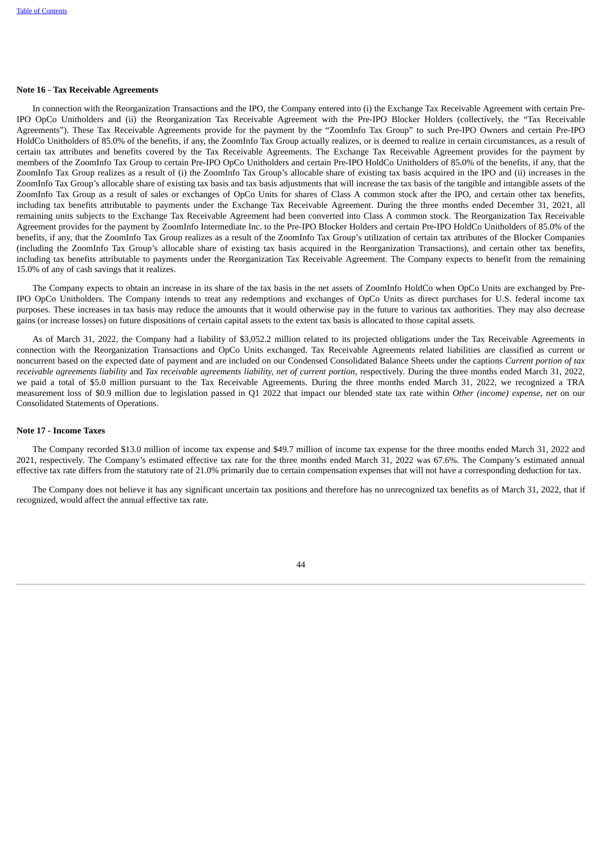# **Note 16 - Tax Receivable Agreements**

In connection with the Reorganization Transactions and the IPO, the Company entered into (i) the Exchange Tax Receivable Agreement with certain Pre-IPO OpCo Unitholders and (ii) the Reorganization Tax Receivable Agreement with the Pre-IPO Blocker Holders (collectively, the "Tax Receivable Agreements"). These Tax Receivable Agreements provide for the payment by the "ZoomInfo Tax Group" to such Pre-IPO Owners and certain Pre-IPO HoldCo Unitholders of 85.0% of the benefits, if any, the ZoomInfo Tax Group actually realizes, or is deemed to realize in certain circumstances, as a result of certain tax attributes and benefits covered by the Tax Receivable Agreements. The Exchange Tax Receivable Agreement provides for the payment by members of the ZoomInfo Tax Group to certain Pre-IPO OpCo Unitholders and certain Pre-IPO HoldCo Unitholders of 85.0% of the benefits, if any, that the ZoomInfo Tax Group realizes as a result of (i) the ZoomInfo Tax Group's allocable share of existing tax basis acquired in the IPO and (ii) increases in the ZoomInfo Tax Group's allocable share of existing tax basis and tax basis adjustments that will increase the tax basis of the tangible and intangible assets of the ZoomInfo Tax Group as a result of sales or exchanges of OpCo Units for shares of Class A common stock after the IPO, and certain other tax benefits, including tax benefits attributable to payments under the Exchange Tax Receivable Agreement. During the three months ended December 31, 2021, all remaining units subjects to the Exchange Tax Receivable Agreement had been converted into Class A common stock. The Reorganization Tax Receivable Agreement provides for the payment by ZoomInfo Intermediate Inc. to the Pre-IPO Blocker Holders and certain Pre-IPO HoldCo Unitholders of 85.0% of the benefits, if any, that the ZoomInfo Tax Group realizes as a result of the ZoomInfo Tax Group's utilization of certain tax attributes of the Blocker Companies (including the ZoomInfo Tax Group's allocable share of existing tax basis acquired in the Reorganization Transactions), and certain other tax benefits, including tax benefits attributable to payments under the Reorganization Tax Receivable Agreement. The Company expects to benefit from the remaining 15.0% of any of cash savings that it realizes.

The Company expects to obtain an increase in its share of the tax basis in the net assets of ZoomInfo HoldCo when OpCo Units are exchanged by Pre-IPO OpCo Unitholders. The Company intends to treat any redemptions and exchanges of OpCo Units as direct purchases for U.S. federal income tax purposes. These increases in tax basis may reduce the amounts that it would otherwise pay in the future to various tax authorities. They may also decrease gains (or increase losses) on future dispositions of certain capital assets to the extent tax basis is allocated to those capital assets.

As of March 31, 2022, the Company had a liability of \$3,052.2 million related to its projected obligations under the Tax Receivable Agreements in connection with the Reorganization Transactions and OpCo Units exchanged. Tax Receivable Agreements related liabilities are classified as current or noncurrent based on the expected date of payment and are included on our Condensed Consolidated Balance Sheets under the captions *Current portion of tax* receivable agreements liability and Tax receivable agreements liability, net of current portion, respectively. During the three months ended March 31, 2022, we paid a total of \$5.0 million pursuant to the Tax Receivable Agreements. During the three months ended March 31, 2022, we recognized a TRA measurement loss of \$0.9 million due to legislation passed in Q1 2022 that impact our blended state tax rate within *Other (income) expense, net* on our Consolidated Statements of Operations.

### **Note 17 - Income Taxes**

The Company recorded \$13.0 million of income tax expense and \$49.7 million of income tax expense for the three months ended March 31, 2022 and 2021, respectively. The Company's estimated effective tax rate for the three months ended March 31, 2022 was 67.6%. The Company's estimated annual effective tax rate differs from the statutory rate of 21.0% primarily due to certain compensation expenses that will not have a corresponding deduction for tax.

The Company does not believe it has any significant uncertain tax positions and therefore has no unrecognized tax benefits as of March 31, 2022, that if recognized, would affect the annual effective tax rate.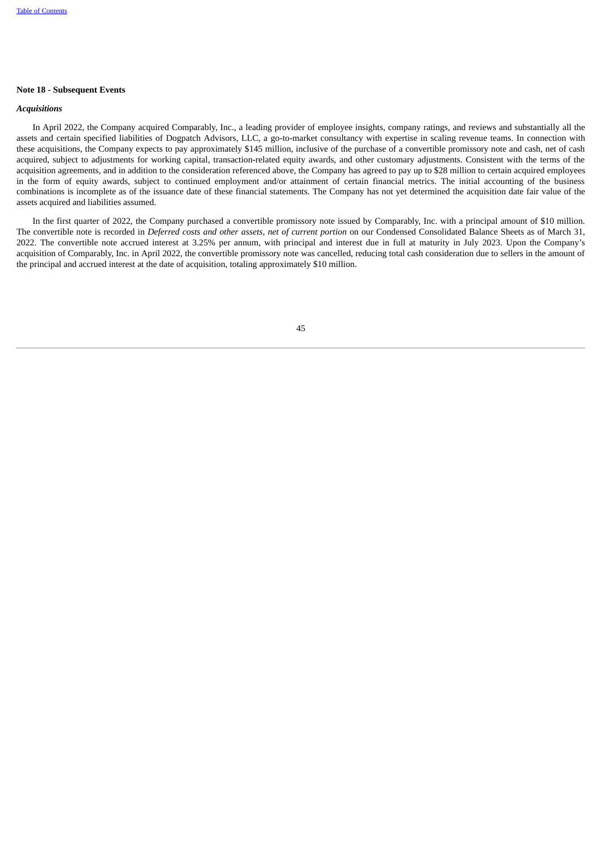### **Note 18 - Subsequent Events**

## *Acquisitions*

In April 2022, the Company acquired Comparably, Inc., a leading provider of employee insights, company ratings, and reviews and substantially all the assets and certain specified liabilities of Dogpatch Advisors, LLC, a go-to-market consultancy with expertise in scaling revenue teams. In connection with these acquisitions, the Company expects to pay approximately \$145 million, inclusive of the purchase of a convertible promissory note and cash, net of cash acquired, subject to adjustments for working capital, transaction-related equity awards, and other customary adjustments. Consistent with the terms of the acquisition agreements, and in addition to the consideration referenced above, the Company has agreed to pay up to \$28 million to certain acquired employees in the form of equity awards, subject to continued employment and/or attainment of certain financial metrics. The initial accounting of the business combinations is incomplete as of the issuance date of these financial statements. The Company has not yet determined the acquisition date fair value of the assets acquired and liabilities assumed.

In the first quarter of 2022, the Company purchased a convertible promissory note issued by Comparably, Inc. with a principal amount of \$10 million. The convertible note is recorded in *Deferred costs and other assets, net of current portion* on our Condensed Consolidated Balance Sheets as of March 31, 2022. The convertible note accrued interest at 3.25% per annum, with principal and interest due in full at maturity in July 2023. Upon the Company's acquisition of Comparably, Inc. in April 2022, the convertible promissory note was cancelled, reducing total cash consideration due to sellers in the amount of the principal and accrued interest at the date of acquisition, totaling approximately \$10 million.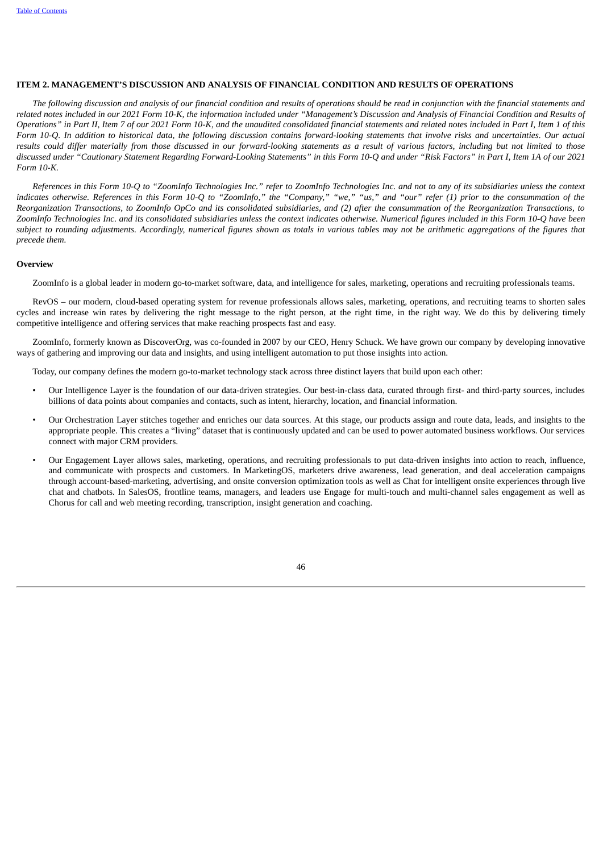# **ITEM 2. MANAGEMENT'S DISCUSSION AND ANALYSIS OF FINANCIAL CONDITION AND RESULTS OF OPERATIONS**

The following discussion and analysis of our financial condition and results of operations should be read in conjunction with the financial statements and related notes included in our 2021 Form 10-K, the information included under "Management's Discussion and Analysis of Financial Condition and Results of Operations" in Part II, Item 7 of our 2021 Form 10-K, and the unaudited consolidated financial statements and related notes included in Part I, Item 1 of this Form 10-Q. In addition to historical data, the following discussion contains forward-looking statements that involve risks and uncertainties. Our actual results could differ materially from those discussed in our forward-looking statements as a result of various factors, including but not limited to those discussed under "Cautionary Statement Regarding Forward-Looking Statements" in this Form 10-Q and under "Risk Factors" in Part I, Item 1A of our 2021 *Form 10-K.*

References in this Form 10-Q to "ZoomInfo Technologies Inc." refer to ZoomInfo Technologies Inc. and not to any of its subsidiaries unless the context indicates otherwise. References in this Form 10-Q to "ZoomInfo," the "Company," "we," "us," and "our" refer (1) prior to the consummation of the Reorganization Transactions, to ZoomInfo OpCo and its consolidated subsidiaries, and (2) after the consummation of the Reorganization Transactions, to ZoomInfo Technologies Inc. and its consolidated subsidiaries unless the context indicates otherwise. Numerical figures included in this Form 10-O have been subject to rounding adjustments. Accordingly, numerical figures shown as totals in various tables may not be arithmetic gaaregations of the figures that *precede them.*

### **Overview**

ZoomInfo is a global leader in modern go-to-market software, data, and intelligence for sales, marketing, operations and recruiting professionals teams.

RevOS – our modern, cloud-based operating system for revenue professionals allows sales, marketing, operations, and recruiting teams to shorten sales cycles and increase win rates by delivering the right message to the right person, at the right time, in the right way. We do this by delivering timely competitive intelligence and offering services that make reaching prospects fast and easy.

ZoomInfo, formerly known as DiscoverOrg, was co-founded in 2007 by our CEO, Henry Schuck. We have grown our company by developing innovative ways of gathering and improving our data and insights, and using intelligent automation to put those insights into action.

Today, our company defines the modern go-to-market technology stack across three distinct layers that build upon each other:

- Our Intelligence Layer is the foundation of our data-driven strategies. Our best-in-class data, curated through first- and third-party sources, includes billions of data points about companies and contacts, such as intent, hierarchy, location, and financial information.
- Our Orchestration Layer stitches together and enriches our data sources. At this stage, our products assign and route data, leads, and insights to the appropriate people. This creates a "living" dataset that is continuously updated and can be used to power automated business workflows. Our services connect with major CRM providers.
- Our Engagement Layer allows sales, marketing, operations, and recruiting professionals to put data-driven insights into action to reach, influence, and communicate with prospects and customers. In MarketingOS, marketers drive awareness, lead generation, and deal acceleration campaigns through account-based-marketing, advertising, and onsite conversion optimization tools as well as Chat for intelligent onsite experiences through live chat and chatbots. In SalesOS, frontline teams, managers, and leaders use Engage for multi-touch and multi-channel sales engagement as well as Chorus for call and web meeting recording, transcription, insight generation and coaching.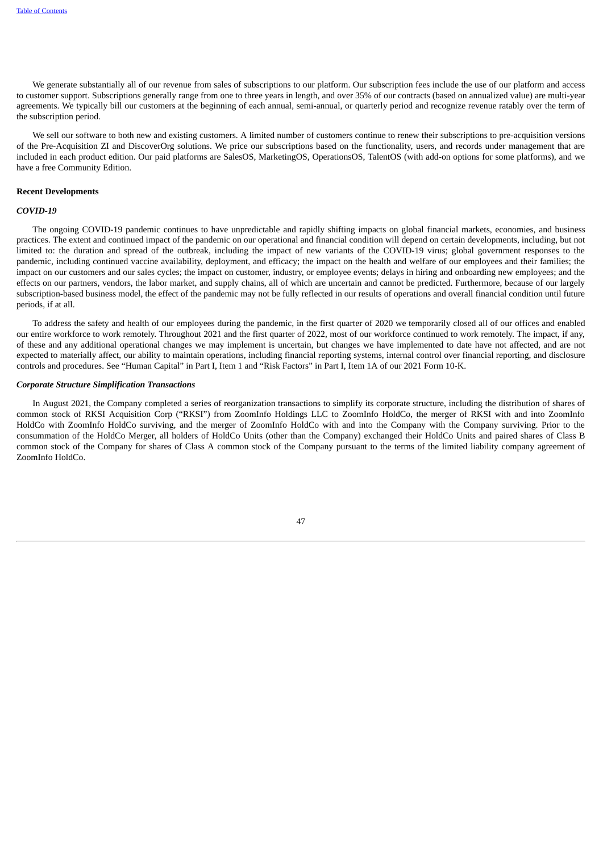We generate substantially all of our revenue from sales of subscriptions to our platform. Our subscription fees include the use of our platform and access to customer support. Subscriptions generally range from one to three years in length, and over 35% of our contracts (based on annualized value) are multi-year agreements. We typically bill our customers at the beginning of each annual, semi-annual, or quarterly period and recognize revenue ratably over the term of the subscription period.

We sell our software to both new and existing customers. A limited number of customers continue to renew their subscriptions to pre-acquisition versions of the Pre-Acquisition ZI and DiscoverOrg solutions. We price our subscriptions based on the functionality, users, and records under management that are included in each product edition. Our paid platforms are SalesOS, MarketingOS, OperationsOS, TalentOS (with add-on options for some platforms), and we have a free Community Edition.

#### **Recent Developments**

### *COVID-19*

The ongoing COVID-19 pandemic continues to have unpredictable and rapidly shifting impacts on global financial markets, economies, and business practices. The extent and continued impact of the pandemic on our operational and financial condition will depend on certain developments, including, but not limited to: the duration and spread of the outbreak, including the impact of new variants of the COVID-19 virus; global government responses to the pandemic, including continued vaccine availability, deployment, and efficacy; the impact on the health and welfare of our employees and their families; the impact on our customers and our sales cycles; the impact on customer, industry, or employee events; delays in hiring and onboarding new employees; and the effects on our partners, vendors, the labor market, and supply chains, all of which are uncertain and cannot be predicted. Furthermore, because of our largely subscription-based business model, the effect of the pandemic may not be fully reflected in our results of operations and overall financial condition until future periods, if at all.

To address the safety and health of our employees during the pandemic, in the first quarter of 2020 we temporarily closed all of our offices and enabled our entire workforce to work remotely. Throughout 2021 and the first quarter of 2022, most of our workforce continued to work remotely. The impact, if any, of these and any additional operational changes we may implement is uncertain, but changes we have implemented to date have not affected, and are not expected to materially affect, our ability to maintain operations, including financial reporting systems, internal control over financial reporting, and disclosure controls and procedures. See "Human Capital" in Part I, Item 1 and "Risk Factors" in Part I, Item 1A of our 2021 Form 10-K.

#### *Corporate Structure Simplification Transactions*

In August 2021, the Company completed a series of reorganization transactions to simplify its corporate structure, including the distribution of shares of common stock of RKSI Acquisition Corp ("RKSI") from ZoomInfo Holdings LLC to ZoomInfo HoldCo, the merger of RKSI with and into ZoomInfo HoldCo with ZoomInfo HoldCo surviving, and the merger of ZoomInfo HoldCo with and into the Company with the Company surviving. Prior to the consummation of the HoldCo Merger, all holders of HoldCo Units (other than the Company) exchanged their HoldCo Units and paired shares of Class B common stock of the Company for shares of Class A common stock of the Company pursuant to the terms of the limited liability company agreement of ZoomInfo HoldCo.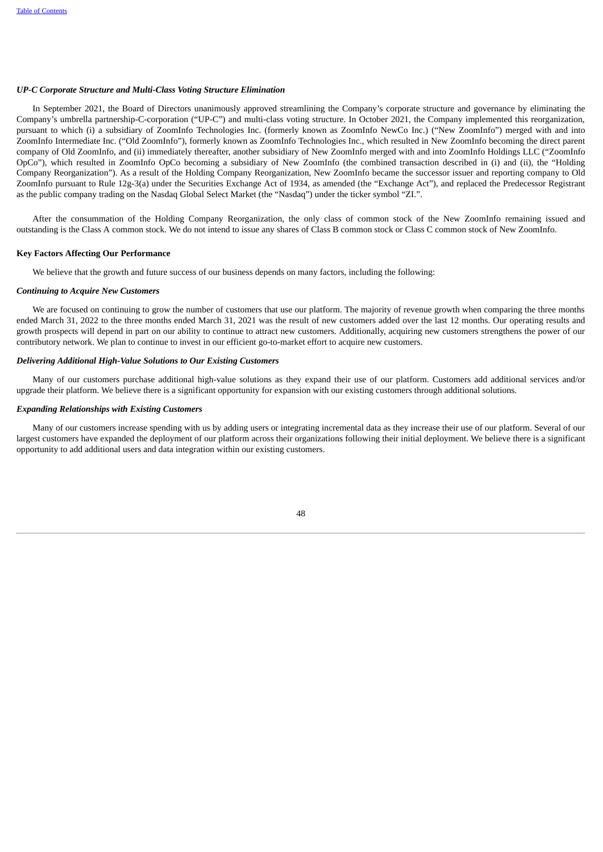# *UP-C Corporate Structure and Multi-Class Voting Structure Elimination*

In September 2021, the Board of Directors unanimously approved streamlining the Company's corporate structure and governance by eliminating the Company's umbrella partnership-C-corporation ("UP-C") and multi-class voting structure. In October 2021, the Company implemented this reorganization, pursuant to which (i) a subsidiary of ZoomInfo Technologies Inc. (formerly known as ZoomInfo NewCo Inc.) ("New ZoomInfo") merged with and into ZoomInfo Intermediate Inc. ("Old ZoomInfo"), formerly known as ZoomInfo Technologies Inc., which resulted in New ZoomInfo becoming the direct parent company of Old ZoomInfo, and (ii) immediately thereafter, another subsidiary of New ZoomInfo merged with and into ZoomInfo Holdings LLC ("ZoomInfo OpCo"), which resulted in ZoomInfo OpCo becoming a subsidiary of New ZoomInfo (the combined transaction described in (i) and (ii), the "Holding Company Reorganization"). As a result of the Holding Company Reorganization, New ZoomInfo became the successor issuer and reporting company to Old ZoomInfo pursuant to Rule 12g-3(a) under the Securities Exchange Act of 1934, as amended (the "Exchange Act"), and replaced the Predecessor Registrant as the public company trading on the Nasdaq Global Select Market (the "Nasdaq") under the ticker symbol "ZI.".

After the consummation of the Holding Company Reorganization, the only class of common stock of the New ZoomInfo remaining issued and outstanding is the Class A common stock. We do not intend to issue any shares of Class B common stock or Class C common stock of New ZoomInfo.

# **Key Factors Affecting Our Performance**

We believe that the growth and future success of our business depends on many factors, including the following:

# *Continuing to Acquire New Customers*

We are focused on continuing to grow the number of customers that use our platform. The majority of revenue growth when comparing the three months ended March 31, 2022 to the three months ended March 31, 2021 was the result of new customers added over the last 12 months. Our operating results and growth prospects will depend in part on our ability to continue to attract new customers. Additionally, acquiring new customers strengthens the power of our contributory network. We plan to continue to invest in our efficient go-to-market effort to acquire new customers.

# *Delivering Additional High-Value Solutions to Our Existing Customers*

Many of our customers purchase additional high-value solutions as they expand their use of our platform. Customers add additional services and/or upgrade their platform. We believe there is a significant opportunity for expansion with our existing customers through additional solutions.

# *Expanding Relationships with Existing Customers*

Many of our customers increase spending with us by adding users or integrating incremental data as they increase their use of our platform. Several of our largest customers have expanded the deployment of our platform across their organizations following their initial deployment. We believe there is a significant opportunity to add additional users and data integration within our existing customers.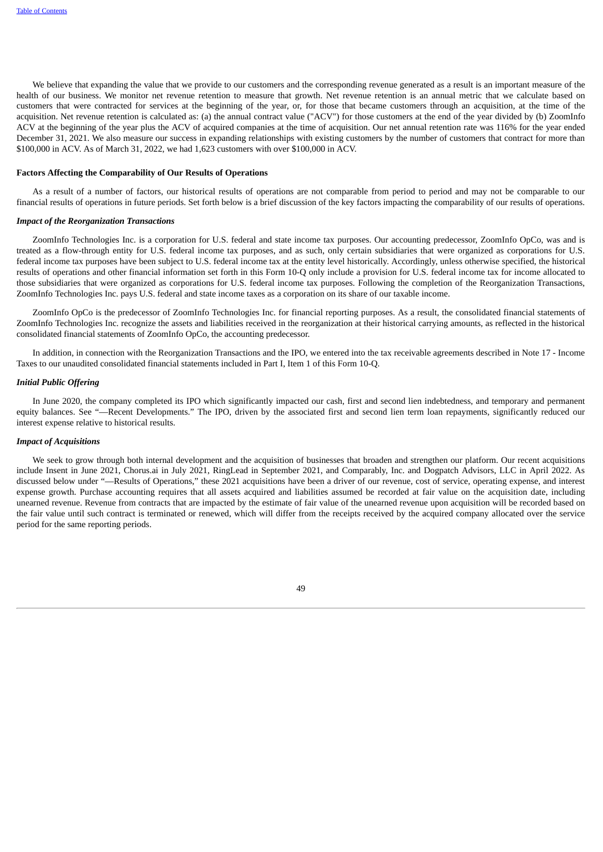We believe that expanding the value that we provide to our customers and the corresponding revenue generated as a result is an important measure of the health of our business. We monitor net revenue retention to measure that growth. Net revenue retention is an annual metric that we calculate based on customers that were contracted for services at the beginning of the year, or, for those that became customers through an acquisition, at the time of the acquisition. Net revenue retention is calculated as: (a) the annual contract value ("ACV") for those customers at the end of the year divided by (b) ZoomInfo ACV at the beginning of the year plus the ACV of acquired companies at the time of acquisition. Our net annual retention rate was 116% for the year ended December 31, 2021. We also measure our success in expanding relationships with existing customers by the number of customers that contract for more than \$100,000 in ACV. As of March 31, 2022, we had 1,623 customers with over \$100,000 in ACV.

## **Factors Affecting the Comparability of Our Results of Operations**

As a result of a number of factors, our historical results of operations are not comparable from period to period and may not be comparable to our financial results of operations in future periods. Set forth below is a brief discussion of the key factors impacting the comparability of our results of operations.

#### *Impact of the Reorganization Transactions*

ZoomInfo Technologies Inc. is a corporation for U.S. federal and state income tax purposes. Our accounting predecessor, ZoomInfo OpCo, was and is treated as a flow-through entity for U.S. federal income tax purposes, and as such, only certain subsidiaries that were organized as corporations for U.S. federal income tax purposes have been subject to U.S. federal income tax at the entity level historically. Accordingly, unless otherwise specified, the historical results of operations and other financial information set forth in this Form 10-Q only include a provision for U.S. federal income tax for income allocated to those subsidiaries that were organized as corporations for U.S. federal income tax purposes. Following the completion of the Reorganization Transactions, ZoomInfo Technologies Inc. pays U.S. federal and state income taxes as a corporation on its share of our taxable income.

ZoomInfo OpCo is the predecessor of ZoomInfo Technologies Inc. for financial reporting purposes. As a result, the consolidated financial statements of ZoomInfo Technologies Inc. recognize the assets and liabilities received in the reorganization at their historical carrying amounts, as reflected in the historical consolidated financial statements of ZoomInfo OpCo, the accounting predecessor.

In addition, in connection with the Reorganization Transactions and the IPO, we entered into the tax receivable agreements described in Note 17 - Income Taxes to our unaudited consolidated financial statements included in Part I, Item 1 of this Form 10-Q.

#### *Initial Public Offering*

In June 2020, the company completed its IPO which significantly impacted our cash, first and second lien indebtedness, and temporary and permanent equity balances. See "—Recent Developments." The IPO, driven by the associated first and second lien term loan repayments, significantly reduced our interest expense relative to historical results.

## *Impact of Acquisitions*

We seek to grow through both internal development and the acquisition of businesses that broaden and strengthen our platform. Our recent acquisitions include Insent in June 2021, Chorus.ai in July 2021, RingLead in September 2021, and Comparably, Inc. and Dogpatch Advisors, LLC in April 2022. As discussed below under "—Results of Operations," these 2021 acquisitions have been a driver of our revenue, cost of service, operating expense, and interest expense growth. Purchase accounting requires that all assets acquired and liabilities assumed be recorded at fair value on the acquisition date, including unearned revenue. Revenue from contracts that are impacted by the estimate of fair value of the unearned revenue upon acquisition will be recorded based on the fair value until such contract is terminated or renewed, which will differ from the receipts received by the acquired company allocated over the service period for the same reporting periods.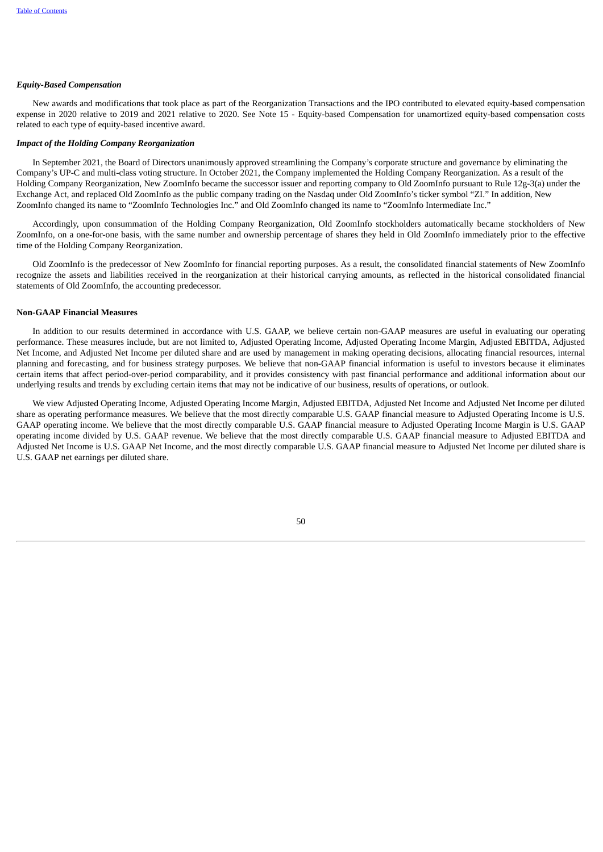### *Equity-Based Compensation*

New awards and modifications that took place as part of the Reorganization Transactions and the IPO contributed to elevated equity-based compensation expense in 2020 relative to 2019 and 2021 relative to 2020. See Note 15 - Equity-based Compensation for unamortized equity-based compensation costs related to each type of equity-based incentive award.

#### *Impact of the Holding Company Reorganization*

In September 2021, the Board of Directors unanimously approved streamlining the Company's corporate structure and governance by eliminating the Company's UP-C and multi-class voting structure. In October 2021, the Company implemented the Holding Company Reorganization. As a result of the Holding Company Reorganization, New ZoomInfo became the successor issuer and reporting company to Old ZoomInfo pursuant to Rule 12g-3(a) under the Exchange Act, and replaced Old ZoomInfo as the public company trading on the Nasdaq under Old ZoomInfo's ticker symbol "ZI." In addition, New ZoomInfo changed its name to "ZoomInfo Technologies Inc." and Old ZoomInfo changed its name to "ZoomInfo Intermediate Inc."

Accordingly, upon consummation of the Holding Company Reorganization, Old ZoomInfo stockholders automatically became stockholders of New ZoomInfo, on a one-for-one basis, with the same number and ownership percentage of shares they held in Old ZoomInfo immediately prior to the effective time of the Holding Company Reorganization.

Old ZoomInfo is the predecessor of New ZoomInfo for financial reporting purposes. As a result, the consolidated financial statements of New ZoomInfo recognize the assets and liabilities received in the reorganization at their historical carrying amounts, as reflected in the historical consolidated financial statements of Old ZoomInfo, the accounting predecessor.

### **Non-GAAP Financial Measures**

In addition to our results determined in accordance with U.S. GAAP, we believe certain non-GAAP measures are useful in evaluating our operating performance. These measures include, but are not limited to, Adjusted Operating Income, Adjusted Operating Income Margin, Adjusted EBITDA, Adjusted Net Income, and Adjusted Net Income per diluted share and are used by management in making operating decisions, allocating financial resources, internal planning and forecasting, and for business strategy purposes. We believe that non-GAAP financial information is useful to investors because it eliminates certain items that affect period-over-period comparability, and it provides consistency with past financial performance and additional information about our underlying results and trends by excluding certain items that may not be indicative of our business, results of operations, or outlook.

We view Adjusted Operating Income, Adjusted Operating Income Margin, Adjusted EBITDA, Adjusted Net Income and Adjusted Net Income per diluted share as operating performance measures. We believe that the most directly comparable U.S. GAAP financial measure to Adjusted Operating Income is U.S. GAAP operating income. We believe that the most directly comparable U.S. GAAP financial measure to Adjusted Operating Income Margin is U.S. GAAP operating income divided by U.S. GAAP revenue. We believe that the most directly comparable U.S. GAAP financial measure to Adjusted EBITDA and Adjusted Net Income is U.S. GAAP Net Income, and the most directly comparable U.S. GAAP financial measure to Adjusted Net Income per diluted share is U.S. GAAP net earnings per diluted share.

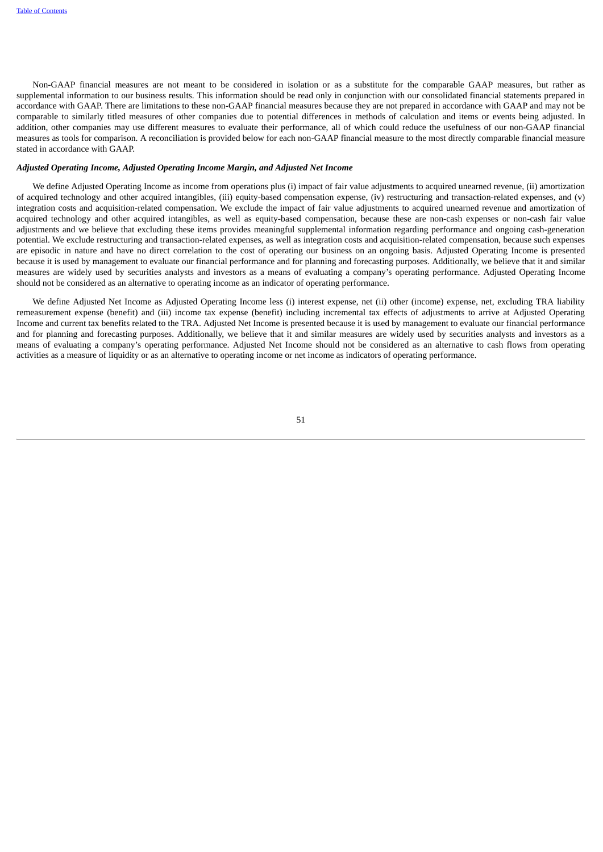Non-GAAP financial measures are not meant to be considered in isolation or as a substitute for the comparable GAAP measures, but rather as supplemental information to our business results. This information should be read only in conjunction with our consolidated financial statements prepared in accordance with GAAP. There are limitations to these non-GAAP financial measures because they are not prepared in accordance with GAAP and may not be comparable to similarly titled measures of other companies due to potential differences in methods of calculation and items or events being adjusted. In addition, other companies may use different measures to evaluate their performance, all of which could reduce the usefulness of our non-GAAP financial measures as tools for comparison. A reconciliation is provided below for each non-GAAP financial measure to the most directly comparable financial measure stated in accordance with GAAP.

# *Adjusted Operating Income, Adjusted Operating Income Margin, and Adjusted Net Income*

We define Adjusted Operating Income as income from operations plus (i) impact of fair value adjustments to acquired unearned revenue, (ii) amortization of acquired technology and other acquired intangibles, (iii) equity-based compensation expense, (iv) restructuring and transaction-related expenses, and (v) integration costs and acquisition-related compensation. We exclude the impact of fair value adjustments to acquired unearned revenue and amortization of acquired technology and other acquired intangibles, as well as equity-based compensation, because these are non-cash expenses or non-cash fair value adjustments and we believe that excluding these items provides meaningful supplemental information regarding performance and ongoing cash-generation potential. We exclude restructuring and transaction-related expenses, as well as integration costs and acquisition-related compensation, because such expenses are episodic in nature and have no direct correlation to the cost of operating our business on an ongoing basis. Adjusted Operating Income is presented because it is used by management to evaluate our financial performance and for planning and forecasting purposes. Additionally, we believe that it and similar measures are widely used by securities analysts and investors as a means of evaluating a company's operating performance. Adjusted Operating Income should not be considered as an alternative to operating income as an indicator of operating performance.

We define Adjusted Net Income as Adjusted Operating Income less (i) interest expense, net (ii) other (income) expense, net, excluding TRA liability remeasurement expense (benefit) and (iii) income tax expense (benefit) including incremental tax effects of adjustments to arrive at Adjusted Operating Income and current tax benefits related to the TRA. Adjusted Net Income is presented because it is used by management to evaluate our financial performance and for planning and forecasting purposes. Additionally, we believe that it and similar measures are widely used by securities analysts and investors as a means of evaluating a company's operating performance. Adjusted Net Income should not be considered as an alternative to cash flows from operating activities as a measure of liquidity or as an alternative to operating income or net income as indicators of operating performance.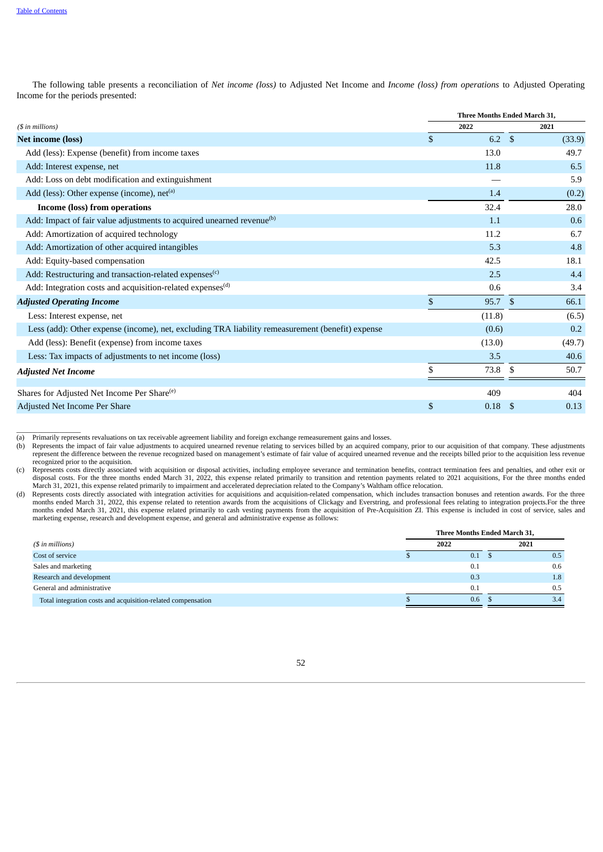The following table presents a reconciliation of *Net income (loss)* to Adjusted Net Income and *Income (loss) from operations* to Adjusted Operating Income for the periods presented:

|                                                                                                  |    |                | <b>Three Months Ended March 31.</b> |        |
|--------------------------------------------------------------------------------------------------|----|----------------|-------------------------------------|--------|
| (\$ in millions)                                                                                 |    | 2022           |                                     | 2021   |
| Net income (loss)                                                                                | \$ | $6.2 \quad$ \$ |                                     | (33.9) |
| Add (less): Expense (benefit) from income taxes                                                  |    | 13.0           |                                     | 49.7   |
| Add: Interest expense, net                                                                       |    | 11.8           |                                     | 6.5    |
| Add: Loss on debt modification and extinguishment                                                |    |                |                                     | 5.9    |
| Add (less): Other expense (income), net <sup>(a)</sup>                                           |    | 1.4            |                                     | (0.2)  |
| Income (loss) from operations                                                                    |    | 32.4           |                                     | 28.0   |
| Add: Impact of fair value adjustments to acquired unearned revenue <sup>(b)</sup>                |    | 1.1            |                                     | 0.6    |
| Add: Amortization of acquired technology                                                         |    | 11.2           |                                     | 6.7    |
| Add: Amortization of other acquired intangibles                                                  |    | 5.3            |                                     | 4.8    |
| Add: Equity-based compensation                                                                   |    | 42.5           |                                     | 18.1   |
| Add: Restructuring and transaction-related expenses <sup>(c)</sup>                               |    | 2.5            |                                     | 4.4    |
| Add: Integration costs and acquisition-related expenses <sup>(d)</sup>                           |    | 0.6            |                                     | 3.4    |
| <b>Adjusted Operating Income</b>                                                                 | \$ | 95.7           | $\mathcal{S}$                       | 66.1   |
| Less: Interest expense, net                                                                      |    | (11.8)         |                                     | (6.5)  |
| Less (add): Other expense (income), net, excluding TRA liability remeasurement (benefit) expense |    | (0.6)          |                                     | 0.2    |
| Add (less): Benefit (expense) from income taxes                                                  |    | (13.0)         |                                     | (49.7) |
| Less: Tax impacts of adjustments to net income (loss)                                            |    | 3.5            |                                     | 40.6   |
| <b>Adjusted Net Income</b>                                                                       | \$ | 73.8           | -S                                  | 50.7   |
| Shares for Adjusted Net Income Per Share <sup>(e)</sup>                                          |    | 409            |                                     | 404    |
| Adjusted Net Income Per Share                                                                    | \$ | 0.18           | -\$                                 | 0.13   |

\_\_\_\_\_\_\_\_\_\_\_\_\_\_\_\_\_\_ (a) Primarily represents revaluations on tax receivable agreement liability and foreign exchange remeasurement gains and losses.

(b) Represents the impact of fair value adjustments to acquired unearned revenue relating to services billed by an acquired company, prior to our acquisition of that company. These adjustments represent the difference between the revenue recognized based on management's estimate of fair value of acquired unearned revenue and the receipts billed prior to the acquisition less revenue recognized prior to the acquisition.

(c) Represents costs directly associated with acquisition or disposal activities, including employee severance and termination benefits, contract termination fees and penalties, and other exit or disposal costs. For the th

(d) Represents costs directly associated with integration activities for acquisitions and acquisition-related compensation, which includes transaction bonuses and retention awards. For the three (d) Represents costs direct months ended March 31, 2022, this expense related to retention awards from the acquisitions of Clickagy and Everstring, and professional fees relating to integration projects.For the three months ended March 31, 2021, this expense related primarily to cash vesting payments from the acquisition of Pre-Acquisition ZI. This expense is included in cost of service, sales and marketing expense, research and development expense, and general and administrative expense as follows:

|                                                              | Three Months Ended March 31, |      |  |      |
|--------------------------------------------------------------|------------------------------|------|--|------|
| (\$ in millions)                                             |                              | 2022 |  | 2021 |
| Cost of service                                              |                              | 0.1  |  | 0.5  |
| Sales and marketing                                          |                              | 0.1  |  | 0.6  |
| Research and development                                     |                              | 0.3  |  | 1.8  |
| General and administrative                                   |                              | 0.1  |  | 0.5  |
| Total integration costs and acquisition-related compensation |                              | 0.6  |  | 3.4  |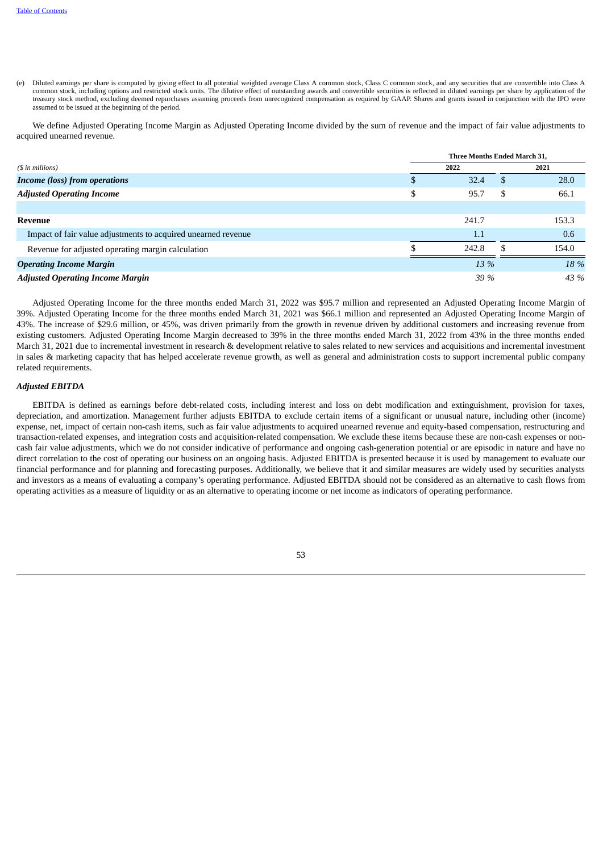(e) Diluted earnings per share is computed by giving effect to all potential weighted average Class A common stock, Class C common stock, and any securities that are convertible into Class A common stock, including options and restricted stock units. The dilutive effect of outstanding awards and convertible securities is reflected in diluted earnings per share by application of the treasury stock method, excluding deemed repurchases assuming proceeds from unrecognized compensation as required by GAAP. Shares and grants issued in conjunction with the IPO were assumed to be issued at the beginning of the period.

We define Adjusted Operating Income Margin as Adjusted Operating Income divided by the sum of revenue and the impact of fair value adjustments to acquired unearned revenue.

|                                                               |    | <b>Three Months Ended March 31.</b> |              |       |  |
|---------------------------------------------------------------|----|-------------------------------------|--------------|-------|--|
| $(S \in \mathbb{N})$ in millions)                             |    | 2022                                |              | 2021  |  |
| Income (loss) from operations                                 | S  | 32.4                                | <sup>S</sup> | 28.0  |  |
| <b>Adjusted Operating Income</b>                              | \$ | 95.7                                | S            | 66.1  |  |
|                                                               |    |                                     |              |       |  |
| <b>Revenue</b>                                                |    | 241.7                               |              | 153.3 |  |
| Impact of fair value adjustments to acquired unearned revenue |    | 1.1                                 |              | 0.6   |  |
| Revenue for adjusted operating margin calculation             |    | 242.8                               | .S           | 154.0 |  |
| <b>Operating Income Margin</b>                                |    | 13 %                                |              | 18 %  |  |
| <b>Adjusted Operating Income Margin</b>                       |    | 39 %                                |              | 43 %  |  |

Adjusted Operating Income for the three months ended March 31, 2022 was \$95.7 million and represented an Adjusted Operating Income Margin of 39%. Adjusted Operating Income for the three months ended March 31, 2021 was \$66.1 million and represented an Adjusted Operating Income Margin of 43%. The increase of \$29.6 million, or 45%, was driven primarily from the growth in revenue driven by additional customers and increasing revenue from existing customers. Adjusted Operating Income Margin decreased to 39% in the three months ended March 31, 2022 from 43% in the three months ended March 31, 2021 due to incremental investment in research & development relative to sales related to new services and acquisitions and incremental investment in sales & marketing capacity that has helped accelerate revenue growth, as well as general and administration costs to support incremental public company related requirements.

# *Adjusted EBITDA*

EBITDA is defined as earnings before debt-related costs, including interest and loss on debt modification and extinguishment, provision for taxes, depreciation, and amortization. Management further adjusts EBITDA to exclude certain items of a significant or unusual nature, including other (income) expense, net, impact of certain non-cash items, such as fair value adjustments to acquired unearned revenue and equity-based compensation, restructuring and transaction-related expenses, and integration costs and acquisition-related compensation. We exclude these items because these are non-cash expenses or noncash fair value adjustments, which we do not consider indicative of performance and ongoing cash-generation potential or are episodic in nature and have no direct correlation to the cost of operating our business on an ongoing basis. Adjusted EBITDA is presented because it is used by management to evaluate our financial performance and for planning and forecasting purposes. Additionally, we believe that it and similar measures are widely used by securities analysts and investors as a means of evaluating a company's operating performance. Adjusted EBITDA should not be considered as an alternative to cash flows from operating activities as a measure of liquidity or as an alternative to operating income or net income as indicators of operating performance.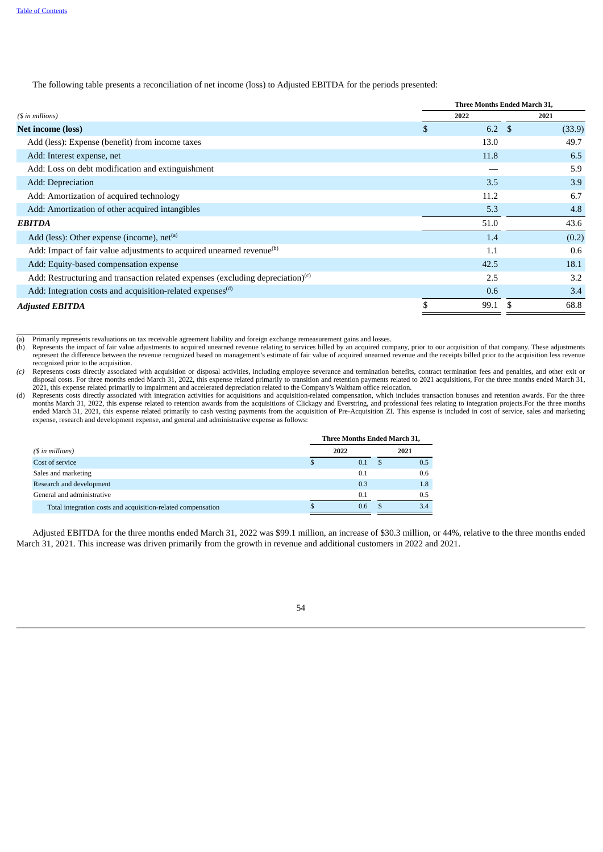The following table presents a reconciliation of net income (loss) to Adjusted EBITDA for the periods presented:

|                                                                                    |                     | Three Months Ended March 31, |  |  |  |
|------------------------------------------------------------------------------------|---------------------|------------------------------|--|--|--|
| $(S \in \mathbb{N})$ in millions)                                                  | 2022                | 2021                         |  |  |  |
| <b>Net income (loss)</b>                                                           | $\mathbb{S}$<br>6.2 | - \$<br>(33.9)               |  |  |  |
| Add (less): Expense (benefit) from income taxes                                    | 13.0                | 49.7                         |  |  |  |
| Add: Interest expense, net                                                         | 11.8                | 6.5                          |  |  |  |
| Add: Loss on debt modification and extinguishment                                  |                     | 5.9                          |  |  |  |
| Add: Depreciation                                                                  | 3.5                 | 3.9                          |  |  |  |
| Add: Amortization of acquired technology                                           | 11.2                | 6.7                          |  |  |  |
| Add: Amortization of other acquired intangibles                                    | 5.3                 | 4.8                          |  |  |  |
| <b>EBITDA</b>                                                                      | 51.0                | 43.6                         |  |  |  |
| Add (less): Other expense (income), net <sup>(a)</sup>                             | 1.4                 | (0.2)                        |  |  |  |
| Add: Impact of fair value adjustments to acquired unearned revenue <sup>(b)</sup>  | 1.1                 | 0.6                          |  |  |  |
| Add: Equity-based compensation expense                                             | 42.5                | 18.1                         |  |  |  |
| Add: Restructuring and transaction related expenses (excluding depreciation) $(c)$ | 2.5                 | 3.2                          |  |  |  |
| Add: Integration costs and acquisition-related expenses <sup>(d)</sup>             | 0.6                 | 3.4                          |  |  |  |
| <b>Adjusted EBITDA</b>                                                             | 99.1                | 68.8                         |  |  |  |

\_\_\_\_\_\_\_\_\_\_\_\_\_\_\_\_\_\_ (a) Primarily represents revaluations on tax receivable agreement liability and foreign exchange remeasurement gains and losses.

(b) Represents the impact of fair value adjustments to acquired unearned revenue relating to services billed by an acquired company, prior to our acquisition of that company. These adjustments represent the difference betw recognized prior to the acquisition.

(c) Represents costs directly associated with acquisition or disposal activities, including employee severance and termination benefits, contract termination fees and penalties, and other exit or disposal costs. For three 2021, this expense related primarily to impairment and accelerated depreciation related to the Company's Waltham office relocation.

(d) Represents costs directly associated with integration activities for acquisitions and acquisition-related compensation, which includes transaction bonuses and retention awards. For the three months March 31, 2022, this ended March 31, 2021, this expense related primarily to cash vesting payments from the acquisition of Pre-Acquisition ZI. This expense is included in cost of service, sales and marketing expense, research and development expense, and general and administrative expense as follows:

|                                                              | Three Months Ended March 31, |      |  |      |
|--------------------------------------------------------------|------------------------------|------|--|------|
| (\$ in millions)                                             |                              | 2022 |  | 2021 |
| Cost of service                                              | \$                           | 0.1  |  | 0.5  |
| Sales and marketing                                          |                              | 0.1  |  | 0.6  |
| Research and development                                     |                              | 0.3  |  | 1.8  |
| General and administrative                                   |                              | 0.1  |  | 0.5  |
| Total integration costs and acquisition-related compensation |                              | 0.6  |  | 3.4  |

Adjusted EBITDA for the three months ended March 31, 2022 was \$99.1 million, an increase of \$30.3 million, or 44%, relative to the three months ended March 31, 2021. This increase was driven primarily from the growth in revenue and additional customers in 2022 and 2021.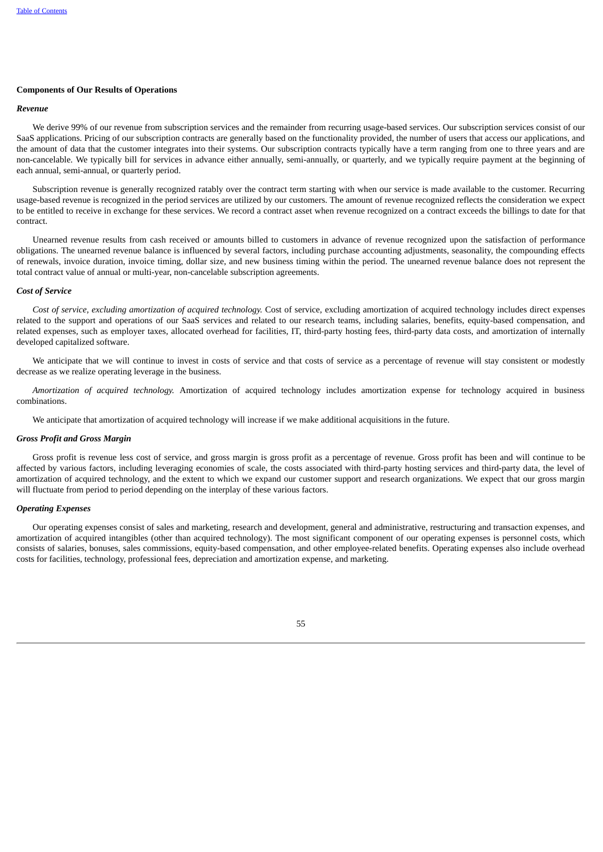### **Components of Our Results of Operations**

## *Revenue*

We derive 99% of our revenue from subscription services and the remainder from recurring usage-based services. Our subscription services consist of our SaaS applications. Pricing of our subscription contracts are generally based on the functionality provided, the number of users that access our applications, and the amount of data that the customer integrates into their systems. Our subscription contracts typically have a term ranging from one to three years and are non-cancelable. We typically bill for services in advance either annually, semi-annually, or quarterly, and we typically require payment at the beginning of each annual, semi-annual, or quarterly period.

Subscription revenue is generally recognized ratably over the contract term starting with when our service is made available to the customer. Recurring usage-based revenue is recognized in the period services are utilized by our customers. The amount of revenue recognized reflects the consideration we expect to be entitled to receive in exchange for these services. We record a contract asset when revenue recognized on a contract exceeds the billings to date for that contract.

Unearned revenue results from cash received or amounts billed to customers in advance of revenue recognized upon the satisfaction of performance obligations. The unearned revenue balance is influenced by several factors, including purchase accounting adjustments, seasonality, the compounding effects of renewals, invoice duration, invoice timing, dollar size, and new business timing within the period. The unearned revenue balance does not represent the total contract value of annual or multi-year, non-cancelable subscription agreements.

### *Cost of Service*

*Cost of service, excluding amortization of acquired technology.* Cost of service, excluding amortization of acquired technology includes direct expenses related to the support and operations of our SaaS services and related to our research teams, including salaries, benefits, equity-based compensation, and related expenses, such as employer taxes, allocated overhead for facilities, IT, third-party hosting fees, third-party data costs, and amortization of internally developed capitalized software.

We anticipate that we will continue to invest in costs of service and that costs of service as a percentage of revenue will stay consistent or modestly decrease as we realize operating leverage in the business.

*Amortization of acquired technology.* Amortization of acquired technology includes amortization expense for technology acquired in business combinations.

We anticipate that amortization of acquired technology will increase if we make additional acquisitions in the future.

### *Gross Profit and Gross Margin*

Gross profit is revenue less cost of service, and gross margin is gross profit as a percentage of revenue. Gross profit has been and will continue to be affected by various factors, including leveraging economies of scale, the costs associated with third-party hosting services and third-party data, the level of amortization of acquired technology, and the extent to which we expand our customer support and research organizations. We expect that our gross margin will fluctuate from period to period depending on the interplay of these various factors.

### *Operating Expenses*

Our operating expenses consist of sales and marketing, research and development, general and administrative, restructuring and transaction expenses, and amortization of acquired intangibles (other than acquired technology). The most significant component of our operating expenses is personnel costs, which consists of salaries, bonuses, sales commissions, equity-based compensation, and other employee-related benefits. Operating expenses also include overhead costs for facilities, technology, professional fees, depreciation and amortization expense, and marketing.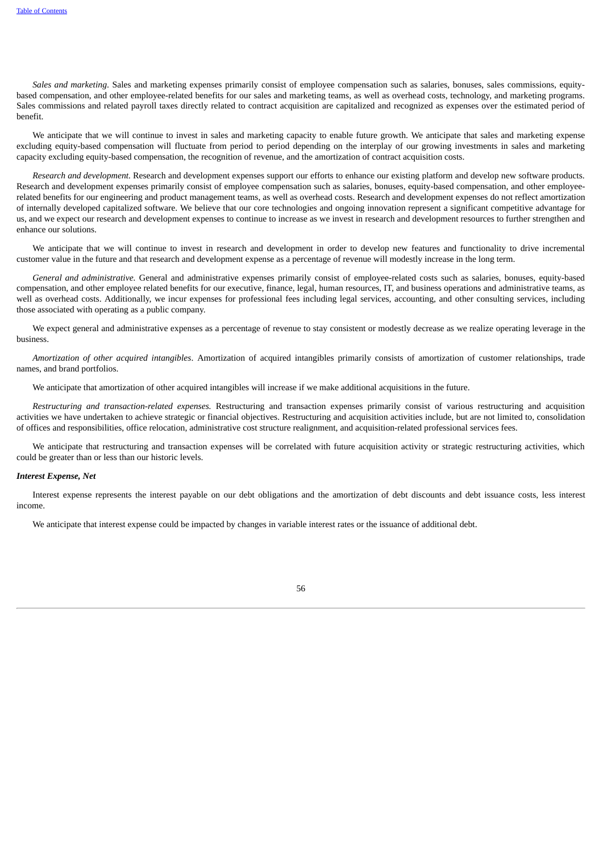*Sales and marketing*. Sales and marketing expenses primarily consist of employee compensation such as salaries, bonuses, sales commissions, equitybased compensation, and other employee-related benefits for our sales and marketing teams, as well as overhead costs, technology, and marketing programs. Sales commissions and related payroll taxes directly related to contract acquisition are capitalized and recognized as expenses over the estimated period of benefit.

We anticipate that we will continue to invest in sales and marketing capacity to enable future growth. We anticipate that sales and marketing expense excluding equity-based compensation will fluctuate from period to period depending on the interplay of our growing investments in sales and marketing capacity excluding equity-based compensation, the recognition of revenue, and the amortization of contract acquisition costs.

*Research and development.* Research and development expenses support our efforts to enhance our existing platform and develop new software products. Research and development expenses primarily consist of employee compensation such as salaries, bonuses, equity-based compensation, and other employeerelated benefits for our engineering and product management teams, as well as overhead costs. Research and development expenses do not reflect amortization of internally developed capitalized software. We believe that our core technologies and ongoing innovation represent a significant competitive advantage for us, and we expect our research and development expenses to continue to increase as we invest in research and development resources to further strengthen and enhance our solutions.

We anticipate that we will continue to invest in research and development in order to develop new features and functionality to drive incremental customer value in the future and that research and development expense as a percentage of revenue will modestly increase in the long term.

*General and administrative.* General and administrative expenses primarily consist of employee-related costs such as salaries, bonuses, equity-based compensation, and other employee related benefits for our executive, finance, legal, human resources, IT, and business operations and administrative teams, as well as overhead costs. Additionally, we incur expenses for professional fees including legal services, accounting, and other consulting services, including those associated with operating as a public company.

We expect general and administrative expenses as a percentage of revenue to stay consistent or modestly decrease as we realize operating leverage in the business.

*Amortization of other acquired intangibles*. Amortization of acquired intangibles primarily consists of amortization of customer relationships, trade names, and brand portfolios.

We anticipate that amortization of other acquired intangibles will increase if we make additional acquisitions in the future.

*Restructuring and transaction-related expenses.* Restructuring and transaction expenses primarily consist of various restructuring and acquisition activities we have undertaken to achieve strategic or financial objectives. Restructuring and acquisition activities include, but are not limited to, consolidation of offices and responsibilities, office relocation, administrative cost structure realignment, and acquisition-related professional services fees.

We anticipate that restructuring and transaction expenses will be correlated with future acquisition activity or strategic restructuring activities, which could be greater than or less than our historic levels.

#### *Interest Expense, Net*

Interest expense represents the interest payable on our debt obligations and the amortization of debt discounts and debt issuance costs, less interest income.

We anticipate that interest expense could be impacted by changes in variable interest rates or the issuance of additional debt.

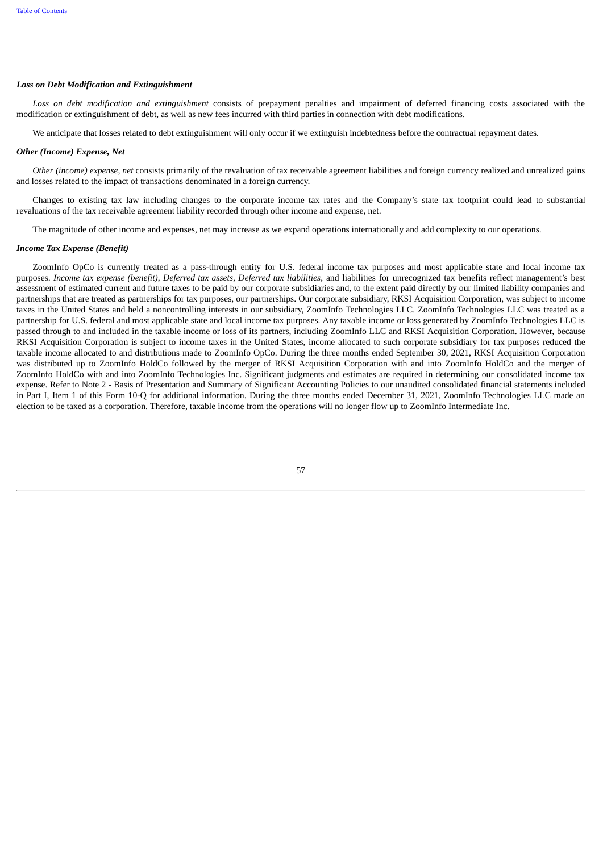### *Loss on Debt Modification and Extinguishment*

*Loss on debt modification and extinguishment* consists of prepayment penalties and impairment of deferred financing costs associated with the modification or extinguishment of debt, as well as new fees incurred with third parties in connection with debt modifications.

We anticipate that losses related to debt extinguishment will only occur if we extinguish indebtedness before the contractual repayment dates.

#### *Other (Income) Expense, Net*

*Other (income) expense, net* consists primarily of the revaluation of tax receivable agreement liabilities and foreign currency realized and unrealized gains and losses related to the impact of transactions denominated in a foreign currency.

Changes to existing tax law including changes to the corporate income tax rates and the Company's state tax footprint could lead to substantial revaluations of the tax receivable agreement liability recorded through other income and expense, net.

The magnitude of other income and expenses, net may increase as we expand operations internationally and add complexity to our operations.

#### *Income Tax Expense (Benefit)*

ZoomInfo OpCo is currently treated as a pass-through entity for U.S. federal income tax purposes and most applicable state and local income tax purposes. Income tax expense (benefit), Deferred tax assets, Deferred tax liabilities, and liabilities for unrecognized tax benefits reflect management's best assessment of estimated current and future taxes to be paid by our corporate subsidiaries and, to the extent paid directly by our limited liability companies and partnerships that are treated as partnerships for tax purposes, our partnerships. Our corporate subsidiary, RKSI Acquisition Corporation, was subject to income taxes in the United States and held a noncontrolling interests in our subsidiary, ZoomInfo Technologies LLC. ZoomInfo Technologies LLC was treated as a partnership for U.S. federal and most applicable state and local income tax purposes. Any taxable income or loss generated by ZoomInfo Technologies LLC is passed through to and included in the taxable income or loss of its partners, including ZoomInfo LLC and RKSI Acquisition Corporation. However, because RKSI Acquisition Corporation is subject to income taxes in the United States, income allocated to such corporate subsidiary for tax purposes reduced the taxable income allocated to and distributions made to ZoomInfo OpCo. During the three months ended September 30, 2021, RKSI Acquisition Corporation was distributed up to ZoomInfo HoldCo followed by the merger of RKSI Acquisition Corporation with and into ZoomInfo HoldCo and the merger of ZoomInfo HoldCo with and into ZoomInfo Technologies Inc. Significant judgments and estimates are required in determining our consolidated income tax expense. Refer to Note 2 - Basis of Presentation and Summary of Significant Accounting Policies to our unaudited consolidated financial statements included in Part I, Item 1 of this Form 10-Q for additional information. During the three months ended December 31, 2021, ZoomInfo Technologies LLC made an election to be taxed as a corporation. Therefore, taxable income from the operations will no longer flow up to ZoomInfo Intermediate Inc.

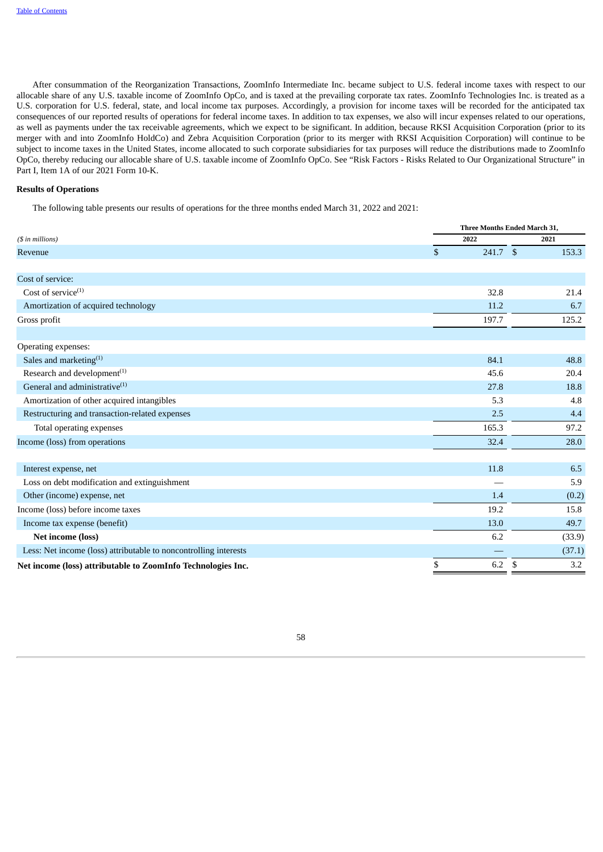After consummation of the Reorganization Transactions, ZoomInfo Intermediate Inc. became subject to U.S. federal income taxes with respect to our allocable share of any U.S. taxable income of ZoomInfo OpCo, and is taxed at the prevailing corporate tax rates. ZoomInfo Technologies Inc. is treated as a U.S. corporation for U.S. federal, state, and local income tax purposes. Accordingly, a provision for income taxes will be recorded for the anticipated tax consequences of our reported results of operations for federal income taxes. In addition to tax expenses, we also will incur expenses related to our operations, as well as payments under the tax receivable agreements, which we expect to be significant. In addition, because RKSI Acquisition Corporation (prior to its merger with and into ZoomInfo HoldCo) and Zebra Acquisition Corporation (prior to its merger with RKSI Acquisition Corporation) will continue to be subject to income taxes in the United States, income allocated to such corporate subsidiaries for tax purposes will reduce the distributions made to ZoomInfo OpCo, thereby reducing our allocable share of U.S. taxable income of ZoomInfo OpCo. See "Risk Factors - Risks Related to Our Organizational Structure" in Part I, Item 1A of our 2021 Form 10-K.

### **Results of Operations**

The following table presents our results of operations for the three months ended March 31, 2022 and 2021:

|                                                                  |      | Three Months Ended March 31, |    |        |  |  |
|------------------------------------------------------------------|------|------------------------------|----|--------|--|--|
| $(S \in \mathbb{N})$ in millions)                                | 2022 |                              |    | 2021   |  |  |
| Revenue                                                          | \$   | $241.7$ \$                   |    | 153.3  |  |  |
|                                                                  |      |                              |    |        |  |  |
| Cost of service:                                                 |      |                              |    |        |  |  |
| Cost of service <sup>(1)</sup>                                   |      | 32.8                         |    | 21.4   |  |  |
| Amortization of acquired technology                              |      | 11.2                         |    | 6.7    |  |  |
| Gross profit                                                     |      | 197.7                        |    | 125.2  |  |  |
|                                                                  |      |                              |    |        |  |  |
| Operating expenses:                                              |      |                              |    |        |  |  |
| Sales and marketing <sup>(1)</sup>                               |      | 84.1                         |    | 48.8   |  |  |
| Research and development <sup>(1)</sup>                          |      | 45.6                         |    | 20.4   |  |  |
| General and administrative <sup>(1)</sup>                        |      | 27.8                         |    | 18.8   |  |  |
| Amortization of other acquired intangibles                       |      | 5.3                          |    | 4.8    |  |  |
| Restructuring and transaction-related expenses                   |      | 2.5                          |    | 4.4    |  |  |
| Total operating expenses                                         |      | 165.3                        |    | 97.2   |  |  |
| Income (loss) from operations                                    |      | 32.4                         |    | 28.0   |  |  |
|                                                                  |      |                              |    |        |  |  |
| Interest expense, net                                            |      | 11.8                         |    | 6.5    |  |  |
| Loss on debt modification and extinguishment                     |      |                              |    | 5.9    |  |  |
| Other (income) expense, net                                      |      | 1.4                          |    | (0.2)  |  |  |
| Income (loss) before income taxes                                |      | 19.2                         |    | 15.8   |  |  |
| Income tax expense (benefit)                                     |      | 13.0                         |    | 49.7   |  |  |
| Net income (loss)                                                |      | 6.2                          |    | (33.9) |  |  |
| Less: Net income (loss) attributable to noncontrolling interests |      |                              |    | (37.1) |  |  |
| Net income (loss) attributable to ZoomInfo Technologies Inc.     | \$   | $6.2\,$                      | \$ | 3.2    |  |  |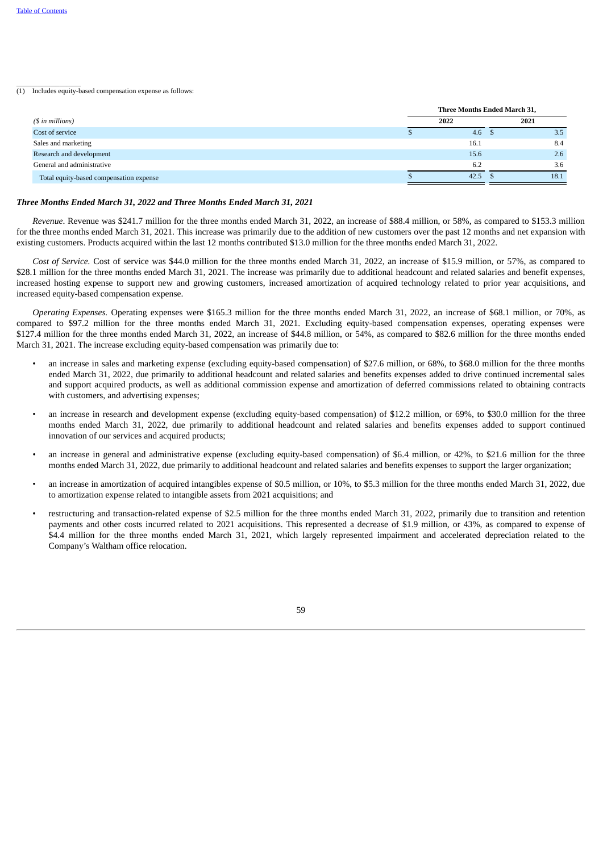$\_$ 

#### (1) Includes equity-based compensation expense as follows:

|                                         | Three Months Ended March 31, |      |  |      |
|-----------------------------------------|------------------------------|------|--|------|
| $(\$ in millions)$                      |                              | 2022 |  | 2021 |
| Cost of service                         |                              | 4.6  |  | 3.5  |
| Sales and marketing                     |                              | 16.1 |  | 8.4  |
| Research and development                |                              | 15.6 |  | 2.6  |
| General and administrative              |                              | 6.2  |  | 3.6  |
| Total equity-based compensation expense |                              | 42.5 |  | 18.1 |

#### *Three Months Ended March 31, 2022 and Three Months Ended March 31, 2021*

*Revenue*. Revenue was \$241.7 million for the three months ended March 31, 2022, an increase of \$88.4 million, or 58%, as compared to \$153.3 million for the three months ended March 31, 2021. This increase was primarily due to the addition of new customers over the past 12 months and net expansion with existing customers. Products acquired within the last 12 months contributed \$13.0 million for the three months ended March 31, 2022.

*Cost of Service.* Cost of service was \$44.0 million for the three months ended March 31, 2022, an increase of \$15.9 million, or 57%, as compared to \$28.1 million for the three months ended March 31, 2021. The increase was primarily due to additional headcount and related salaries and benefit expenses, increased hosting expense to support new and growing customers, increased amortization of acquired technology related to prior year acquisitions, and increased equity-based compensation expense.

*Operating Expenses.* Operating expenses were \$165.3 million for the three months ended March 31, 2022, an increase of \$68.1 million, or 70%, as compared to \$97.2 million for the three months ended March 31, 2021. Excluding equity-based compensation expenses, operating expenses were \$127.4 million for the three months ended March 31, 2022, an increase of \$44.8 million, or 54%, as compared to \$82.6 million for the three months ended March 31, 2021. The increase excluding equity-based compensation was primarily due to:

- an increase in sales and marketing expense (excluding equity-based compensation) of \$27.6 million, or 68%, to \$68.0 million for the three months ended March 31, 2022, due primarily to additional headcount and related salaries and benefits expenses added to drive continued incremental sales and support acquired products, as well as additional commission expense and amortization of deferred commissions related to obtaining contracts with customers, and advertising expenses;
- an increase in research and development expense (excluding equity-based compensation) of \$12.2 million, or 69%, to \$30.0 million for the three months ended March 31, 2022, due primarily to additional headcount and related salaries and benefits expenses added to support continued innovation of our services and acquired products;
- *•* an increase in general and administrative expense (excluding equity-based compensation) of \$6.4 million, or 42%, to \$21.6 million for the three months ended March 31, 2022, due primarily to additional headcount and related salaries and benefits expenses to support the larger organization;
- an increase in amortization of acquired intangibles expense of \$0.5 million, or 10%, to \$5.3 million for the three months ended March 31, 2022, due to amortization expense related to intangible assets from 2021 acquisitions; and
- restructuring and transaction-related expense of \$2.5 million for the three months ended March 31, 2022, primarily due to transition and retention payments and other costs incurred related to 2021 acquisitions. This represented a decrease of \$1.9 million, or 43%, as compared to expense of \$4.4 million for the three months ended March 31, 2021, which largely represented impairment and accelerated depreciation related to the Company's Waltham office relocation.

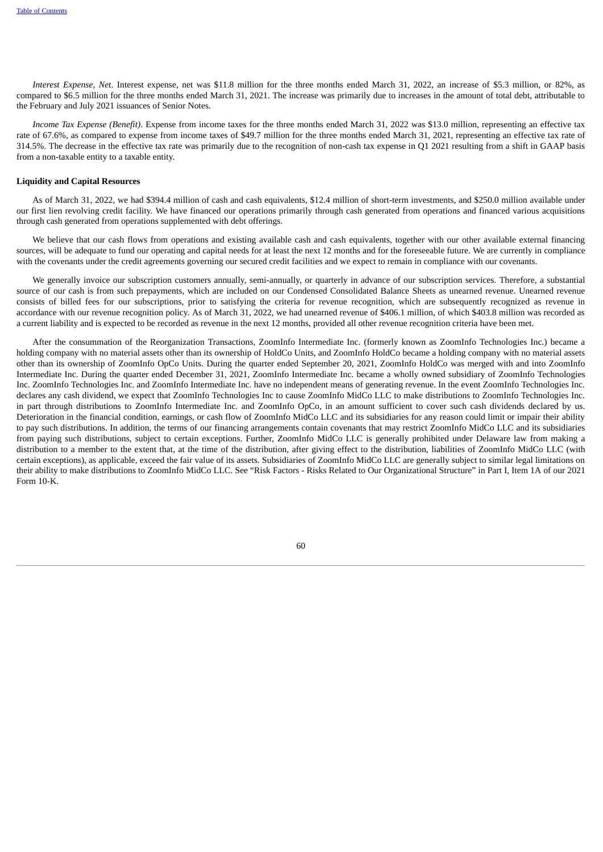*Interest Expense, Net*. Interest expense, net was \$11.8 million for the three months ended March 31, 2022, an increase of \$5.3 million, or 82%, as compared to \$6.5 million for the three months ended March 31, 2021. The increase was primarily due to increases in the amount of total debt, attributable to the February and July 2021 issuances of Senior Notes.

*Income Tax Expense (Benefit)*. Expense from income taxes for the three months ended March 31, 2022 was \$13.0 million, representing an effective tax rate of 67.6%, as compared to expense from income taxes of \$49.7 million for the three months ended March 31, 2021, representing an effective tax rate of 314.5%. The decrease in the effective tax rate was primarily due to the recognition of non-cash tax expense in Q1 2021 resulting from a shift in GAAP basis from a non-taxable entity to a taxable entity.

## **Liquidity and Capital Resources**

As of March 31, 2022, we had \$394.4 million of cash and cash equivalents, \$12.4 million of short-term investments, and \$250.0 million available under our first lien revolving credit facility. We have financed our operations primarily through cash generated from operations and financed various acquisitions through cash generated from operations supplemented with debt offerings.

We believe that our cash flows from operations and existing available cash and cash equivalents, together with our other available external financing sources, will be adequate to fund our operating and capital needs for at least the next 12 months and for the foreseeable future. We are currently in compliance with the covenants under the credit agreements governing our secured credit facilities and we expect to remain in compliance with our covenants.

We generally invoice our subscription customers annually, semi-annually, or quarterly in advance of our subscription services. Therefore, a substantial source of our cash is from such prepayments, which are included on our Condensed Consolidated Balance Sheets as unearned revenue. Unearned revenue consists of billed fees for our subscriptions, prior to satisfying the criteria for revenue recognition, which are subsequently recognized as revenue in accordance with our revenue recognition policy. As of March 31, 2022, we had unearned revenue of \$406.1 million, of which \$403.8 million was recorded as a current liability and is expected to be recorded as revenue in the next 12 months, provided all other revenue recognition criteria have been met.

After the consummation of the Reorganization Transactions, ZoomInfo Intermediate Inc. (formerly known as ZoomInfo Technologies Inc.) became a holding company with no material assets other than its ownership of HoldCo Units, and ZoomInfo HoldCo became a holding company with no material assets other than its ownership of ZoomInfo OpCo Units. During the quarter ended September 20, 2021, ZoomInfo HoldCo was merged with and into ZoomInfo Intermediate Inc. During the quarter ended December 31, 2021, ZoomInfo Intermediate Inc. became a wholly owned subsidiary of ZoomInfo Technologies Inc. ZoomInfo Technologies Inc. and ZoomInfo Intermediate Inc. have no independent means of generating revenue. In the event ZoomInfo Technologies Inc. declares any cash dividend, we expect that ZoomInfo Technologies Inc to cause ZoomInfo MidCo LLC to make distributions to ZoomInfo Technologies Inc. in part through distributions to ZoomInfo Intermediate Inc. and ZoomInfo OpCo, in an amount sufficient to cover such cash dividends declared by us. Deterioration in the financial condition, earnings, or cash flow of ZoomInfo MidCo LLC and its subsidiaries for any reason could limit or impair their ability to pay such distributions. In addition, the terms of our financing arrangements contain covenants that may restrict ZoomInfo MidCo LLC and its subsidiaries from paying such distributions, subject to certain exceptions. Further, ZoomInfo MidCo LLC is generally prohibited under Delaware law from making a distribution to a member to the extent that, at the time of the distribution, after giving effect to the distribution, liabilities of ZoomInfo MidCo LLC (with certain exceptions), as applicable, exceed the fair value of its assets. Subsidiaries of ZoomInfo MidCo LLC are generally subject to similar legal limitations on their ability to make distributions to ZoomInfo MidCo LLC. See "Risk Factors - Risks Related to Our Organizational Structure" in Part I, Item 1A of our 2021 Form 10-K.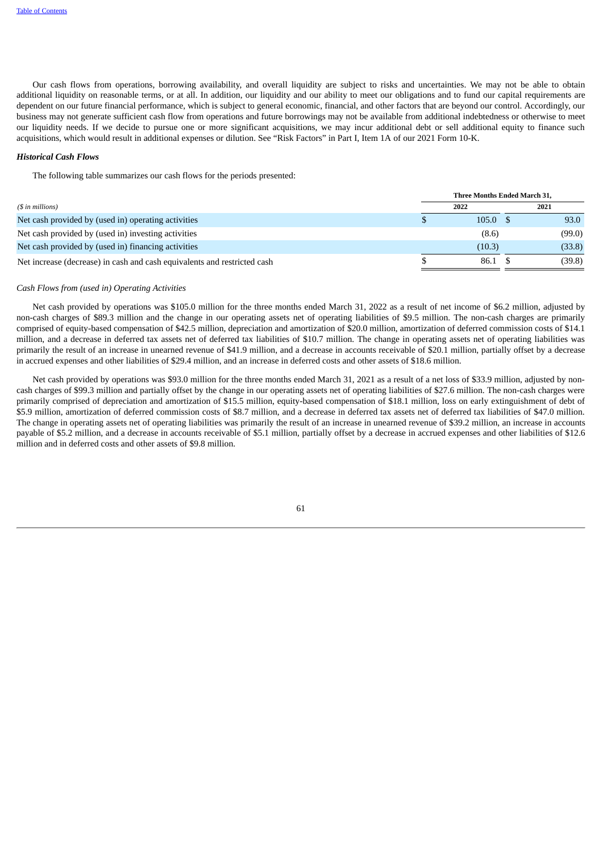Our cash flows from operations, borrowing availability, and overall liquidity are subject to risks and uncertainties. We may not be able to obtain additional liquidity on reasonable terms, or at all. In addition, our liquidity and our ability to meet our obligations and to fund our capital requirements are dependent on our future financial performance, which is subject to general economic, financial, and other factors that are beyond our control. Accordingly, our business may not generate sufficient cash flow from operations and future borrowings may not be available from additional indebtedness or otherwise to meet our liquidity needs. If we decide to pursue one or more significant acquisitions, we may incur additional debt or sell additional equity to finance such acquisitions, which would result in additional expenses or dilution. See "Risk Factors" in Part I, Item 1A of our 2021 Form 10-K.

### *Historical Cash Flows*

The following table summarizes our cash flows for the periods presented:

|                                                                          |  | Three Months Ended March 31, |  |        |  |
|--------------------------------------------------------------------------|--|------------------------------|--|--------|--|
| (\$ in millions)                                                         |  | 2022                         |  | 2021   |  |
| Net cash provided by (used in) operating activities                      |  | 105.0                        |  | 93.0   |  |
| Net cash provided by (used in) investing activities                      |  | (8.6)                        |  | (99.0) |  |
| Net cash provided by (used in) financing activities                      |  | (10.3)                       |  | (33.8) |  |
| Net increase (decrease) in cash and cash equivalents and restricted cash |  | 86.1                         |  | (39.8) |  |

### *Cash Flows from (used in) Operating Activities*

Net cash provided by operations was \$105.0 million for the three months ended March 31, 2022 as a result of net income of \$6.2 million, adjusted by non-cash charges of \$89.3 million and the change in our operating assets net of operating liabilities of \$9.5 million. The non-cash charges are primarily comprised of equity-based compensation of \$42.5 million, depreciation and amortization of \$20.0 million, amortization of deferred commission costs of \$14.1 million, and a decrease in deferred tax assets net of deferred tax liabilities of \$10.7 million. The change in operating assets net of operating liabilities was primarily the result of an increase in unearned revenue of \$41.9 million, and a decrease in accounts receivable of \$20.1 million, partially offset by a decrease in accrued expenses and other liabilities of \$29.4 million, and an increase in deferred costs and other assets of \$18.6 million.

Net cash provided by operations was \$93.0 million for the three months ended March 31, 2021 as a result of a net loss of \$33.9 million, adjusted by noncash charges of \$99.3 million and partially offset by the change in our operating assets net of operating liabilities of \$27.6 million. The non-cash charges were primarily comprised of depreciation and amortization of \$15.5 million, equity-based compensation of \$18.1 million, loss on early extinguishment of debt of \$5.9 million, amortization of deferred commission costs of \$8.7 million, and a decrease in deferred tax assets net of deferred tax liabilities of \$47.0 million. The change in operating assets net of operating liabilities was primarily the result of an increase in unearned revenue of \$39.2 million, an increase in accounts payable of \$5.2 million, and a decrease in accounts receivable of \$5.1 million, partially offset by a decrease in accrued expenses and other liabilities of \$12.6 million and in deferred costs and other assets of \$9.8 million.

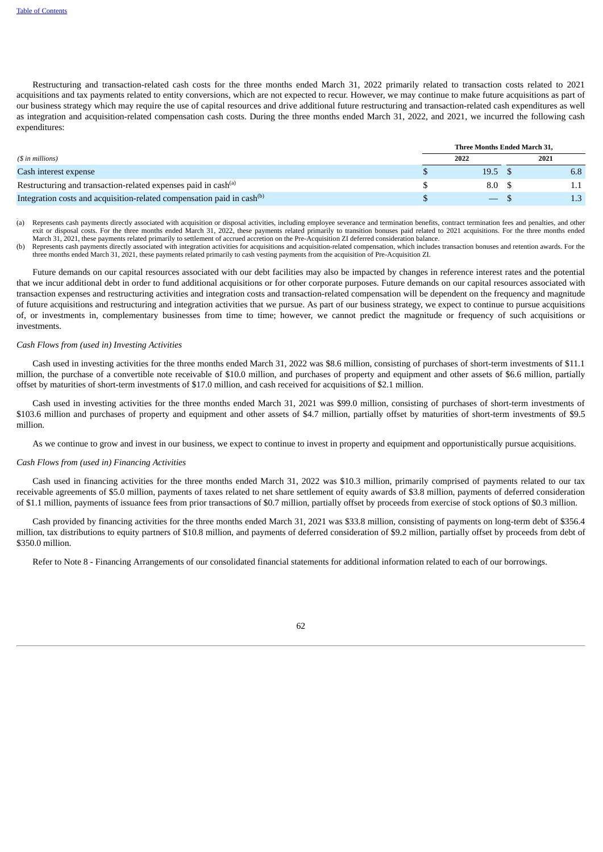Restructuring and transaction-related cash costs for the three months ended March 31, 2022 primarily related to transaction costs related to 2021 acquisitions and tax payments related to entity conversions, which are not expected to recur. However, we may continue to make future acquisitions as part of our business strategy which may require the use of capital resources and drive additional future restructuring and transaction-related cash expenditures as well as integration and acquisition-related compensation cash costs. During the three months ended March 31, 2022, and 2021, we incurred the following cash expenditures:

|                                                                                    |  | <b>Three Months Ended March 31.</b> |  |      |  |
|------------------------------------------------------------------------------------|--|-------------------------------------|--|------|--|
| (\$ in millions)                                                                   |  | 2022                                |  | 2021 |  |
| Cash interest expense                                                              |  | 19.5                                |  | 6.8  |  |
| Restructuring and transaction-related expenses paid in cash <sup>(a)</sup>         |  | 8.0                                 |  |      |  |
| Integration costs and acquisition-related compensation paid in cash <sup>(b)</sup> |  | $\hspace{0.1mm}-\hspace{0.1mm}$     |  |      |  |

(a) Represents cash payments directly associated with acquisition or disposal activities, including employee severance and termination benefits, contract termination fees and penalties, and other exit or disposal costs. Fo March 31, 2021, these payments related primarily to settlement of accrued accretion on the Pre-Acquisition ZI deferred consideration balance.

Represents cash payments directly associated with integration activities for acquisitions and acquisition-related compensation, which includes transaction bonuses and retention awards. For the three months ended March 31, 2021, these payments related primarily to cash vesting payments from the acquisition of Pre-Acquisition ZI.

Future demands on our capital resources associated with our debt facilities may also be impacted by changes in reference interest rates and the potential that we incur additional debt in order to fund additional acquisitions or for other corporate purposes. Future demands on our capital resources associated with transaction expenses and restructuring activities and integration costs and transaction-related compensation will be dependent on the frequency and magnitude of future acquisitions and restructuring and integration activities that we pursue. As part of our business strategy, we expect to continue to pursue acquisitions of, or investments in, complementary businesses from time to time; however, we cannot predict the magnitude or frequency of such acquisitions or investments.

#### *Cash Flows from (used in) Investing Activities*

Cash used in investing activities for the three months ended March 31, 2022 was \$8.6 million, consisting of purchases of short-term investments of \$11.1 million, the purchase of a convertible note receivable of \$10.0 million, and purchases of property and equipment and other assets of \$6.6 million, partially offset by maturities of short-term investments of \$17.0 million, and cash received for acquisitions of \$2.1 million.

Cash used in investing activities for the three months ended March 31, 2021 was \$99.0 million, consisting of purchases of short-term investments of \$103.6 million and purchases of property and equipment and other assets of \$4.7 million, partially offset by maturities of short-term investments of \$9.5 million.

As we continue to grow and invest in our business, we expect to continue to invest in property and equipment and opportunistically pursue acquisitions.

#### *Cash Flows from (used in) Financing Activities*

Cash used in financing activities for the three months ended March 31, 2022 was \$10.3 million, primarily comprised of payments related to our tax receivable agreements of \$5.0 million, payments of taxes related to net share settlement of equity awards of \$3.8 million, payments of deferred consideration of \$1.1 million, payments of issuance fees from prior transactions of \$0.7 million, partially offset by proceeds from exercise of stock options of \$0.3 million.

Cash provided by financing activities for the three months ended March 31, 2021 was \$33.8 million, consisting of payments on long-term debt of \$356.4 million, tax distributions to equity partners of \$10.8 million, and payments of deferred consideration of \$9.2 million, partially offset by proceeds from debt of \$350.0 million.

Refer to Note 8 - Financing Arrangements of our consolidated financial statements for additional information related to each of our borrowings.

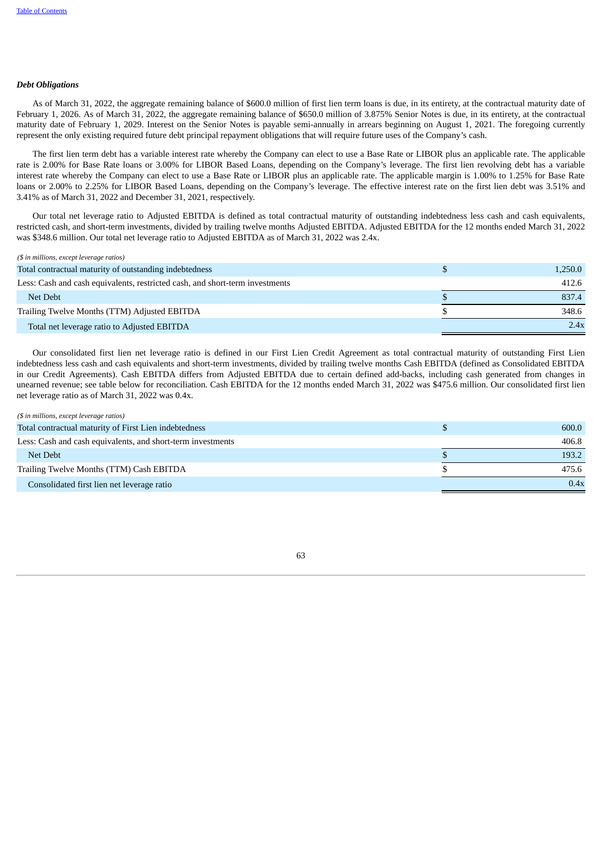### *Debt Obligations*

As of March 31, 2022, the aggregate remaining balance of \$600.0 million of first lien term loans is due, in its entirety, at the contractual maturity date of February 1, 2026. As of March 31, 2022, the aggregate remaining balance of \$650.0 million of 3.875% Senior Notes is due, in its entirety, at the contractual maturity date of February 1, 2029. Interest on the Senior Notes is payable semi-annually in arrears beginning on August 1, 2021. The foregoing currently represent the only existing required future debt principal repayment obligations that will require future uses of the Company's cash.

The first lien term debt has a variable interest rate whereby the Company can elect to use a Base Rate or LIBOR plus an applicable rate. The applicable rate is 2.00% for Base Rate loans or 3.00% for LIBOR Based Loans, depending on the Company's leverage. The first lien revolving debt has a variable interest rate whereby the Company can elect to use a Base Rate or LIBOR plus an applicable rate. The applicable margin is 1.00% to 1.25% for Base Rate loans or 2.00% to 2.25% for LIBOR Based Loans, depending on the Company's leverage. The effective interest rate on the first lien debt was 3.51% and 3.41% as of March 31, 2022 and December 31, 2021, respectively.

Our total net leverage ratio to Adjusted EBITDA is defined as total contractual maturity of outstanding indebtedness less cash and cash equivalents, restricted cash, and short-term investments, divided by trailing twelve months Adjusted EBITDA. Adjusted EBITDA for the 12 months ended March 31, 2022 was \$348.6 million. Our total net leverage ratio to Adjusted EBITDA as of March 31, 2022 was 2.4x.

*(\$ in millions, except leverage ratios)*

| Total contractual maturity of outstanding indebtedness                       | 1,250.0 |
|------------------------------------------------------------------------------|---------|
| Less: Cash and cash equivalents, restricted cash, and short-term investments | 412.6   |
| Net Debt                                                                     | 837.4   |
| Trailing Twelve Months (TTM) Adjusted EBITDA                                 | 348.6   |
| Total net leverage ratio to Adjusted EBITDA                                  | 2.4x    |

Our consolidated first lien net leverage ratio is defined in our First Lien Credit Agreement as total contractual maturity of outstanding First Lien indebtedness less cash and cash equivalents and short-term investments, divided by trailing twelve months Cash EBITDA (defined as Consolidated EBITDA in our Credit Agreements). Cash EBITDA differs from Adjusted EBITDA due to certain defined add-backs, including cash generated from changes in unearned revenue; see table below for reconciliation. Cash EBITDA for the 12 months ended March 31, 2022 was \$475.6 million. Our consolidated first lien net leverage ratio as of March 31, 2022 was 0.4x.

| (\$ in millions, except leverage ratios)                    |       |
|-------------------------------------------------------------|-------|
| Total contractual maturity of First Lien indebtedness       | 600.0 |
| Less: Cash and cash equivalents, and short-term investments | 406.8 |
| Net Debt                                                    | 193.2 |
| Trailing Twelve Months (TTM) Cash EBITDA                    | 475.6 |
| Consolidated first lien net leverage ratio                  | 0.4x  |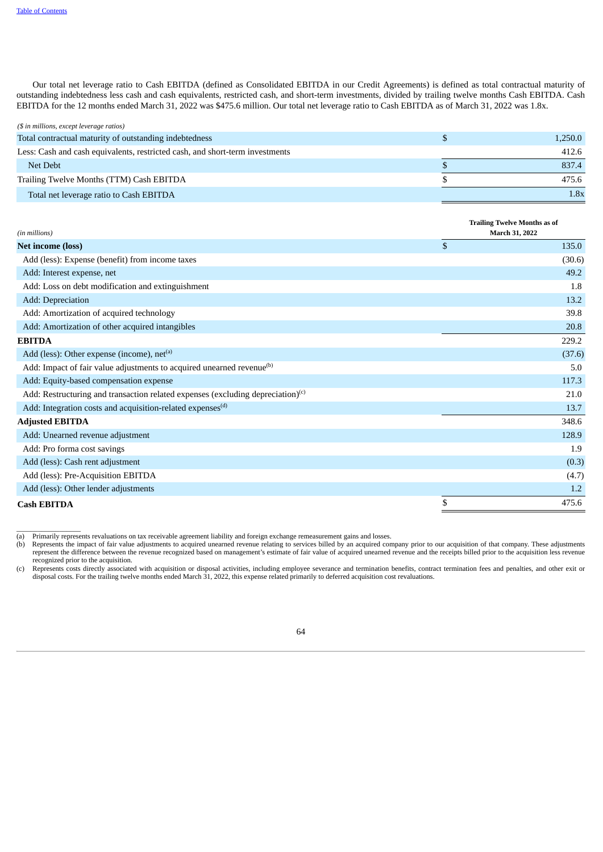Our total net leverage ratio to Cash EBITDA (defined as Consolidated EBITDA in our Credit Agreements) is defined as total contractual maturity of outstanding indebtedness less cash and cash equivalents, restricted cash, and short-term investments, divided by trailing twelve months Cash EBITDA. Cash EBITDA for the 12 months ended March 31, 2022 was \$475.6 million. Our total net leverage ratio to Cash EBITDA as of March 31, 2022 was 1.8x.

| (\$ in millions, except leverage ratios)                                     |         |
|------------------------------------------------------------------------------|---------|
| Total contractual maturity of outstanding indebtedness                       | 1,250.0 |
| Less: Cash and cash equivalents, restricted cash, and short-term investments | 412.6   |
| Net Debt                                                                     | 837.4   |
| Trailing Twelve Months (TTM) Cash EBITDA                                     | 475.6   |
| Total net leverage ratio to Cash EBITDA                                      | 1.8x    |

|                                                                                    |               | <b>Trailing Twelve Months as of</b> |  |
|------------------------------------------------------------------------------------|---------------|-------------------------------------|--|
| (in millions)                                                                      |               | March 31, 2022                      |  |
| <b>Net income (loss)</b>                                                           | $\mathsf{\$}$ | 135.0                               |  |
| Add (less): Expense (benefit) from income taxes                                    |               | (30.6)                              |  |
| Add: Interest expense, net                                                         |               | 49.2                                |  |
| Add: Loss on debt modification and extinguishment                                  |               | 1.8                                 |  |
| Add: Depreciation                                                                  |               | 13.2                                |  |
| Add: Amortization of acquired technology                                           |               | 39.8                                |  |
| Add: Amortization of other acquired intangibles                                    |               | 20.8                                |  |
| <b>EBITDA</b>                                                                      |               | 229.2                               |  |
| Add (less): Other expense (income), net <sup>(a)</sup>                             |               | (37.6)                              |  |
| Add: Impact of fair value adjustments to acquired unearned revenue <sup>(b)</sup>  |               | 5.0                                 |  |
| Add: Equity-based compensation expense                                             |               | 117.3                               |  |
| Add: Restructuring and transaction related expenses (excluding depreciation) $(c)$ |               | 21.0                                |  |
| Add: Integration costs and acquisition-related expenses <sup>(d)</sup>             |               | 13.7                                |  |
| <b>Adjusted EBITDA</b>                                                             |               | 348.6                               |  |
| Add: Unearned revenue adjustment                                                   |               | 128.9                               |  |
| Add: Pro forma cost savings                                                        |               | 1.9                                 |  |
| Add (less): Cash rent adjustment                                                   |               | (0.3)                               |  |
| Add (less): Pre-Acquisition EBITDA                                                 |               | (4.7)                               |  |
| Add (less): Other lender adjustments                                               |               | 1.2                                 |  |
| <b>Cash EBITDA</b>                                                                 | \$            | 475.6                               |  |
|                                                                                    |               |                                     |  |

\_\_\_\_\_\_\_\_\_\_\_\_\_\_\_\_\_\_ (a) Primarily represents revaluations on tax receivable agreement liability and foreign exchange remeasurement gains and losses.

(b) Represents the impact of fair value adjustments to acquired unearned revenue relating to services billed by an acquired company prior to our acquisition of that company. These adjustments represent the difference betwe recognized prior to the acquisition.

(c) Represents costs directly associated with acquisition or disposal activities, including employee severance and termination benefits, contract termination fees and penalties, and other exit or disposal costs. For the tr

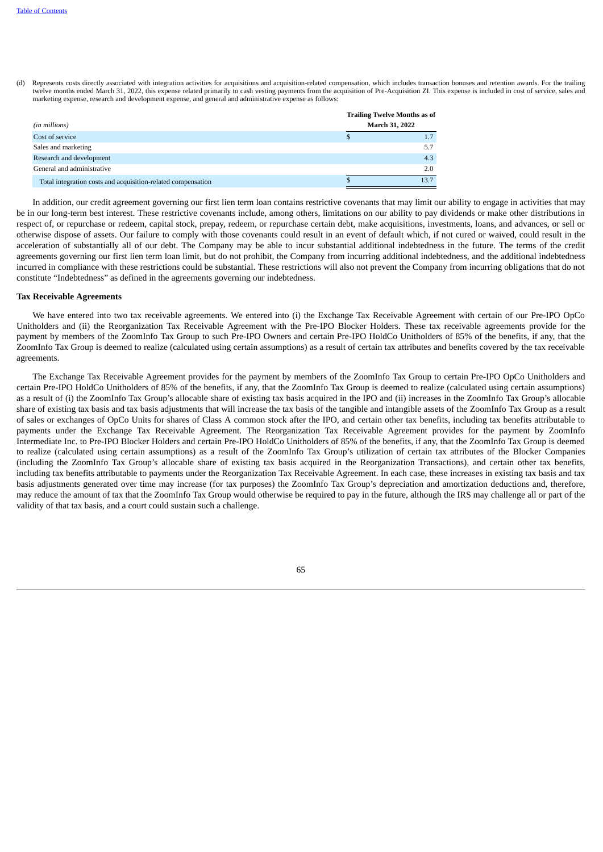(d) Represents costs directly associated with integration activities for acquisitions and acquisition-related compensation, which includes transaction bonuses and retention awards. For the trailing twelve months ended March 31, 2022, this expense related primarily to cash vesting payments from the acquisition of Pre-Acquisition ZI. This expense is included in cost of service, sales and marketing expense, research and development expense, and general and administrative expense as follows:

| (in millions)                                                |   | <b>Trailing Twelve Months as of</b><br>March 31, 2022 |  |  |
|--------------------------------------------------------------|---|-------------------------------------------------------|--|--|
| Cost of service                                              | Φ |                                                       |  |  |
| Sales and marketing                                          |   | - 5.7                                                 |  |  |
| Research and development                                     |   | 4.3                                                   |  |  |
| General and administrative                                   |   | 2.0                                                   |  |  |
| Total integration costs and acquisition-related compensation |   | 13.7                                                  |  |  |

In addition, our credit agreement governing our first lien term loan contains restrictive covenants that may limit our ability to engage in activities that may be in our long-term best interest. These restrictive covenants include, among others, limitations on our ability to pay dividends or make other distributions in respect of, or repurchase or redeem, capital stock, prepay, redeem, or repurchase certain debt, make acquisitions, investments, loans, and advances, or sell or otherwise dispose of assets. Our failure to comply with those covenants could result in an event of default which, if not cured or waived, could result in the acceleration of substantially all of our debt. The Company may be able to incur substantial additional indebtedness in the future. The terms of the credit agreements governing our first lien term loan limit, but do not prohibit, the Company from incurring additional indebtedness, and the additional indebtedness incurred in compliance with these restrictions could be substantial. These restrictions will also not prevent the Company from incurring obligations that do not constitute "Indebtedness" as defined in the agreements governing our indebtedness.

#### **Tax Receivable Agreements**

We have entered into two tax receivable agreements. We entered into (i) the Exchange Tax Receivable Agreement with certain of our Pre-IPO OpCo Unitholders and (ii) the Reorganization Tax Receivable Agreement with the Pre-IPO Blocker Holders. These tax receivable agreements provide for the payment by members of the ZoomInfo Tax Group to such Pre-IPO Owners and certain Pre-IPO HoldCo Unitholders of 85% of the benefits, if any, that the ZoomInfo Tax Group is deemed to realize (calculated using certain assumptions) as a result of certain tax attributes and benefits covered by the tax receivable agreements.

The Exchange Tax Receivable Agreement provides for the payment by members of the ZoomInfo Tax Group to certain Pre-IPO OpCo Unitholders and certain Pre-IPO HoldCo Unitholders of 85% of the benefits, if any, that the ZoomInfo Tax Group is deemed to realize (calculated using certain assumptions) as a result of (i) the ZoomInfo Tax Group's allocable share of existing tax basis acquired in the IPO and (ii) increases in the ZoomInfo Tax Group's allocable share of existing tax basis and tax basis adjustments that will increase the tax basis of the tangible and intangible assets of the ZoomInfo Tax Group as a result of sales or exchanges of OpCo Units for shares of Class A common stock after the IPO, and certain other tax benefits, including tax benefits attributable to payments under the Exchange Tax Receivable Agreement. The Reorganization Tax Receivable Agreement provides for the payment by ZoomInfo Intermediate Inc. to Pre-IPO Blocker Holders and certain Pre-IPO HoldCo Unitholders of 85% of the benefits, if any, that the ZoomInfo Tax Group is deemed to realize (calculated using certain assumptions) as a result of the ZoomInfo Tax Group's utilization of certain tax attributes of the Blocker Companies (including the ZoomInfo Tax Group's allocable share of existing tax basis acquired in the Reorganization Transactions), and certain other tax benefits, including tax benefits attributable to payments under the Reorganization Tax Receivable Agreement. In each case, these increases in existing tax basis and tax basis adjustments generated over time may increase (for tax purposes) the ZoomInfo Tax Group's depreciation and amortization deductions and, therefore, may reduce the amount of tax that the ZoomInfo Tax Group would otherwise be required to pay in the future, although the IRS may challenge all or part of the validity of that tax basis, and a court could sustain such a challenge.

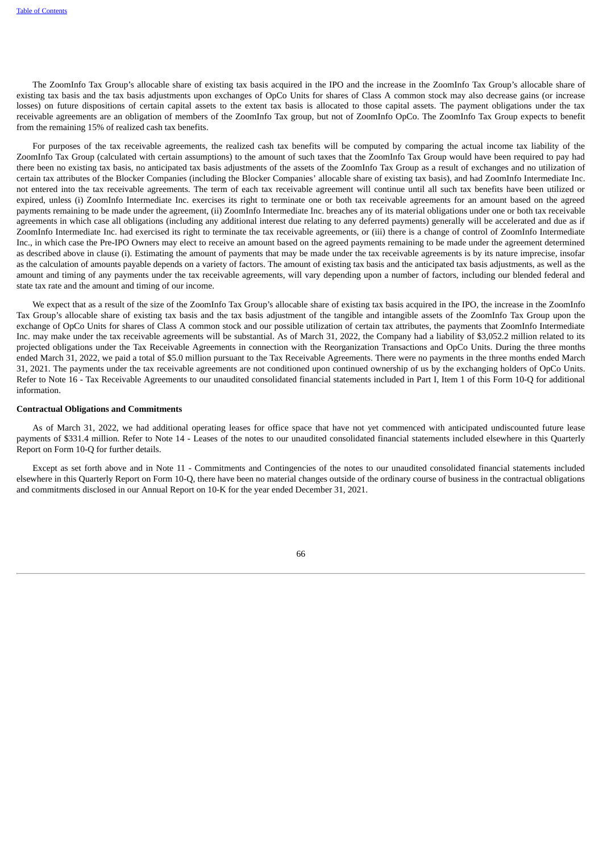The ZoomInfo Tax Group's allocable share of existing tax basis acquired in the IPO and the increase in the ZoomInfo Tax Group's allocable share of existing tax basis and the tax basis adjustments upon exchanges of OpCo Units for shares of Class A common stock may also decrease gains (or increase losses) on future dispositions of certain capital assets to the extent tax basis is allocated to those capital assets. The payment obligations under the tax receivable agreements are an obligation of members of the ZoomInfo Tax group, but not of ZoomInfo OpCo. The ZoomInfo Tax Group expects to benefit from the remaining 15% of realized cash tax benefits.

For purposes of the tax receivable agreements, the realized cash tax benefits will be computed by comparing the actual income tax liability of the ZoomInfo Tax Group (calculated with certain assumptions) to the amount of such taxes that the ZoomInfo Tax Group would have been required to pay had there been no existing tax basis, no anticipated tax basis adjustments of the assets of the ZoomInfo Tax Group as a result of exchanges and no utilization of certain tax attributes of the Blocker Companies (including the Blocker Companies' allocable share of existing tax basis), and had ZoomInfo Intermediate Inc. not entered into the tax receivable agreements. The term of each tax receivable agreement will continue until all such tax benefits have been utilized or expired, unless (i) ZoomInfo Intermediate Inc. exercises its right to terminate one or both tax receivable agreements for an amount based on the agreed payments remaining to be made under the agreement, (ii) ZoomInfo Intermediate Inc. breaches any of its material obligations under one or both tax receivable agreements in which case all obligations (including any additional interest due relating to any deferred payments) generally will be accelerated and due as if ZoomInfo Intermediate Inc. had exercised its right to terminate the tax receivable agreements, or (iii) there is a change of control of ZoomInfo Intermediate Inc., in which case the Pre-IPO Owners may elect to receive an amount based on the agreed payments remaining to be made under the agreement determined as described above in clause (i). Estimating the amount of payments that may be made under the tax receivable agreements is by its nature imprecise, insofar as the calculation of amounts payable depends on a variety of factors. The amount of existing tax basis and the anticipated tax basis adjustments, as well as the amount and timing of any payments under the tax receivable agreements, will vary depending upon a number of factors, including our blended federal and state tax rate and the amount and timing of our income.

We expect that as a result of the size of the ZoomInfo Tax Group's allocable share of existing tax basis acquired in the IPO, the increase in the ZoomInfo Tax Group's allocable share of existing tax basis and the tax basis adjustment of the tangible and intangible assets of the ZoomInfo Tax Group upon the exchange of OpCo Units for shares of Class A common stock and our possible utilization of certain tax attributes, the payments that ZoomInfo Intermediate Inc. may make under the tax receivable agreements will be substantial. As of March 31, 2022, the Company had a liability of \$3,052.2 million related to its projected obligations under the Tax Receivable Agreements in connection with the Reorganization Transactions and OpCo Units. During the three months ended March 31, 2022, we paid a total of \$5.0 million pursuant to the Tax Receivable Agreements. There were no payments in the three months ended March 31, 2021. The payments under the tax receivable agreements are not conditioned upon continued ownership of us by the exchanging holders of OpCo Units. Refer to Note 16 - Tax Receivable Agreements to our unaudited consolidated financial statements included in Part I, Item 1 of this Form 10-Q for additional information.

#### **Contractual Obligations and Commitments**

As of March 31, 2022, we had additional operating leases for office space that have not yet commenced with anticipated undiscounted future lease payments of \$331.4 million. Refer to Note 14 - Leases of the notes to our unaudited consolidated financial statements included elsewhere in this Quarterly Report on Form 10-Q for further details.

Except as set forth above and in Note 11 - Commitments and Contingencies of the notes to our unaudited consolidated financial statements included elsewhere in this Quarterly Report on Form 10-Q, there have been no material changes outside of the ordinary course of business in the contractual obligations and commitments disclosed in our Annual Report on 10-K for the year ended December 31, 2021.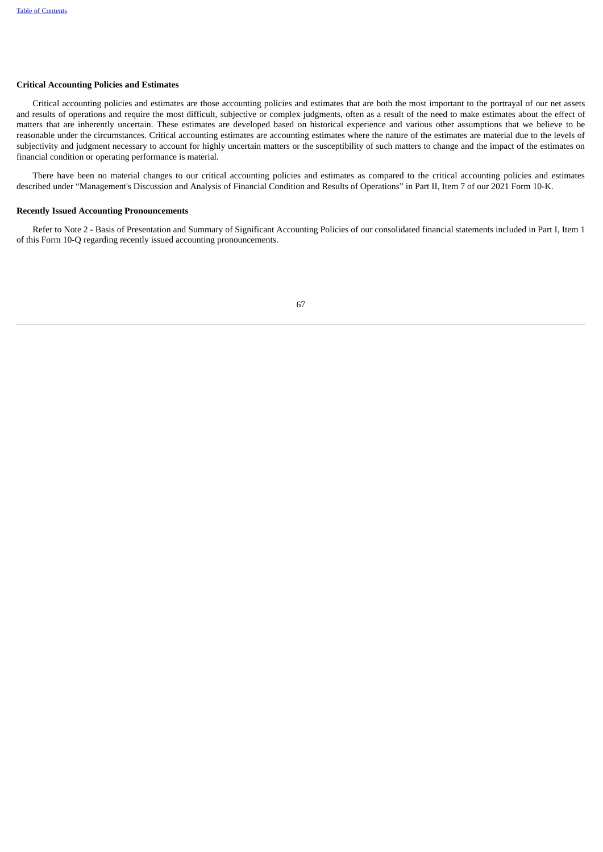### **Critical Accounting Policies and Estimates**

Critical accounting policies and estimates are those accounting policies and estimates that are both the most important to the portrayal of our net assets and results of operations and require the most difficult, subjective or complex judgments, often as a result of the need to make estimates about the effect of matters that are inherently uncertain. These estimates are developed based on historical experience and various other assumptions that we believe to be reasonable under the circumstances. Critical accounting estimates are accounting estimates where the nature of the estimates are material due to the levels of subjectivity and judgment necessary to account for highly uncertain matters or the susceptibility of such matters to change and the impact of the estimates on financial condition or operating performance is material.

There have been no material changes to our critical accounting policies and estimates as compared to the critical accounting policies and estimates described under "Management's Discussion and Analysis of Financial Condition and Results of Operations" in Part II, Item 7 of our 2021 Form 10-K.

### **Recently Issued Accounting Pronouncements**

Refer to Note 2 - Basis of Presentation and Summary of Significant Accounting Policies of our consolidated financial statements included in Part I, Item 1 of this Form 10-Q regarding recently issued accounting pronouncements.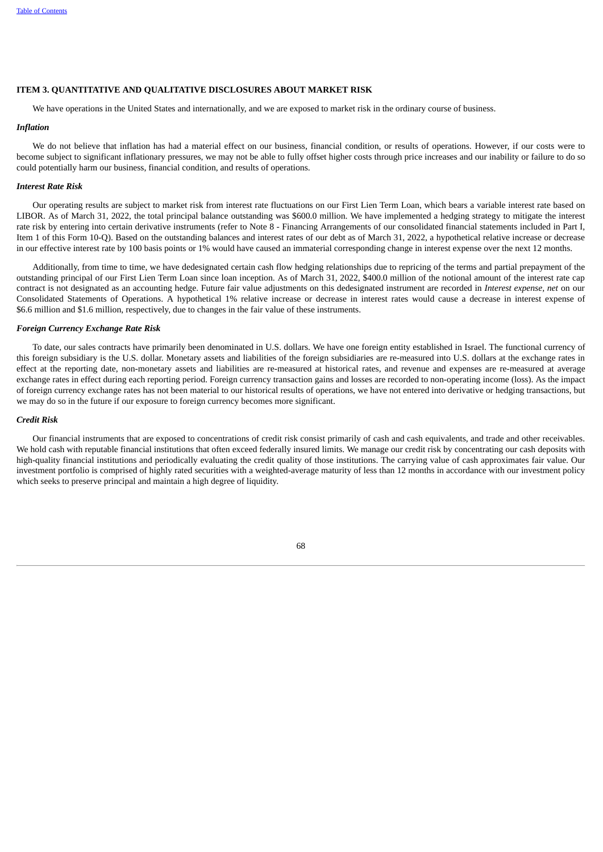## **ITEM 3. QUANTITATIVE AND QUALITATIVE DISCLOSURES ABOUT MARKET RISK**

We have operations in the United States and internationally, and we are exposed to market risk in the ordinary course of business.

#### *Inflation*

We do not believe that inflation has had a material effect on our business, financial condition, or results of operations. However, if our costs were to become subject to significant inflationary pressures, we may not be able to fully offset higher costs through price increases and our inability or failure to do so could potentially harm our business, financial condition, and results of operations.

#### *Interest Rate Risk*

Our operating results are subject to market risk from interest rate fluctuations on our First Lien Term Loan, which bears a variable interest rate based on LIBOR. As of March 31, 2022, the total principal balance outstanding was \$600.0 million. We have implemented a hedging strategy to mitigate the interest rate risk by entering into certain derivative instruments (refer to Note 8 - Financing Arrangements of our consolidated financial statements included in Part I, Item 1 of this Form 10-Q). Based on the outstanding balances and interest rates of our debt as of March 31, 2022, a hypothetical relative increase or decrease in our effective interest rate by 100 basis points or 1% would have caused an immaterial corresponding change in interest expense over the next 12 months.

Additionally, from time to time, we have dedesignated certain cash flow hedging relationships due to repricing of the terms and partial prepayment of the outstanding principal of our First Lien Term Loan since loan inception. As of March 31, 2022, \$400.0 million of the notional amount of the interest rate cap contract is not designated as an accounting hedge. Future fair value adjustments on this dedesignated instrument are recorded in *Interest expense, net* on our Consolidated Statements of Operations. A hypothetical 1% relative increase or decrease in interest rates would cause a decrease in interest expense of \$6.6 million and \$1.6 million, respectively, due to changes in the fair value of these instruments.

#### *Foreign Currency Exchange Rate Risk*

To date, our sales contracts have primarily been denominated in U.S. dollars. We have one foreign entity established in Israel. The functional currency of this foreign subsidiary is the U.S. dollar. Monetary assets and liabilities of the foreign subsidiaries are re-measured into U.S. dollars at the exchange rates in effect at the reporting date, non-monetary assets and liabilities are re-measured at historical rates, and revenue and expenses are re-measured at average exchange rates in effect during each reporting period. Foreign currency transaction gains and losses are recorded to non-operating income (loss). As the impact of foreign currency exchange rates has not been material to our historical results of operations, we have not entered into derivative or hedging transactions, but we may do so in the future if our exposure to foreign currency becomes more significant.

#### *Credit Risk*

Our financial instruments that are exposed to concentrations of credit risk consist primarily of cash and cash equivalents, and trade and other receivables. We hold cash with reputable financial institutions that often exceed federally insured limits. We manage our credit risk by concentrating our cash deposits with high-quality financial institutions and periodically evaluating the credit quality of those institutions. The carrying value of cash approximates fair value. Our investment portfolio is comprised of highly rated securities with a weighted-average maturity of less than 12 months in accordance with our investment policy which seeks to preserve principal and maintain a high degree of liquidity.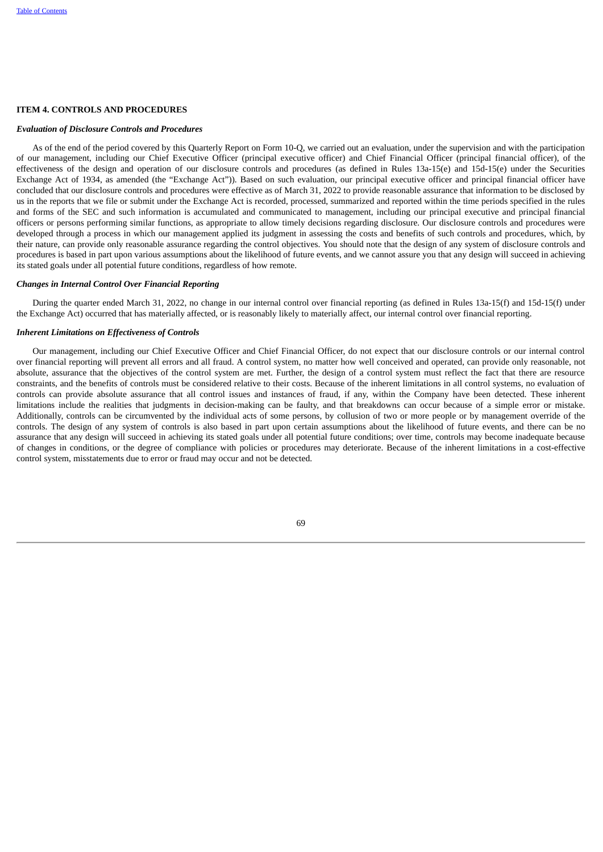#### **ITEM 4. CONTROLS AND PROCEDURES**

#### *Evaluation of Disclosure Controls and Procedures*

As of the end of the period covered by this Quarterly Report on Form 10-Q, we carried out an evaluation, under the supervision and with the participation of our management, including our Chief Executive Officer (principal executive officer) and Chief Financial Officer (principal financial officer), of the effectiveness of the design and operation of our disclosure controls and procedures (as defined in Rules 13a-15(e) and 15d-15(e) under the Securities Exchange Act of 1934, as amended (the "Exchange Act")). Based on such evaluation, our principal executive officer and principal financial officer have concluded that our disclosure controls and procedures were effective as of March 31, 2022 to provide reasonable assurance that information to be disclosed by us in the reports that we file or submit under the Exchange Act is recorded, processed, summarized and reported within the time periods specified in the rules and forms of the SEC and such information is accumulated and communicated to management, including our principal executive and principal financial officers or persons performing similar functions, as appropriate to allow timely decisions regarding disclosure. Our disclosure controls and procedures were developed through a process in which our management applied its judgment in assessing the costs and benefits of such controls and procedures, which, by their nature, can provide only reasonable assurance regarding the control objectives. You should note that the design of any system of disclosure controls and procedures is based in part upon various assumptions about the likelihood of future events, and we cannot assure you that any design will succeed in achieving its stated goals under all potential future conditions, regardless of how remote.

#### *Changes in Internal Control Over Financial Reporting*

During the quarter ended March 31, 2022, no change in our internal control over financial reporting (as defined in Rules 13a-15(f) and 15d-15(f) under the Exchange Act) occurred that has materially affected, or is reasonably likely to materially affect, our internal control over financial reporting.

#### *Inherent Limitations on Effectiveness of Controls*

Our management, including our Chief Executive Officer and Chief Financial Officer, do not expect that our disclosure controls or our internal control over financial reporting will prevent all errors and all fraud. A control system, no matter how well conceived and operated, can provide only reasonable, not absolute, assurance that the objectives of the control system are met. Further, the design of a control system must reflect the fact that there are resource constraints, and the benefits of controls must be considered relative to their costs. Because of the inherent limitations in all control systems, no evaluation of controls can provide absolute assurance that all control issues and instances of fraud, if any, within the Company have been detected. These inherent limitations include the realities that judgments in decision-making can be faulty, and that breakdowns can occur because of a simple error or mistake. Additionally, controls can be circumvented by the individual acts of some persons, by collusion of two or more people or by management override of the controls. The design of any system of controls is also based in part upon certain assumptions about the likelihood of future events, and there can be no assurance that any design will succeed in achieving its stated goals under all potential future conditions; over time, controls may become inadequate because of changes in conditions, or the degree of compliance with policies or procedures may deteriorate. Because of the inherent limitations in a cost-effective control system, misstatements due to error or fraud may occur and not be detected.

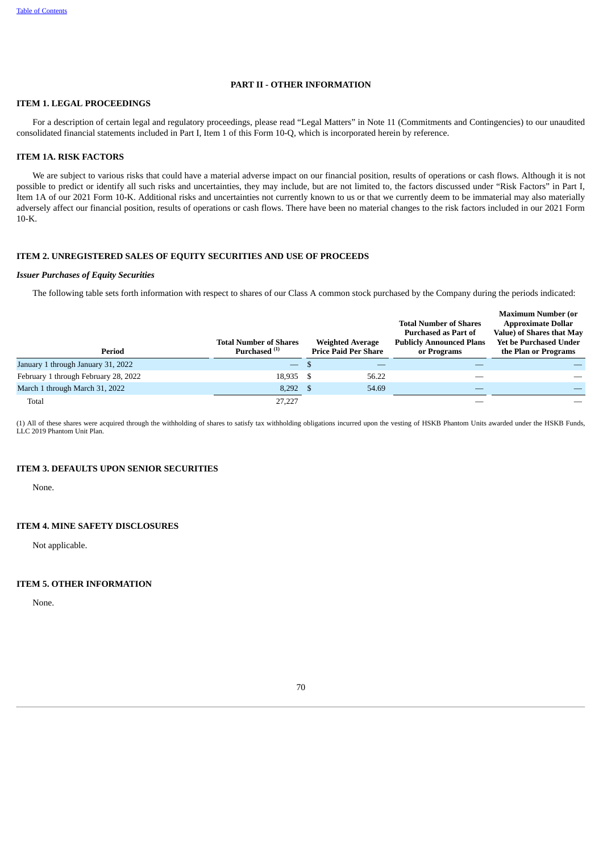# **PART II - OTHER INFORMATION**

## **ITEM 1. LEGAL PROCEEDINGS**

For a description of certain legal and regulatory proceedings, please read "Legal Matters" in Note 11 (Commitments and Contingencies) to our unaudited consolidated financial statements included in Part I, Item 1 of this Form 10-Q, which is incorporated herein by reference.

### **ITEM 1A. RISK FACTORS**

We are subject to various risks that could have a material adverse impact on our financial position, results of operations or cash flows. Although it is not possible to predict or identify all such risks and uncertainties, they may include, but are not limited to, the factors discussed under "Risk Factors" in Part I, Item 1A of our 2021 Form 10-K. Additional risks and uncertainties not currently known to us or that we currently deem to be immaterial may also materially adversely affect our financial position, results of operations or cash flows. There have been no material changes to the risk factors included in our 2021 Form 10-K.

#### **ITEM 2. UNREGISTERED SALES OF EQUITY SECURITIES AND USE OF PROCEEDS**

#### *Issuer Purchases of Equity Securities*

The following table sets forth information with respect to shares of our Class A common stock purchased by the Company during the periods indicated:

| Period                               | <b>Total Number of Shares</b><br>Purchased <sup>(1)</sup> | <b>Weighted Average</b><br><b>Price Paid Per Share</b> | <b>Total Number of Shares</b><br><b>Purchased as Part of</b><br><b>Publicly Announced Plans</b><br>or Programs | <b>Maximum Number (or</b><br><b>Approximate Dollar</b><br>Value) of Shares that May<br><b>Yet be Purchased Under</b><br>the Plan or Programs |
|--------------------------------------|-----------------------------------------------------------|--------------------------------------------------------|----------------------------------------------------------------------------------------------------------------|----------------------------------------------------------------------------------------------------------------------------------------------|
| January 1 through January 31, 2022   | $\overline{\phantom{a}}$                                  |                                                        |                                                                                                                |                                                                                                                                              |
| February 1 through February 28, 2022 | 18,935 \$                                                 | 56.22                                                  |                                                                                                                |                                                                                                                                              |
| March 1 through March 31, 2022       | $8,292$ \$                                                | 54.69                                                  |                                                                                                                |                                                                                                                                              |
| Total                                | 27,227                                                    |                                                        |                                                                                                                |                                                                                                                                              |

(1) All of these shares were acquired through the withholding of shares to satisfy tax withholding obligations incurred upon the vesting of HSKB Phantom Units awarded under the HSKB Funds, LLC 2019 Phantom Unit Plan.

### **ITEM 3. DEFAULTS UPON SENIOR SECURITIES**

None.

## **ITEM 4. MINE SAFETY DISCLOSURES**

Not applicable.

### **ITEM 5. OTHER INFORMATION**

None.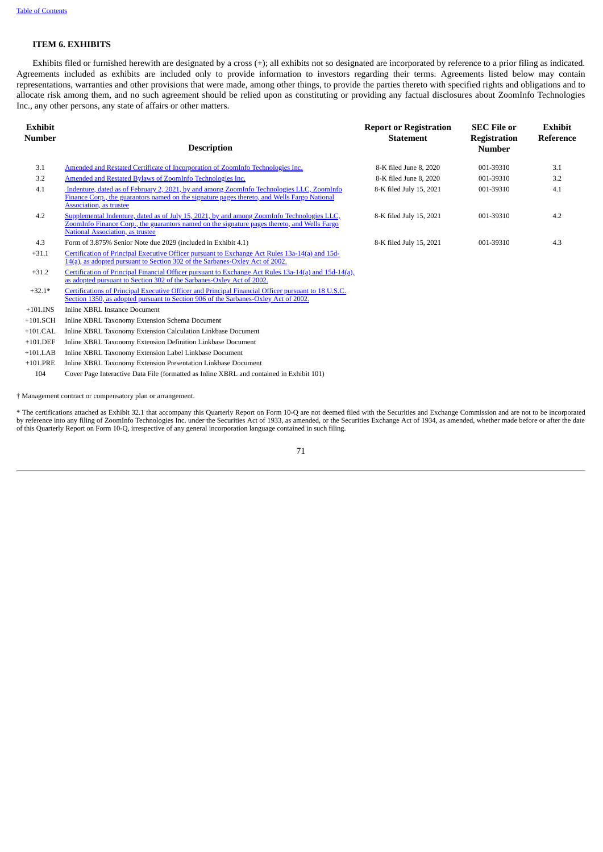## **ITEM 6. EXHIBITS**

Exhibits filed or furnished herewith are designated by a cross (+); all exhibits not so designated are incorporated by reference to a prior filing as indicated. Agreements included as exhibits are included only to provide information to investors regarding their terms. Agreements listed below may contain representations, warranties and other provisions that were made, among other things, to provide the parties thereto with specified rights and obligations and to allocate risk among them, and no such agreement should be relied upon as constituting or providing any factual disclosures about ZoomInfo Technologies Inc., any other persons, any state of affairs or other matters.

| Exhibit<br><b>Number</b> | <b>Description</b>                                                                                                                                                                                                                    | <b>Report or Registration</b><br><b>Statement</b> | <b>SEC File or</b><br><b>Registration</b><br>Number | <b>Exhibit</b><br>Reference |
|--------------------------|---------------------------------------------------------------------------------------------------------------------------------------------------------------------------------------------------------------------------------------|---------------------------------------------------|-----------------------------------------------------|-----------------------------|
| 3.1                      | Amended and Restated Certificate of Incorporation of ZoomInfo Technologies Inc.                                                                                                                                                       | 8-K filed June 8, 2020                            | 001-39310                                           | 3.1                         |
| 3.2                      | Amended and Restated Bylaws of ZoomInfo Technologies Inc.                                                                                                                                                                             | 8-K filed June 8, 2020                            | 001-39310                                           | 3.2                         |
| 4.1                      | Indenture, dated as of February 2, 2021, by and among ZoomInfo Technologies LLC, ZoomInfo<br>Finance Corp., the guarantors named on the signature pages thereto, and Wells Fargo National<br><b>Association</b> , as trustee          | 8-K filed July 15, 2021                           | 001-39310                                           | 4.1                         |
| 4.2                      | Supplemental Indenture, dated as of July 15, 2021, by and among ZoomInfo Technologies LLC,<br>ZoomInfo Finance Corp., the guarantors named on the signature pages thereto, and Wells Fargo<br><b>National Association, as trustee</b> | 8-K filed July 15, 2021                           | 001-39310                                           | 4.2                         |
| 4.3                      | Form of 3.875% Senior Note due 2029 (included in Exhibit 4.1)                                                                                                                                                                         | 8-K filed July 15, 2021                           | 001-39310                                           | 4.3                         |
| $+31.1$                  | Certification of Principal Executive Officer pursuant to Exchange Act Rules 13a-14(a) and 15d-<br>14(a), as adopted pursuant to Section 302 of the Sarbanes-Oxley Act of 2002.                                                        |                                                   |                                                     |                             |
| $+31.2$                  | Certification of Principal Financial Officer pursuant to Exchange Act Rules 13a-14(a) and 15d-14(a),<br>as adopted pursuant to Section 302 of the Sarbanes-Oxley Act of 2002.                                                         |                                                   |                                                     |                             |
| $+32.1*$                 | Certifications of Principal Executive Officer and Principal Financial Officer pursuant to 18 U.S.C.<br>Section 1350, as adopted pursuant to Section 906 of the Sarbanes-Oxley Act of 2002.                                            |                                                   |                                                     |                             |
| $+101$ . INS             | Inline XBRL Instance Document                                                                                                                                                                                                         |                                                   |                                                     |                             |
| $+101$ .SCH              | Inline XBRL Taxonomy Extension Schema Document                                                                                                                                                                                        |                                                   |                                                     |                             |
| $+101$ .CAL              | Inline XBRL Taxonomy Extension Calculation Linkbase Document                                                                                                                                                                          |                                                   |                                                     |                             |
| $+101$ .DEF              | Inline XBRL Taxonomy Extension Definition Linkbase Document                                                                                                                                                                           |                                                   |                                                     |                             |
| $+101$ .LAB              | Inline XBRL Taxonomy Extension Label Linkbase Document                                                                                                                                                                                |                                                   |                                                     |                             |
| $+101.PRE$               | Inline XBRL Taxonomy Extension Presentation Linkbase Document                                                                                                                                                                         |                                                   |                                                     |                             |

104 Cover Page Interactive Data File (formatted as Inline XBRL and contained in Exhibit 101)

† Management contract or compensatory plan or arrangement.

\* The certifications attached as Exhibit 32.1 that accompany this Quarterly Report on Form 10-Q are not deemed filed with the Securities and Exchange Commission and are not to be incorporated<br>by reference into any filing o of this Quarterly Report on Form 10-Q, irrespective of any general incorporation language contained in such filing.

71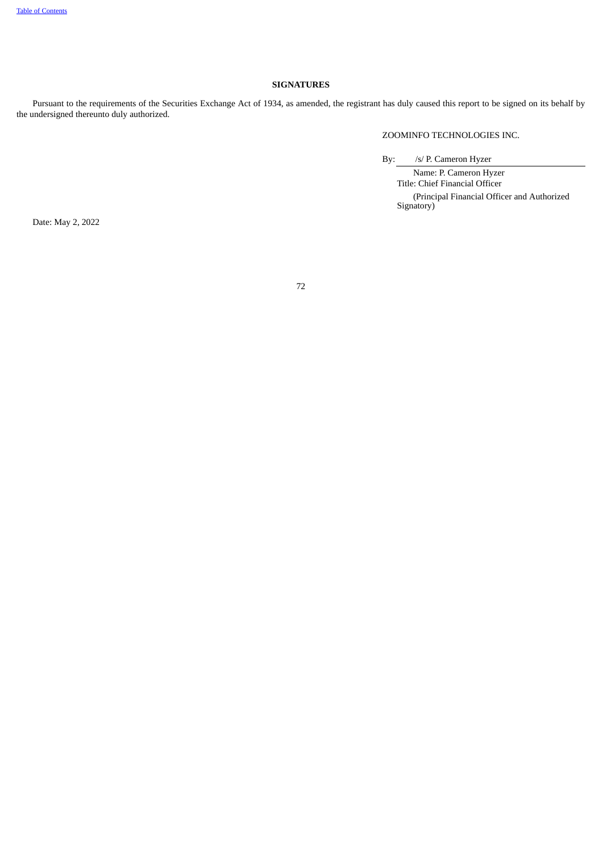# **SIGNATURES**

Pursuant to the requirements of the Securities Exchange Act of 1934, as amended, the registrant has duly caused this report to be signed on its behalf by the undersigned thereunto duly authorized.

ZOOMINFO TECHNOLOGIES INC.

By: /s/ P. Cameron Hyzer

Name: P. Cameron Hyzer Title: Chief Financial Officer (Principal Financial Officer and Authorized Signatory)

Date: May 2, 2022

72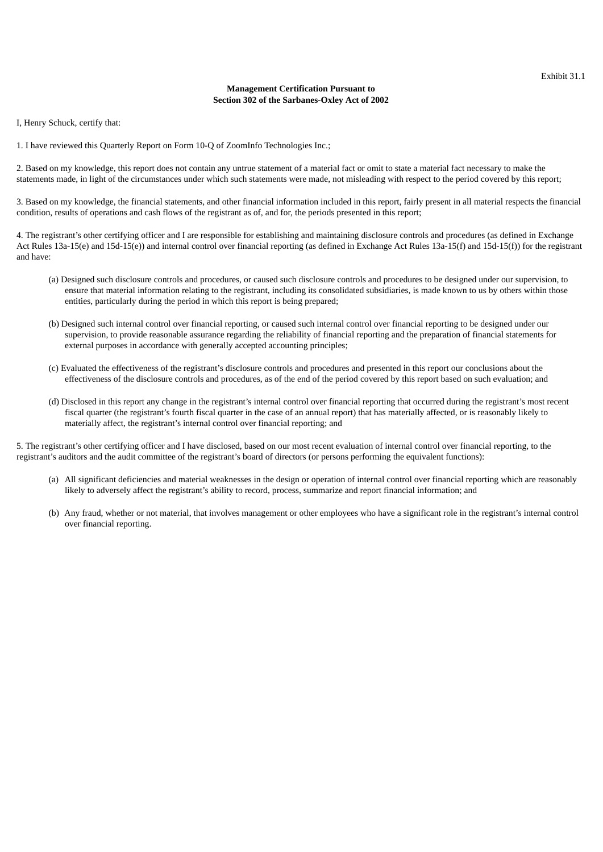### Exhibit 31.1

## **Management Certification Pursuant to Section 302 of the Sarbanes-Oxley Act of 2002**

<span id="page-78-0"></span>I, Henry Schuck, certify that:

1. I have reviewed this Quarterly Report on Form 10-Q of ZoomInfo Technologies Inc.;

2. Based on my knowledge, this report does not contain any untrue statement of a material fact or omit to state a material fact necessary to make the statements made, in light of the circumstances under which such statements were made, not misleading with respect to the period covered by this report;

3. Based on my knowledge, the financial statements, and other financial information included in this report, fairly present in all material respects the financial condition, results of operations and cash flows of the registrant as of, and for, the periods presented in this report;

4. The registrant's other certifying officer and I are responsible for establishing and maintaining disclosure controls and procedures (as defined in Exchange Act Rules 13a-15(e) and 15d-15(e)) and internal control over financial reporting (as defined in Exchange Act Rules 13a-15(f) and 15d-15(f)) for the registrant and have:

- (a) Designed such disclosure controls and procedures, or caused such disclosure controls and procedures to be designed under our supervision, to ensure that material information relating to the registrant, including its consolidated subsidiaries, is made known to us by others within those entities, particularly during the period in which this report is being prepared;
- (b) Designed such internal control over financial reporting, or caused such internal control over financial reporting to be designed under our supervision, to provide reasonable assurance regarding the reliability of financial reporting and the preparation of financial statements for external purposes in accordance with generally accepted accounting principles;
- (c) Evaluated the effectiveness of the registrant's disclosure controls and procedures and presented in this report our conclusions about the effectiveness of the disclosure controls and procedures, as of the end of the period covered by this report based on such evaluation; and
- (d) Disclosed in this report any change in the registrant's internal control over financial reporting that occurred during the registrant's most recent fiscal quarter (the registrant's fourth fiscal quarter in the case of an annual report) that has materially affected, or is reasonably likely to materially affect, the registrant's internal control over financial reporting; and

5. The registrant's other certifying officer and I have disclosed, based on our most recent evaluation of internal control over financial reporting, to the registrant's auditors and the audit committee of the registrant's board of directors (or persons performing the equivalent functions):

- (a) All significant deficiencies and material weaknesses in the design or operation of internal control over financial reporting which are reasonably likely to adversely affect the registrant's ability to record, process, summarize and report financial information; and
- (b) Any fraud, whether or not material, that involves management or other employees who have a significant role in the registrant's internal control over financial reporting.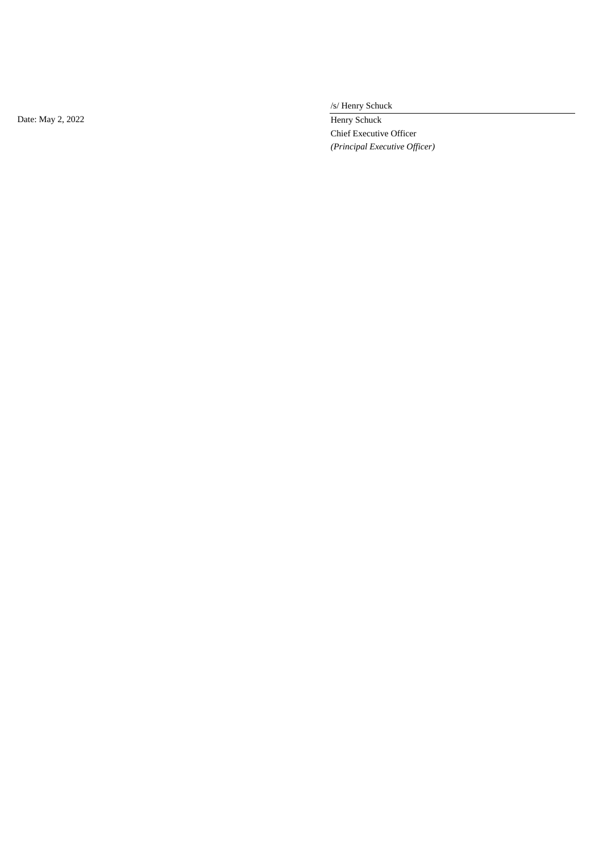Date: May 2, 2022

/s/ Henry Schuck

Henry Schuck Chief Executive Officer (Principal Executive Officer)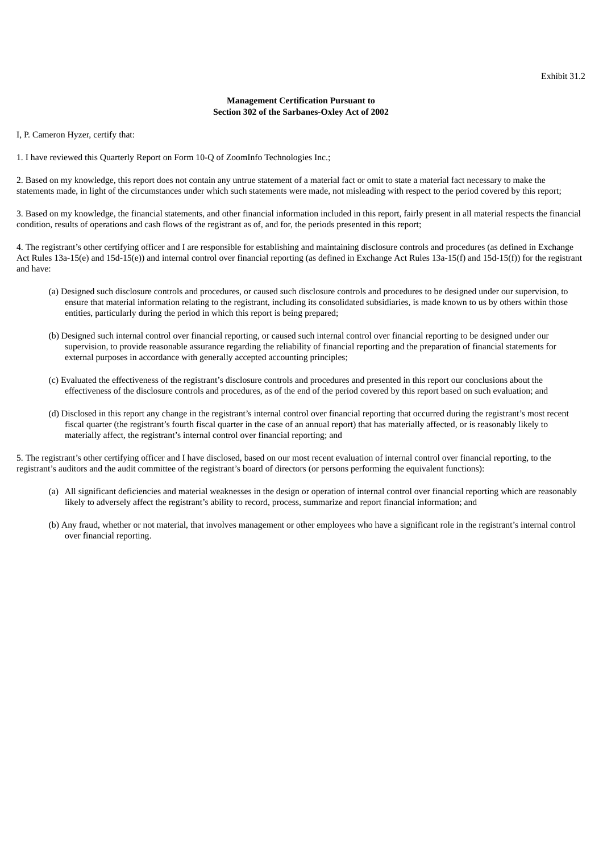## **Management Certification Pursuant to Section 302 of the Sarbanes-Oxley Act of 2002**

<span id="page-80-0"></span>I, P. Cameron Hyzer, certify that:

1. I have reviewed this Quarterly Report on Form 10-Q of ZoomInfo Technologies Inc.;

2. Based on my knowledge, this report does not contain any untrue statement of a material fact or omit to state a material fact necessary to make the statements made, in light of the circumstances under which such statements were made, not misleading with respect to the period covered by this report;

3. Based on my knowledge, the financial statements, and other financial information included in this report, fairly present in all material respects the financial condition, results of operations and cash flows of the registrant as of, and for, the periods presented in this report;

4. The registrant's other certifying officer and I are responsible for establishing and maintaining disclosure controls and procedures (as defined in Exchange Act Rules 13a-15(e) and 15d-15(e)) and internal control over financial reporting (as defined in Exchange Act Rules 13a-15(f) and 15d-15(f)) for the registrant and have:

- (a) Designed such disclosure controls and procedures, or caused such disclosure controls and procedures to be designed under our supervision, to ensure that material information relating to the registrant, including its consolidated subsidiaries, is made known to us by others within those entities, particularly during the period in which this report is being prepared;
- (b) Designed such internal control over financial reporting, or caused such internal control over financial reporting to be designed under our supervision, to provide reasonable assurance regarding the reliability of financial reporting and the preparation of financial statements for external purposes in accordance with generally accepted accounting principles;
- (c) Evaluated the effectiveness of the registrant's disclosure controls and procedures and presented in this report our conclusions about the effectiveness of the disclosure controls and procedures, as of the end of the period covered by this report based on such evaluation; and
- (d) Disclosed in this report any change in the registrant's internal control over financial reporting that occurred during the registrant's most recent fiscal quarter (the registrant's fourth fiscal quarter in the case of an annual report) that has materially affected, or is reasonably likely to materially affect, the registrant's internal control over financial reporting; and

5. The registrant's other certifying officer and I have disclosed, based on our most recent evaluation of internal control over financial reporting, to the registrant's auditors and the audit committee of the registrant's board of directors (or persons performing the equivalent functions):

- (a) All significant deficiencies and material weaknesses in the design or operation of internal control over financial reporting which are reasonably likely to adversely affect the registrant's ability to record, process, summarize and report financial information; and
- (b) Any fraud, whether or not material, that involves management or other employees who have a significant role in the registrant's internal control over financial reporting.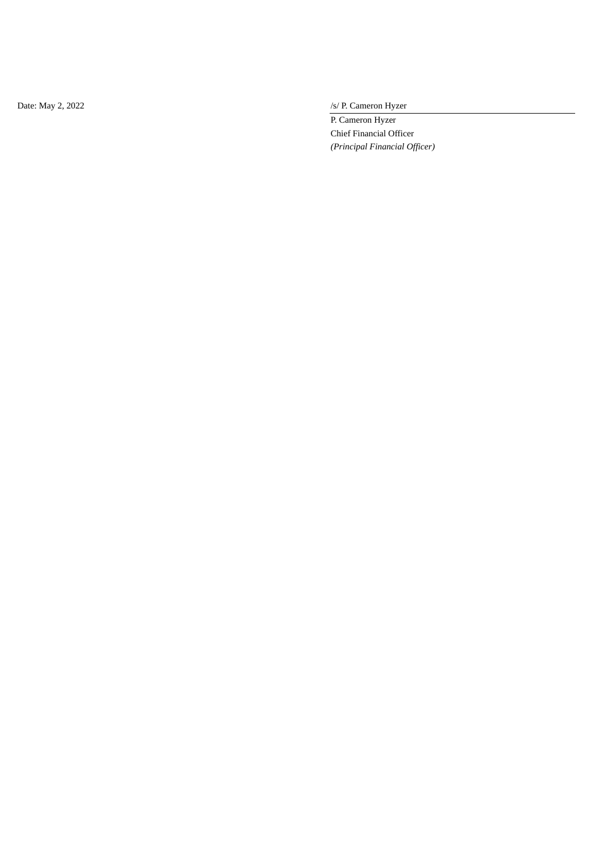Date: May 2, 2022

/s/ P. Cameron Hyzer

P. Cameron Hyzer Chief Financial Officer (Principal Financial Officer)